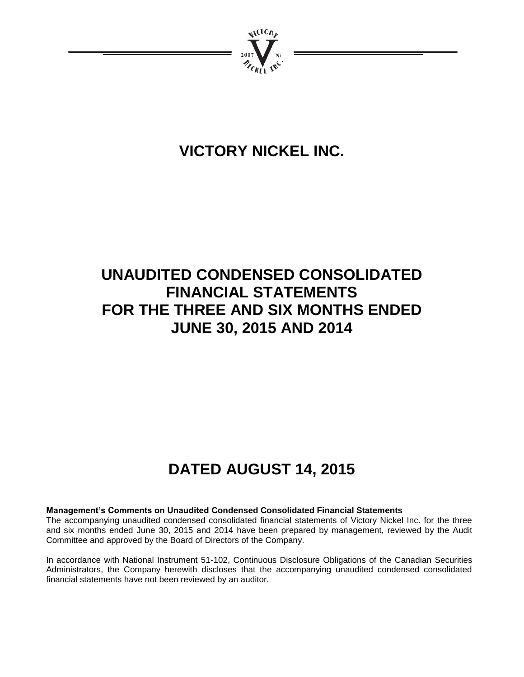

# **VICTORY NICKEL INC.**

# **UNAUDITED CONDENSED CONSOLIDATED FINANCIAL STATEMENTS FOR THE THREE AND SIX MONTHS ENDED JUNE 30, 2015 AND 2014**

# **DATED AUGUST 14, 2015**

## **Management's Comments on Unaudited Condensed Consolidated Financial Statements**

The accompanying unaudited condensed consolidated financial statements of Victory Nickel Inc. for the three and six months ended June 30, 2015 and 2014 have been prepared by management, reviewed by the Audit Committee and approved by the Board of Directors of the Company.

In accordance with National Instrument 51-102, Continuous Disclosure Obligations of the Canadian Securities Administrators, the Company herewith discloses that the accompanying unaudited condensed consolidated financial statements have not been reviewed by an auditor.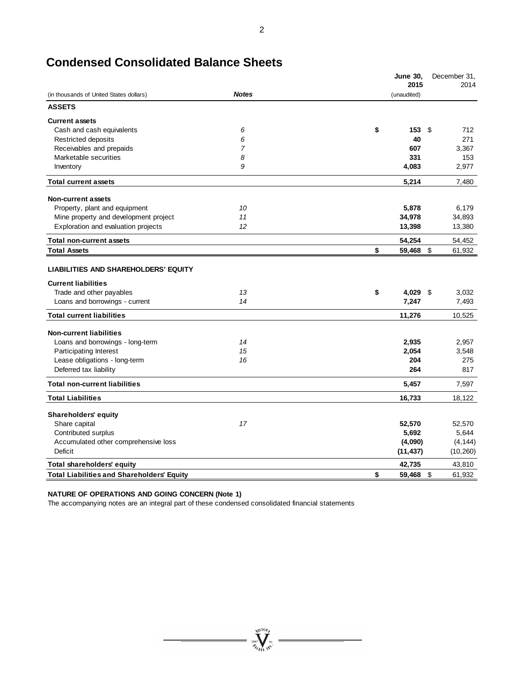|                                                                                                                                         |              | <b>June 30,</b><br>2015 | December 31,<br>2014 |
|-----------------------------------------------------------------------------------------------------------------------------------------|--------------|-------------------------|----------------------|
| (in thousands of United States dollars)                                                                                                 | <b>Notes</b> | (unaudited)             |                      |
| <b>ASSETS</b>                                                                                                                           |              |                         |                      |
| <b>Current assets</b>                                                                                                                   |              |                         |                      |
| Cash and cash equivalents                                                                                                               | 6            | \$<br>153               | \$<br>712            |
| Restricted deposits                                                                                                                     | 6            | 40                      | 271                  |
| Receivables and prepaids                                                                                                                | 7            | 607                     | 3,367                |
| Marketable securities                                                                                                                   | 8            | 331                     | 153                  |
| Inventory                                                                                                                               | 9            | 4,083                   | 2,977                |
| <b>Total current assets</b>                                                                                                             |              | 5,214                   | 7,480                |
| <b>Non-current assets</b>                                                                                                               |              |                         |                      |
| Property, plant and equipment                                                                                                           | 10           | 5,878                   | 6,179                |
| Mine property and development project                                                                                                   | 11           | 34,978                  | 34,893               |
| Exploration and evaluation projects                                                                                                     | 12           | 13,398                  | 13,380               |
| <b>Total non-current assets</b>                                                                                                         |              | 54,254                  | 54,452               |
| <b>Total Assets</b>                                                                                                                     |              | \$<br>59,468 \$         | 61,932               |
| <b>LIABILITIES AND SHAREHOLDERS' EQUITY</b><br><b>Current liabilities</b><br>Trade and other payables<br>Loans and borrowings - current | 13<br>14     | \$<br>4,029 \$<br>7,247 | 3,032<br>7,493       |
| <b>Total current liabilities</b>                                                                                                        |              | 11,276                  | 10,525               |
|                                                                                                                                         |              |                         |                      |
| <b>Non-current liabilities</b>                                                                                                          |              |                         |                      |
| Loans and borrowings - long-term                                                                                                        | 14           | 2,935                   | 2,957                |
| Participating Interest                                                                                                                  | 15           | 2,054                   | 3,548                |
| Lease obligations - long-term                                                                                                           | 16           | 204                     | 275                  |
| Deferred tax liability                                                                                                                  |              | 264                     | 817                  |
| <b>Total non-current liabilities</b>                                                                                                    |              | 5,457                   | 7,597                |
| <b>Total Liabilities</b>                                                                                                                |              | 16,733                  | 18,122               |
| <b>Shareholders' equity</b>                                                                                                             |              |                         |                      |
| Share capital                                                                                                                           | 17           | 52,570                  | 52,570               |
| Contributed surplus                                                                                                                     |              | 5,692                   | 5,644                |
| Accumulated other comprehensive loss                                                                                                    |              | (4,090)                 | (4, 144)             |
| Deficit                                                                                                                                 |              | (11, 437)               | (10, 260)            |
| <b>Total shareholders' equity</b>                                                                                                       |              | 42,735                  | 43,810               |
| <b>Total Liabilities and Shareholders' Equity</b>                                                                                       |              | \$<br>59.468            | \$<br>61,932         |

## **Condensed Consolidated Balance Sheets**

### **NATURE OF OPERATIONS AND GOING CONCERN (Note 1)**

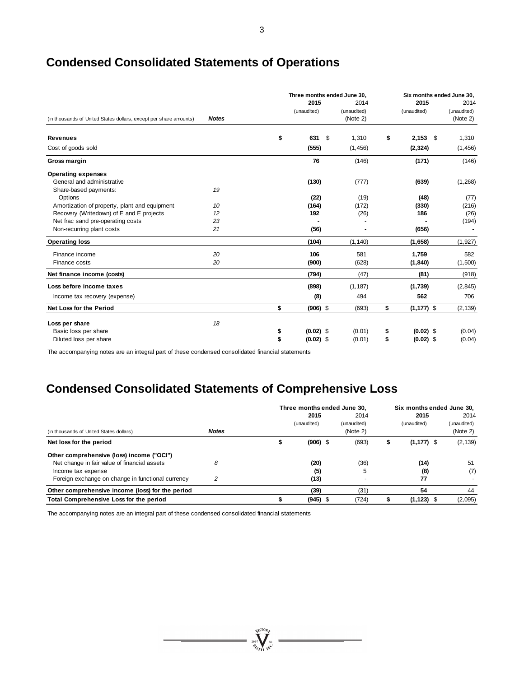|                                                                   |              | Three months ended June 30, |                                 | Six months ended June 30, |                                 |  |  |
|-------------------------------------------------------------------|--------------|-----------------------------|---------------------------------|---------------------------|---------------------------------|--|--|
| (in thousands of United States dollars, except per share amounts) | <b>Notes</b> | 2015<br>(unaudited)         | 2014<br>(unaudited)<br>(Note 2) | 2015<br>(unaudited)       | 2014<br>(unaudited)<br>(Note 2) |  |  |
| <b>Revenues</b>                                                   |              | \$<br>631                   | \$<br>1,310                     | \$<br>$2,153$ \$          | 1,310                           |  |  |
| Cost of goods sold                                                |              | (555)                       | (1, 456)                        | (2, 324)                  | (1, 456)                        |  |  |
| Gross margin                                                      |              | 76                          | (146)                           | (171)                     | (146)                           |  |  |
| <b>Operating expenses</b>                                         |              |                             |                                 |                           |                                 |  |  |
| General and administrative                                        |              | (130)                       | (777)                           | (639)                     | (1,268)                         |  |  |
| Share-based payments:                                             | 19           |                             |                                 |                           |                                 |  |  |
| Options                                                           |              | (22)                        | (19)                            | (48)                      | (77)                            |  |  |
| Amortization of property, plant and equipment                     | 10           | (164)                       | (172)                           | (330)                     | (216)                           |  |  |
| Recovery (Writedown) of E and E projects                          | 12           | 192                         | (26)                            | 186                       | (26)                            |  |  |
| Net frac sand pre-operating costs                                 | 23           |                             |                                 |                           | (194)                           |  |  |
| Non-recurring plant costs                                         | 21           | (56)                        |                                 | (656)                     |                                 |  |  |
| <b>Operating loss</b>                                             |              | (104)                       | (1, 140)                        | (1,658)                   | (1, 927)                        |  |  |
| Finance income                                                    | 20           | 106                         | 581                             | 1,759                     | 582                             |  |  |
| Finance costs                                                     | 20           | (900)                       | (628)                           | (1, 840)                  | (1,500)                         |  |  |
| Net finance income (costs)                                        |              | (794)                       | (47)                            | (81)                      | (918)                           |  |  |
| Loss before income taxes                                          |              | (898)                       | (1, 187)                        | (1,739)                   | (2, 845)                        |  |  |
| Income tax recovery (expense)                                     |              | (8)                         | 494                             | 562                       | 706                             |  |  |
| <b>Net Loss for the Period</b>                                    |              | \$<br>$(906)$ \$            | (693)                           | \$<br>$(1, 177)$ \$       | (2, 139)                        |  |  |
| Loss per share                                                    | 18           |                             |                                 |                           |                                 |  |  |
| Basic loss per share                                              |              | \$<br>$(0.02)$ \$           | (0.01)                          | \$<br>$(0.02)$ \$         | (0.04)                          |  |  |
| Diluted loss per share                                            |              | \$<br>$(0.02)$ \$           | (0.01)                          | \$<br>$(0.02)$ \$         | (0.04)                          |  |  |

## **Condensed Consolidated Statements of Operations**

The accompanying notes are an integral part of these condensed consolidated financial statements

## **Condensed Consolidated Statements of Comprehensive Loss**

|                                                   |              | Three months ended June 30.<br>2015 |  | Six months ended June 30.<br>2015 |  |               |                                 |
|---------------------------------------------------|--------------|-------------------------------------|--|-----------------------------------|--|---------------|---------------------------------|
| (in thousands of United States dollars)           | <b>Notes</b> | (unaudited)                         |  | 2014<br>(unaudited)<br>(Note 2)   |  | (unaudited)   | 2014<br>(unaudited)<br>(Note 2) |
| Net loss for the period                           |              | $(906)$ \$                          |  | (693)                             |  | $(1, 177)$ \$ | (2, 139)                        |
| Other comprehensive (loss) income ("OCI")         |              |                                     |  |                                   |  |               |                                 |
| Net change in fair value of financial assets      | 8            | (20)                                |  | (36)                              |  | (14)          | 51                              |
| Income tax expense                                |              | (5)                                 |  | 5                                 |  | (8)           | (7)                             |
| Foreign exchange on change in functional currency | 2            | (13)                                |  |                                   |  | 77            |                                 |
| Other comprehensive income (loss) for the period  |              | (39)                                |  | (31)                              |  | 54            | 44                              |
| Total Comprehensive Loss for the period           |              | $(945)$ \$                          |  | (724)                             |  | $(1, 123)$ \$ | (2,095)                         |

 $\sum_{2007}^{3007} \sum_{\ell\ell\ell\ell\ell\ell\ell}^{3007}$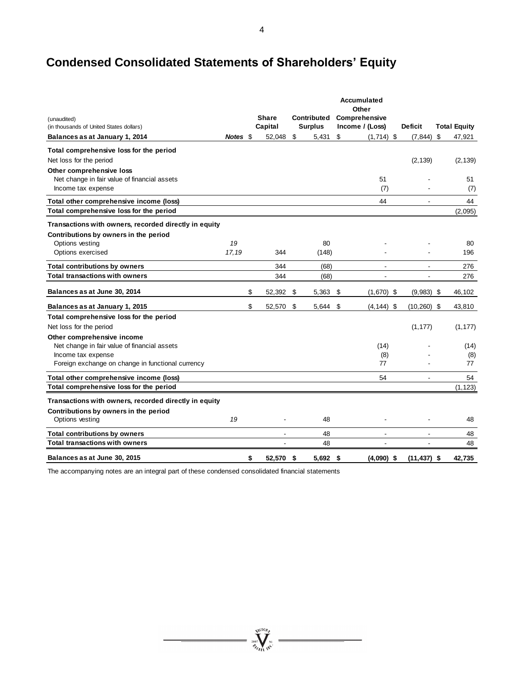## **Condensed Consolidated Statements of Shareholders' Equity**

|                                                                                                |          |                         |                               |     | <b>Accumulated</b><br>Other      |                          |                     |
|------------------------------------------------------------------------------------------------|----------|-------------------------|-------------------------------|-----|----------------------------------|--------------------------|---------------------|
| (unaudited)<br>(in thousands of United States dollars)                                         |          | <b>Share</b><br>Capital | Contributed<br><b>Surplus</b> |     | Comprehensive<br>Income / (Loss) | <b>Deficit</b>           | <b>Total Equity</b> |
| Balances as at January 1, 2014                                                                 | Notes \$ | 52,048                  | \$<br>5,431                   | \$  | $(1,714)$ \$                     | $(7, 844)$ \$            | 47,921              |
| Total comprehensive loss for the period                                                        |          |                         |                               |     |                                  |                          |                     |
| Net loss for the period                                                                        |          |                         |                               |     |                                  | (2, 139)                 | (2, 139)            |
| Other comprehensive loss<br>Net change in fair value of financial assets<br>Income tax expense |          |                         |                               |     | 51<br>(7)                        |                          | 51<br>(7)           |
| Total other comprehensive income (loss)                                                        |          |                         |                               |     | 44                               |                          | 44                  |
| Total comprehensive loss for the period                                                        |          |                         |                               |     |                                  |                          | (2,095)             |
| Transactions with owners, recorded directly in equity                                          |          |                         |                               |     |                                  |                          |                     |
| Contributions by owners in the period                                                          |          |                         |                               |     |                                  |                          |                     |
| Options vesting                                                                                | 19       |                         | 80                            |     |                                  |                          | 80                  |
| Options exercised                                                                              | 17,19    | 344                     | (148)                         |     |                                  |                          | 196                 |
| <b>Total contributions by owners</b>                                                           |          | 344                     | (68)                          |     | ۰                                | $\blacksquare$           | 276                 |
| <b>Total transactions with owners</b>                                                          |          | 344                     | (68)                          |     |                                  |                          | 276                 |
| Balances as at June 30, 2014                                                                   |          | \$<br>52,392            | \$<br>5,363                   | \$  | $(1,670)$ \$                     | $(9,983)$ \$             | 46,102              |
| Balances as at January 1, 2015                                                                 |          | \$<br>52,570            | \$<br>5,644                   | -\$ | $(4, 144)$ \$                    | $(10, 260)$ \$           | 43,810              |
| Total comprehensive loss for the period                                                        |          |                         |                               |     |                                  |                          |                     |
| Net loss for the period                                                                        |          |                         |                               |     |                                  | (1, 177)                 | (1, 177)            |
| Other comprehensive income                                                                     |          |                         |                               |     |                                  |                          |                     |
| Net change in fair value of financial assets                                                   |          |                         |                               |     | (14)                             |                          | (14)                |
| Income tax expense                                                                             |          |                         |                               |     | (8)                              |                          | (8)                 |
| Foreign exchange on change in functional currency                                              |          |                         |                               |     | 77                               |                          | 77                  |
| Total other comprehensive income (loss)                                                        |          |                         |                               |     | 54                               | $\overline{\phantom{a}}$ | 54                  |
| Total comprehensive loss for the period                                                        |          |                         |                               |     |                                  |                          | (1, 123)            |
| Transactions with owners, recorded directly in equity                                          |          |                         |                               |     |                                  |                          |                     |
| Contributions by owners in the period                                                          |          |                         |                               |     |                                  |                          |                     |
| Options vesting                                                                                | 19       |                         | 48                            |     |                                  |                          | 48                  |
| <b>Total contributions by owners</b>                                                           |          |                         | 48                            |     |                                  |                          | 48                  |
| <b>Total transactions with owners</b>                                                          |          |                         | 48                            |     |                                  |                          | 48                  |
| Balances as at June 30, 2015                                                                   |          | \$<br>52,570 \$         | $5,692$ \$                    |     | $(4,090)$ \$                     | $(11, 437)$ \$           | 42,735              |

 $\sum_{j_{00}\atop{\scriptstyle{\ell_{100}}}}^{\scriptstyle{\psi l(\mathrm{IO}_{\ell})}}\hspace{-0.1cm}\prod_{j_{0}\atop{\scriptstyle{\ell_{10}}}}^{\scriptstyle{\psi l(\mathrm{IO}_{\ell})}}$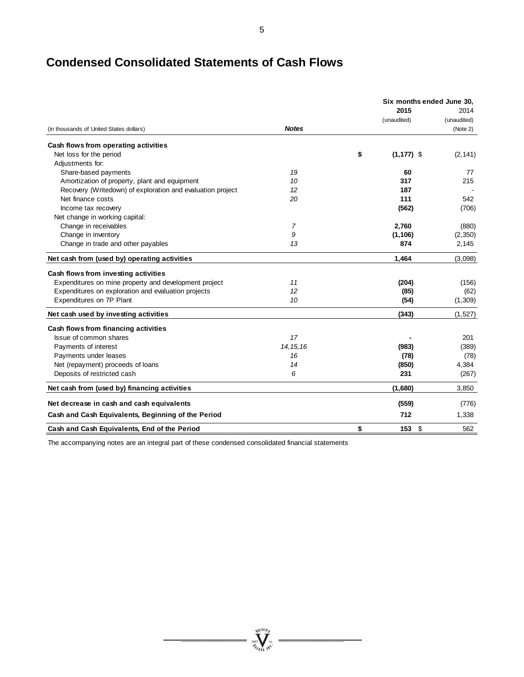## **Condensed Consolidated Statements of Cash Flows**

|                                                            |                | Six months ended June 30. |                         |  |  |
|------------------------------------------------------------|----------------|---------------------------|-------------------------|--|--|
|                                                            |                | 2015                      | 2014                    |  |  |
| (in thousands of United States dollars)                    | <b>Notes</b>   | (unaudited)               | (unaudited)<br>(Note 2) |  |  |
| Cash flows from operating activities                       |                |                           |                         |  |  |
| Net loss for the period                                    |                | \$<br>$(1, 177)$ \$       | (2, 141)                |  |  |
| Adjustments for:                                           |                |                           |                         |  |  |
| Share-based payments                                       | 19             | 60                        | 77                      |  |  |
| Amortization of property, plant and equipment              | 10             | 317                       | 215                     |  |  |
| Recovery (Writedown) of exploration and evaluation project | 12             | 187                       |                         |  |  |
| Net finance costs                                          | 20             | 111                       | 542                     |  |  |
| Income tax recovery                                        |                | (562)                     | (706)                   |  |  |
| Net change in working capital:                             |                |                           |                         |  |  |
| Change in receivables                                      | $\overline{7}$ | 2,760                     | (880)                   |  |  |
| Change in inventory                                        | 9              | (1, 106)                  | (2, 350)                |  |  |
| Change in trade and other payables                         | 13             | 874                       | 2,145                   |  |  |
| Net cash from (used by) operating activities               |                | 1,464                     | (3,098)                 |  |  |
| Cash flows from investing activities                       |                |                           |                         |  |  |
| Expenditures on mine property and development project      | 11             | (204)                     | (156)                   |  |  |
| Expenditures on exploration and evaluation projects        | 12             | (85)                      | (62)                    |  |  |
| Expenditures on 7P Plant                                   | 10             | (54)                      | (1,309)                 |  |  |
| Net cash used by investing activities                      |                | (343)                     | (1,527)                 |  |  |
| Cash flows from financing activities                       |                |                           |                         |  |  |
| Issue of common shares                                     | 17             |                           | 201                     |  |  |
| Payments of interest                                       | 14, 15, 16     | (983)                     | (389)                   |  |  |
| Payments under leases                                      | 16             | (78)                      | (78)                    |  |  |
| Net (repayment) proceeds of loans                          | 14             | (850)                     | 4,384                   |  |  |
| Deposits of restricted cash                                | 6              | 231                       | (267)                   |  |  |
| Net cash from (used by) financing activities               |                | (1,680)                   | 3.850                   |  |  |
| Net decrease in cash and cash equivalents                  |                | (559)                     | (776)                   |  |  |
| Cash and Cash Equivalents, Beginning of the Period         |                | 712                       | 1,338                   |  |  |
| Cash and Cash Equivalents, End of the Period               |                | \$<br>153<br>-\$          | 562                     |  |  |

 $\sum_{\substack{\mathbf{2007}\\ \mathbf{Z}_{\ell}}}\prod_{\mathbf{N}\in\mathbb{N}}^{\mathbf{N}(\mathbf{10}\mathbf{p}_{\ell})}$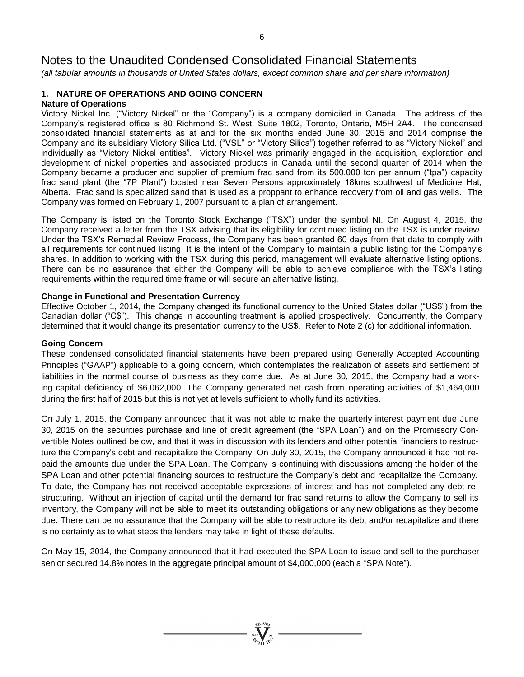*(all tabular amounts in thousands of United States dollars, except common share and per share information)*

#### **1. NATURE OF OPERATIONS AND GOING CONCERN Nature of Operations**

Victory Nickel Inc. ("Victory Nickel" or the "Company") is a company domiciled in Canada. The address of the Company's registered office is 80 Richmond St. West, Suite 1802, Toronto, Ontario, M5H 2A4. The condensed consolidated financial statements as at and for the six months ended June 30, 2015 and 2014 comprise the Company and its subsidiary Victory Silica Ltd. ("VSL" or "Victory Silica") together referred to as "Victory Nickel" and individually as "Victory Nickel entities". Victory Nickel was primarily engaged in the acquisition, exploration and development of nickel properties and associated products in Canada until the second quarter of 2014 when the Company became a producer and supplier of premium frac sand from its 500,000 ton per annum ("tpa") capacity frac sand plant (the "7P Plant") located near Seven Persons approximately 18kms southwest of Medicine Hat, Alberta. Frac sand is specialized sand that is used as a proppant to enhance recovery from oil and gas wells. The Company was formed on February 1, 2007 pursuant to a plan of arrangement.

The Company is listed on the Toronto Stock Exchange ("TSX") under the symbol NI. On August 4, 2015, the Company received a letter from the TSX advising that its eligibility for continued listing on the TSX is under review. Under the TSX's Remedial Review Process, the Company has been granted 60 days from that date to comply with all requirements for continued listing. It is the intent of the Company to maintain a public listing for the Company's shares. In addition to working with the TSX during this period, management will evaluate alternative listing options. There can be no assurance that either the Company will be able to achieve compliance with the TSX's listing requirements within the required time frame or will secure an alternative listing.

## **Change in Functional and Presentation Currency**

Effective October 1, 2014, the Company changed its functional currency to the United States dollar ("US\$") from the Canadian dollar ("C\$"). This change in accounting treatment is applied prospectively. Concurrently, the Company determined that it would change its presentation currency to the US\$. Refer to Note 2 (c) for additional information.

## **Going Concern**

These condensed consolidated financial statements have been prepared using Generally Accepted Accounting Principles ("GAAP") applicable to a going concern, which contemplates the realization of assets and settlement of liabilities in the normal course of business as they come due. As at June 30, 2015, the Company had a working capital deficiency of \$6,062,000. The Company generated net cash from operating activities of \$1,464,000 during the first half of 2015 but this is not yet at levels sufficient to wholly fund its activities.

On July 1, 2015, the Company announced that it was not able to make the quarterly interest payment due June 30, 2015 on the securities purchase and line of credit agreement (the "SPA Loan") and on the Promissory Convertible Notes outlined below, and that it was in discussion with its lenders and other potential financiers to restructure the Company's debt and recapitalize the Company. On July 30, 2015, the Company announced it had not repaid the amounts due under the SPA Loan. The Company is continuing with discussions among the holder of the SPA Loan and other potential financing sources to restructure the Company's debt and recapitalize the Company. To date, the Company has not received acceptable expressions of interest and has not completed any debt restructuring. Without an injection of capital until the demand for frac sand returns to allow the Company to sell its inventory, the Company will not be able to meet its outstanding obligations or any new obligations as they become due. There can be no assurance that the Company will be able to restructure its debt and/or recapitalize and there is no certainty as to what steps the lenders may take in light of these defaults.

On May 15, 2014, the Company announced that it had executed the SPA Loan to issue and sell to the purchaser senior secured 14.8% notes in the aggregate principal amount of \$4,000,000 (each a "SPA Note").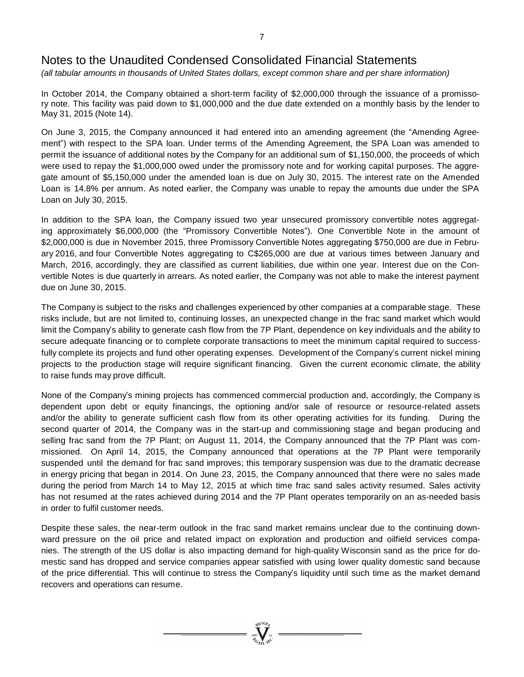*(all tabular amounts in thousands of United States dollars, except common share and per share information)*

In October 2014, the Company obtained a short-term facility of \$2,000,000 through the issuance of a promissory note. This facility was paid down to \$1,000,000 and the due date extended on a monthly basis by the lender to May 31, 2015 (Note 14).

On June 3, 2015, the Company announced it had entered into an amending agreement (the "Amending Agreement") with respect to the SPA loan. Under terms of the Amending Agreement, the SPA Loan was amended to permit the issuance of additional notes by the Company for an additional sum of \$1,150,000, the proceeds of which were used to repay the \$1,000,000 owed under the promissory note and for working capital purposes. The aggregate amount of \$5,150,000 under the amended loan is due on July 30, 2015. The interest rate on the Amended Loan is 14.8% per annum. As noted earlier, the Company was unable to repay the amounts due under the SPA Loan on July 30, 2015.

In addition to the SPA loan, the Company issued two year unsecured promissory convertible notes aggregating approximately \$6,000,000 (the "Promissory Convertible Notes"). One Convertible Note in the amount of \$2,000,000 is due in November 2015, three Promissory Convertible Notes aggregating \$750,000 are due in February 2016, and four Convertible Notes aggregating to C\$265,000 are due at various times between January and March, 2016, accordingly, they are classified as current liabilities, due within one year. Interest due on the Convertible Notes is due quarterly in arrears. As noted earlier, the Company was not able to make the interest payment due on June 30, 2015.

The Company is subject to the risks and challenges experienced by other companies at a comparable stage. These risks include, but are not limited to, continuing losses, an unexpected change in the frac sand market which would limit the Company's ability to generate cash flow from the 7P Plant, dependence on key individuals and the ability to secure adequate financing or to complete corporate transactions to meet the minimum capital required to successfully complete its projects and fund other operating expenses. Development of the Company's current nickel mining projects to the production stage will require significant financing. Given the current economic climate, the ability to raise funds may prove difficult.

None of the Company's mining projects has commenced commercial production and, accordingly, the Company is dependent upon debt or equity financings, the optioning and/or sale of resource or resource-related assets and/or the ability to generate sufficient cash flow from its other operating activities for its funding. During the second quarter of 2014, the Company was in the start-up and commissioning stage and began producing and selling frac sand from the 7P Plant; on August 11, 2014, the Company announced that the 7P Plant was commissioned. On April 14, 2015, the Company announced that operations at the 7P Plant were temporarily suspended until the demand for frac sand improves; this temporary suspension was due to the dramatic decrease in energy pricing that began in 2014. On June 23, 2015, the Company announced that there were no sales made during the period from March 14 to May 12, 2015 at which time frac sand sales activity resumed. Sales activity has not resumed at the rates achieved during 2014 and the 7P Plant operates temporarily on an as-needed basis in order to fulfil customer needs.

Despite these sales, the near-term outlook in the frac sand market remains unclear due to the continuing downward pressure on the oil price and related impact on exploration and production and oilfield services companies. The strength of the US dollar is also impacting demand for high-quality Wisconsin sand as the price for domestic sand has dropped and service companies appear satisfied with using lower quality domestic sand because of the price differential. This will continue to stress the Company's liquidity until such time as the market demand recovers and operations can resume.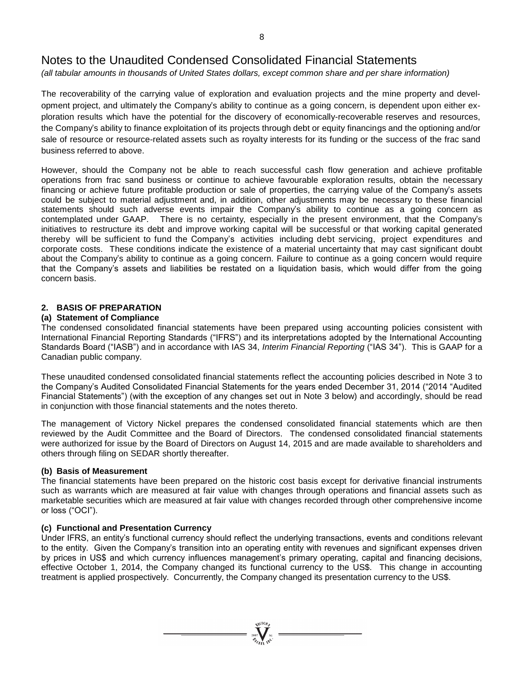*(all tabular amounts in thousands of United States dollars, except common share and per share information)*

The recoverability of the carrying value of exploration and evaluation projects and the mine property and development project, and ultimately the Company's ability to continue as a going concern, is dependent upon either exploration results which have the potential for the discovery of economically-recoverable reserves and resources, the Company's ability to finance exploitation of its projects through debt or equity financings and the optioning and/or sale of resource or resource-related assets such as royalty interests for its funding or the success of the frac sand business referred to above.

However, should the Company not be able to reach successful cash flow generation and achieve profitable operations from frac sand business or continue to achieve favourable exploration results, obtain the necessary financing or achieve future profitable production or sale of properties, the carrying value of the Company's assets could be subject to material adjustment and, in addition, other adjustments may be necessary to these financial statements should such adverse events impair the Company's ability to continue as a going concern as contemplated under GAAP. There is no certainty, especially in the present environment, that the Company's initiatives to restructure its debt and improve working capital will be successful or that working capital generated thereby will be sufficient to fund the Company's activities including debt servicing, project expenditures and corporate costs. These conditions indicate the existence of a material uncertainty that may cast significant doubt about the Company's ability to continue as a going concern. Failure to continue as a going concern would require that the Company's assets and liabilities be restated on a liquidation basis, which would differ from the going concern basis.

## **2. BASIS OF PREPARATION**

## **(a) Statement of Compliance**

The condensed consolidated financial statements have been prepared using accounting policies consistent with International Financial Reporting Standards ("IFRS") and its interpretations adopted by the International Accounting Standards Board ("IASB") and in accordance with IAS 34, *Interim Financial Reporting* ("IAS 34"). This is GAAP for a Canadian public company.

These unaudited condensed consolidated financial statements reflect the accounting policies described in Note 3 to the Company's Audited Consolidated Financial Statements for the years ended December 31, 2014 ("2014 "Audited Financial Statements") (with the exception of any changes set out in Note 3 below) and accordingly, should be read in conjunction with those financial statements and the notes thereto.

The management of Victory Nickel prepares the condensed consolidated financial statements which are then reviewed by the Audit Committee and the Board of Directors. The condensed consolidated financial statements were authorized for issue by the Board of Directors on August 14, 2015 and are made available to shareholders and others through filing on SEDAR shortly thereafter.

## **(b) Basis of Measurement**

The financial statements have been prepared on the historic cost basis except for derivative financial instruments such as warrants which are measured at fair value with changes through operations and financial assets such as marketable securities which are measured at fair value with changes recorded through other comprehensive income or loss ("OCI").

## **(c) Functional and Presentation Currency**

Under IFRS, an entity's functional currency should reflect the underlying transactions, events and conditions relevant to the entity. Given the Company's transition into an operating entity with revenues and significant expenses driven by prices in US\$ and which currency influences management's primary operating, capital and financing decisions, effective October 1, 2014, the Company changed its functional currency to the US\$. This change in accounting treatment is applied prospectively. Concurrently, the Company changed its presentation currency to the US\$.

 $\sum_{n=1}^{\text{NUCD}}$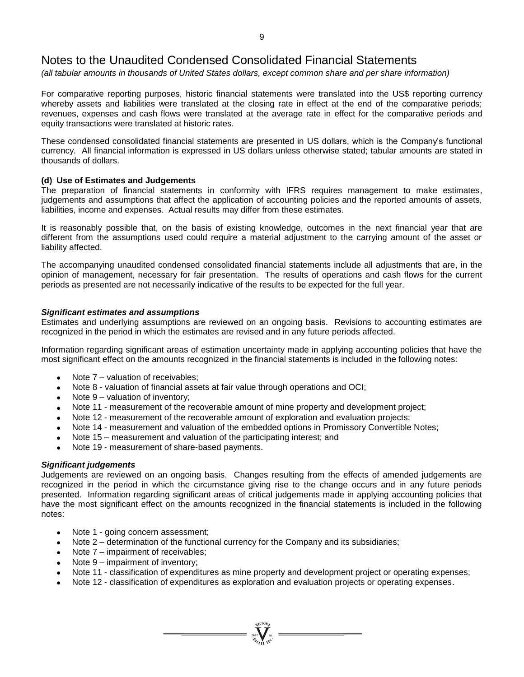*(all tabular amounts in thousands of United States dollars, except common share and per share information)*

For comparative reporting purposes, historic financial statements were translated into the US\$ reporting currency whereby assets and liabilities were translated at the closing rate in effect at the end of the comparative periods; revenues, expenses and cash flows were translated at the average rate in effect for the comparative periods and equity transactions were translated at historic rates.

These condensed consolidated financial statements are presented in US dollars, which is the Company's functional currency. All financial information is expressed in US dollars unless otherwise stated; tabular amounts are stated in thousands of dollars.

## **(d) Use of Estimates and Judgements**

The preparation of financial statements in conformity with IFRS requires management to make estimates, judgements and assumptions that affect the application of accounting policies and the reported amounts of assets, liabilities, income and expenses. Actual results may differ from these estimates.

It is reasonably possible that, on the basis of existing knowledge, outcomes in the next financial year that are different from the assumptions used could require a material adjustment to the carrying amount of the asset or liability affected.

The accompanying unaudited condensed consolidated financial statements include all adjustments that are, in the opinion of management, necessary for fair presentation. The results of operations and cash flows for the current periods as presented are not necessarily indicative of the results to be expected for the full year.

### *Significant estimates and assumptions*

Estimates and underlying assumptions are reviewed on an ongoing basis. Revisions to accounting estimates are recognized in the period in which the estimates are revised and in any future periods affected.

Information regarding significant areas of estimation uncertainty made in applying accounting policies that have the most significant effect on the amounts recognized in the financial statements is included in the following notes:

- Note 7 valuation of receivables;
- Note 8 valuation of financial assets at fair value through operations and OCI;
- Note 9 valuation of inventory;
- Note 11 measurement of the recoverable amount of mine property and development project;
- Note 12 measurement of the recoverable amount of exploration and evaluation projects;
- Note 14 measurement and valuation of the embedded options in Promissory Convertible Notes;
- Note 15 measurement and valuation of the participating interest; and
- Note 19 measurement of share-based payments.

#### *Significant judgements*

Judgements are reviewed on an ongoing basis. Changes resulting from the effects of amended judgements are recognized in the period in which the circumstance giving rise to the change occurs and in any future periods presented. Information regarding significant areas of critical judgements made in applying accounting policies that have the most significant effect on the amounts recognized in the financial statements is included in the following notes:

- Note 1 going concern assessment;
- Note 2 determination of the functional currency for the Company and its subsidiaries;
- Note 7 impairment of receivables;
- Note 9 impairment of inventory;
- Note 11 classification of expenditures as mine property and development project or operating expenses;

 $\sum_{2007}$  Wellon

Note 12 - classification of expenditures as exploration and evaluation projects or operating expenses.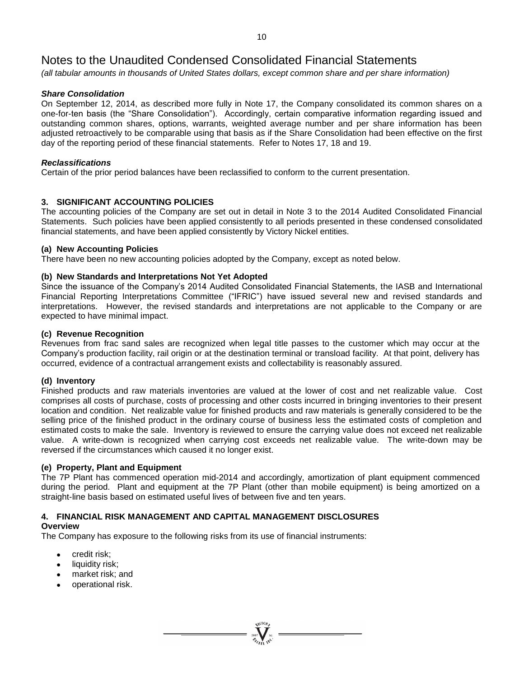*(all tabular amounts in thousands of United States dollars, except common share and per share information)*

## *Share Consolidation*

On September 12, 2014, as described more fully in Note 17, the Company consolidated its common shares on a one-for-ten basis (the "Share Consolidation"). Accordingly, certain comparative information regarding issued and outstanding common shares, options, warrants, weighted average number and per share information has been adjusted retroactively to be comparable using that basis as if the Share Consolidation had been effective on the first day of the reporting period of these financial statements. Refer to Notes 17, 18 and 19.

## *Reclassifications*

Certain of the prior period balances have been reclassified to conform to the current presentation.

## **3. SIGNIFICANT ACCOUNTING POLICIES**

The accounting policies of the Company are set out in detail in Note 3 to the 2014 Audited Consolidated Financial Statements. Such policies have been applied consistently to all periods presented in these condensed consolidated financial statements, and have been applied consistently by Victory Nickel entities.

## **(a) New Accounting Policies**

There have been no new accounting policies adopted by the Company, except as noted below.

## **(b) New Standards and Interpretations Not Yet Adopted**

Since the issuance of the Company's 2014 Audited Consolidated Financial Statements, the IASB and International Financial Reporting Interpretations Committee ("IFRIC") have issued several new and revised standards and interpretations. However, the revised standards and interpretations are not applicable to the Company or are expected to have minimal impact.

## **(c) Revenue Recognition**

Revenues from frac sand sales are recognized when legal title passes to the customer which may occur at the Company's production facility, rail origin or at the destination terminal or transload facility. At that point, delivery has occurred, evidence of a contractual arrangement exists and collectability is reasonably assured.

## **(d) Inventory**

Finished products and raw materials inventories are valued at the lower of cost and net realizable value. Cost comprises all costs of purchase, costs of processing and other costs incurred in bringing inventories to their present location and condition. Net realizable value for finished products and raw materials is generally considered to be the selling price of the finished product in the ordinary course of business less the estimated costs of completion and estimated costs to make the sale. Inventory is reviewed to ensure the carrying value does not exceed net realizable value. A write-down is recognized when carrying cost exceeds net realizable value. The write-down may be reversed if the circumstances which caused it no longer exist.

## **(e) Property, Plant and Equipment**

The 7P Plant has commenced operation mid-2014 and accordingly, amortization of plant equipment commenced during the period. Plant and equipment at the 7P Plant (other than mobile equipment) is being amortized on a straight-line basis based on estimated useful lives of between five and ten years.

## **4. FINANCIAL RISK MANAGEMENT AND CAPITAL MANAGEMENT DISCLOSURES**

## **Overview**

The Company has exposure to the following risks from its use of financial instruments:

- credit risk;
- liquidity risk;
- market risk; and
- operational risk.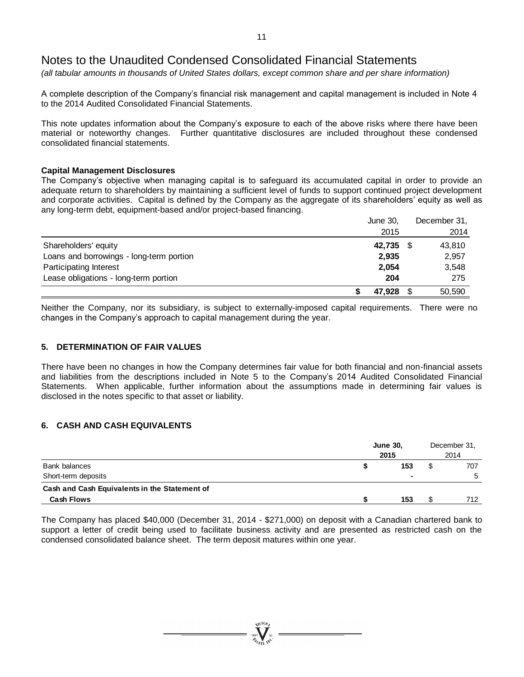*(all tabular amounts in thousands of United States dollars, except common share and per share information)*

A complete description of the Company's financial risk management and capital management is included in Note 4 to the 2014 Audited Consolidated Financial Statements.

This note updates information about the Company's exposure to each of the above risks where there have been material or noteworthy changes. Further quantitative disclosures are included throughout these condensed consolidated financial statements.

## **Capital Management Disclosures**

The Company's objective when managing capital is to safeguard its accumulated capital in order to provide an adequate return to shareholders by maintaining a sufficient level of funds to support continued project development and corporate activities. Capital is defined by the Company as the aggregate of its shareholders' equity as well as any long-term debt, equipment-based and/or project-based financing.

|                                          | June 30,  | December 31, |
|------------------------------------------|-----------|--------------|
|                                          | 2015      | 2014         |
| Shareholders' equity                     | 42,735 \$ | 43,810       |
| Loans and borrowings - long-term portion | 2,935     | 2,957        |
| Participating Interest                   | 2,054     | 3,548        |
| Lease obligations - long-term portion    | 204       | 275          |
|                                          | 47.928    | 50,590       |

Neither the Company, nor its subsidiary, is subject to externally-imposed capital requirements. There were no changes in the Company's approach to capital management during the year.

## **5. DETERMINATION OF FAIR VALUES**

There have been no changes in how the Company determines fair value for both financial and non-financial assets and liabilities from the descriptions included in Note 5 to the Company's 2014 Audited Consolidated Financial Statements. When applicable, further information about the assumptions made in determining fair values is disclosed in the notes specific to that asset or liability.

## **6. CASH AND CASH EQUIVALENTS**

|                                                                      | <b>June 30,</b><br>2015 | December 31,<br>2014 |   |              |
|----------------------------------------------------------------------|-------------------------|----------------------|---|--------------|
| Bank balances                                                        |                         | 153                  | S | 707          |
| Short-term deposits<br>Cash and Cash Equivalents in the Statement of |                         | $\blacksquare$       |   | <sub>5</sub> |
| <b>Cash Flows</b>                                                    |                         | 153                  |   | 712          |

The Company has placed \$40,000 (December 31, 2014 - \$271,000) on deposit with a Canadian chartered bank to support a letter of credit being used to facilitate business activity and are presented as restricted cash on the condensed consolidated balance sheet. The term deposit matures within one year.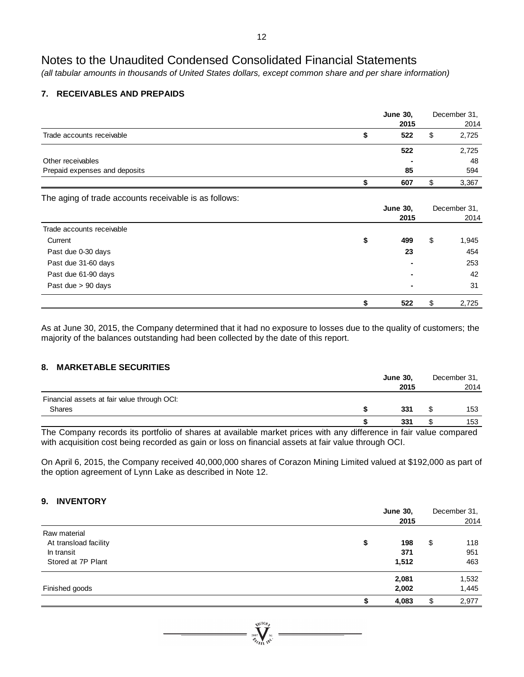*(all tabular amounts in thousands of United States dollars, except common share and per share information)*

## **7. RECEIVABLES AND PREPAIDS**

|                                                       | <b>June 30,</b><br>2015 | December 31,<br>2014 |
|-------------------------------------------------------|-------------------------|----------------------|
| Trade accounts receivable                             | \$<br>522               | \$<br>2,725          |
|                                                       | 522                     | 2,725                |
| Other receivables                                     |                         | 48                   |
| Prepaid expenses and deposits                         | 85                      | 594                  |
|                                                       | \$<br>607               | \$<br>3,367          |
| The aging of trade accounts receivable is as follows: |                         |                      |
|                                                       | <b>June 30,</b>         | December 31,         |
|                                                       | 2015                    | 2014                 |
| Trade accounts receivable                             |                         |                      |
| Current                                               | \$<br>499               | \$<br>1,945          |
| Past due 0-30 days                                    | 23                      | 454                  |
| Past due 31-60 days                                   |                         | 253                  |
| Past due 61-90 days                                   |                         | 42                   |
| Past due $> 90$ days                                  |                         | 31                   |
|                                                       | 522                     | \$<br>2,725          |

As at June 30, 2015, the Company determined that it had no exposure to losses due to the quality of customers; the majority of the balances outstanding had been collected by the date of this report.

## **8. MARKETABLE SECURITIES**

|                                             |            | <b>June 30,</b> |   | December 31, |  |
|---------------------------------------------|------------|-----------------|---|--------------|--|
|                                             |            | 2015            |   | 2014         |  |
| Financial assets at fair value through OCI: |            |                 |   |              |  |
| Shares                                      |            | 331             | S | 153          |  |
|                                             |            | 331             |   | 153          |  |
| $\sim$<br>.<br>.<br>$\sim$                  | <br>$\sim$ | . .             |   |              |  |

The Company records its portfolio of shares at available market prices with any difference in fair value compared with acquisition cost being recorded as gain or loss on financial assets at fair value through OCI.

On April 6, 2015, the Company received 40,000,000 shares of Corazon Mining Limited valued at \$192,000 as part of the option agreement of Lynn Lake as described in Note 12.

## **9. INVENTORY**

|                       | <b>June 30,</b> |    | December 31, |
|-----------------------|-----------------|----|--------------|
|                       | 2015            |    | 2014         |
| Raw material          |                 |    |              |
| At transload facility | \$<br>198       | \$ | 118          |
| In transit            | 371             |    | 951          |
| Stored at 7P Plant    | 1,512           |    | 463          |
|                       | 2,081           |    | 1,532        |
| Finished goods        | 2,002           |    | 1,445        |
|                       | 4,083           | S  | 2,977        |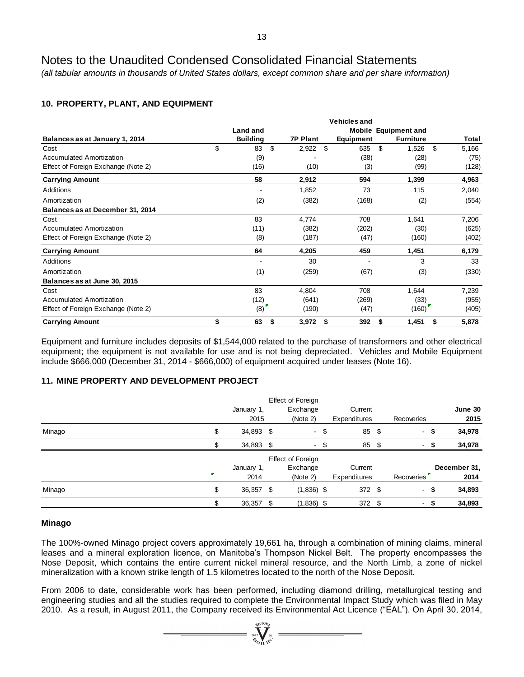*(all tabular amounts in thousands of United States dollars, except common share and per share information)*

## **10. PROPERTY, PLANT, AND EQUIPMENT**

|                                     | <b>Vehicles and</b> |                 |    |                 |    |           |                             |                  |    |       |  |
|-------------------------------------|---------------------|-----------------|----|-----------------|----|-----------|-----------------------------|------------------|----|-------|--|
|                                     |                     | Land and        |    |                 |    |           | <b>Mobile Equipment and</b> |                  |    |       |  |
| Balances as at January 1, 2014      |                     | <b>Building</b> |    | <b>7P Plant</b> |    | Equipment |                             | <b>Furniture</b> |    | Total |  |
| Cost                                | \$                  | 83              | \$ | 2,922           | \$ | 635       | \$                          | 1,526            | \$ | 5,166 |  |
| <b>Accumulated Amortization</b>     |                     | (9)             |    |                 |    | (38)      |                             | (28)             |    | (75)  |  |
| Effect of Foreign Exchange (Note 2) |                     | (16)            |    | (10)            |    | (3)       |                             | (99)             |    | (128) |  |
| <b>Carrying Amount</b>              |                     | 58              |    | 2,912           |    | 594       |                             | 1,399            |    | 4,963 |  |
| Additions                           |                     |                 |    | 1,852           |    | 73        |                             | 115              |    | 2,040 |  |
| Amortization                        |                     | (2)             |    | (382)           |    | (168)     |                             | (2)              |    | (554) |  |
| Balances as at December 31, 2014    |                     |                 |    |                 |    |           |                             |                  |    |       |  |
| Cost                                |                     | 83              |    | 4,774           |    | 708       |                             | 1,641            |    | 7,206 |  |
| <b>Accumulated Amortization</b>     |                     | (11)            |    | (382)           |    | (202)     |                             | (30)             |    | (625) |  |
| Effect of Foreign Exchange (Note 2) |                     | (8)             |    | (187)           |    | (47)      |                             | (160)            |    | (402) |  |
| <b>Carrying Amount</b>              |                     | 64              |    | 4,205           |    | 459       |                             | 1,451            |    | 6,179 |  |
| Additions                           |                     |                 |    | 30              |    |           |                             | 3                |    | 33    |  |
| Amortization                        |                     | (1)             |    | (259)           |    | (67)      |                             | (3)              |    | (330) |  |
| Balances as at June 30, 2015        |                     |                 |    |                 |    |           |                             |                  |    |       |  |
| Cost                                |                     | 83              |    | 4,804           |    | 708       |                             | 1,644            |    | 7,239 |  |
| <b>Accumulated Amortization</b>     |                     | (12)            |    | (641)           |    | (269)     |                             | (33)             |    | (955) |  |
| Effect of Foreign Exchange (Note 2) |                     | (8)             |    | (190)           |    | (47)      |                             | (160)            |    | (405) |  |
| <b>Carrying Amount</b>              | \$                  | 63              | S  | 3,972           | \$ | 392       | \$                          | 1,451            | \$ | 5,878 |  |

Equipment and furniture includes deposits of \$1,544,000 related to the purchase of transformers and other electrical equipment; the equipment is not available for use and is not being depreciated. Vehicles and Mobile Equipment include \$666,000 (December 31, 2014 - \$666,000) of equipment acquired under leases (Note 16).

## **11. MINE PROPERTY AND DEVELOPMENT PROJECT**

|        | Effect of Foreign |  |                   |      |              |      |                   |  |              |
|--------|-------------------|--|-------------------|------|--------------|------|-------------------|--|--------------|
|        | January 1,        |  | Exchange          |      | Current      |      |                   |  | June 30      |
|        | 2015              |  | (Note 2)          |      | Expenditures |      | Recoveries        |  | 2015         |
| Minago | \$<br>34,893 \$   |  |                   | - \$ | 85           | - \$ | - \$              |  | 34,978       |
|        | 34,893 \$         |  |                   | - \$ | 85           | - \$ | - \$<br>$\sim$    |  | 34,978       |
|        |                   |  | Effect of Foreign |      |              |      |                   |  |              |
|        | January 1,        |  | Exchange          |      | Current      |      |                   |  | December 31, |
|        | 2014              |  | (Note 2)          |      | Expenditures |      | Recoveries        |  | 2014         |
| Minago | \$<br>36,357 \$   |  | $(1,836)$ \$      |      | 372 \$       |      | - \$              |  | 34,893       |
|        | \$<br>36,357 \$   |  | $(1,836)$ \$      |      | 372 \$       |      | -\$<br>$\sim$ $-$ |  | 34,893       |

## **Minago**

The 100%-owned Minago project covers approximately 19,661 ha, through a combination of mining claims, mineral leases and a mineral exploration licence, on Manitoba's Thompson Nickel Belt. The property encompasses the Nose Deposit, which contains the entire current nickel mineral resource, and the North Limb, a zone of nickel mineralization with a known strike length of 1.5 kilometres located to the north of the Nose Deposit.

From 2006 to date, considerable work has been performed, including diamond drilling, metallurgical testing and engineering studies and all the studies required to complete the Environmental Impact Study which was filed in May 2010. As a result, in August 2011, the Company received its Environmental Act Licence ("EAL"). On April 30, 2014,

 $\sum_{2007}$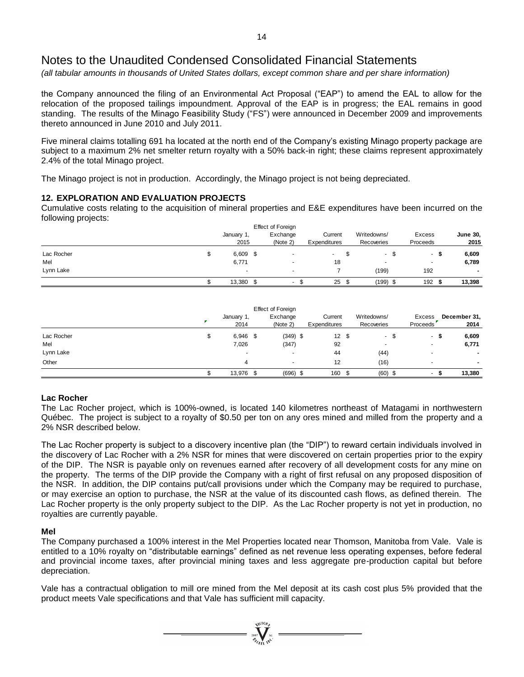*(all tabular amounts in thousands of United States dollars, except common share and per share information)*

the Company announced the filing of an Environmental Act Proposal ("EAP") to amend the EAL to allow for the relocation of the proposed tailings impoundment. Approval of the EAP is in progress; the EAL remains in good standing. The results of the Minago Feasibility Study ("FS") were announced in December 2009 and improvements thereto announced in June 2010 and July 2011.

Five mineral claims totalling 691 ha located at the north end of the Company's existing Minago property package are subject to a maximum 2% net smelter return royalty with a 50% back-in right; these claims represent approximately 2.4% of the total Minago project.

The Minago project is not in production. Accordingly, the Minago project is not being depreciated.

## **12. EXPLORATION AND EVALUATION PROJECTS**

Cumulative costs relating to the acquisition of mineral properties and E&E expenditures have been incurred on the following projects:

|            |                    | Effect of Foreign    |                         |     |                           |                    |                          |
|------------|--------------------|----------------------|-------------------------|-----|---------------------------|--------------------|--------------------------|
|            | January 1,<br>2015 | Exchange<br>(Note 2) | Current<br>Expenditures |     | Writedowns/<br>Recoveries | Excess<br>Proceeds | <b>June 30,</b><br>2015  |
| Lac Rocher | \$<br>$6,609$ \$   |                      |                         | JЭ. | $\sim$                    | S<br>۰.            | 6,609                    |
| Mel        | 6,771              |                      | 18                      |     | $\overline{\phantom{a}}$  | $\sim$             | 6,789                    |
| Lynn Lake  |                    |                      |                         |     | (199)                     | 192                | $\overline{\phantom{a}}$ |
|            | 13,380             | $\sim$               | 25                      |     | $(199)$ \$                | 192                | 13,398                   |

|            | January 1,<br>2014 | <b>Effect of Foreign</b><br>Exchange<br>(Note 2) |  | Current |  | Expenditures |  |                          |   | Writedowns/<br>Recoveries |  | Excess<br>Proceeds |  | December 31,<br>2014 |
|------------|--------------------|--------------------------------------------------|--|---------|--|--------------|--|--------------------------|---|---------------------------|--|--------------------|--|----------------------|
| Lac Rocher | \$<br>$6,946$ \$   | $(349)$ \$                                       |  | 12S     |  | - \$         |  | $\sim$                   | ъ | 6,609                     |  |                    |  |                      |
| Mel        | 7,026              | (347)                                            |  | 92      |  | ۰            |  | ۰                        |   | 6,771                     |  |                    |  |                      |
| Lynn Lake  | $\sim$             | $\overline{a}$                                   |  | 44      |  | (44)         |  | $\overline{\phantom{0}}$ |   | $\overline{\phantom{a}}$  |  |                    |  |                      |
| Other      | 4                  | $\overline{\phantom{a}}$                         |  | 12      |  | (16)         |  | $\overline{\phantom{0}}$ |   | $\overline{\phantom{a}}$  |  |                    |  |                      |
|            | 13,976             | \$<br>$(696)$ \$                                 |  | 160     |  | $(60)$ \$    |  | ۰.                       |   | 13,380                    |  |                    |  |                      |

## **Lac Rocher**

The Lac Rocher project, which is 100%-owned, is located 140 kilometres northeast of Matagami in northwestern Québec. The project is subject to a royalty of \$0.50 per ton on any ores mined and milled from the property and a 2% NSR described below.

The Lac Rocher property is subject to a discovery incentive plan (the "DIP") to reward certain individuals involved in the discovery of Lac Rocher with a 2% NSR for mines that were discovered on certain properties prior to the expiry of the DIP. The NSR is payable only on revenues earned after recovery of all development costs for any mine on the property. The terms of the DIP provide the Company with a right of first refusal on any proposed disposition of the NSR. In addition, the DIP contains put/call provisions under which the Company may be required to purchase, or may exercise an option to purchase, the NSR at the value of its discounted cash flows, as defined therein. The Lac Rocher property is the only property subject to the DIP. As the Lac Rocher property is not yet in production, no royalties are currently payable.

## **Mel**

The Company purchased a 100% interest in the Mel Properties located near Thomson, Manitoba from Vale. Vale is entitled to a 10% royalty on "distributable earnings" defined as net revenue less operating expenses, before federal and provincial income taxes, after provincial mining taxes and less aggregate pre-production capital but before depreciation.

Vale has a contractual obligation to mill ore mined from the Mel deposit at its cash cost plus 5% provided that the product meets Vale specifications and that Vale has sufficient mill capacity.

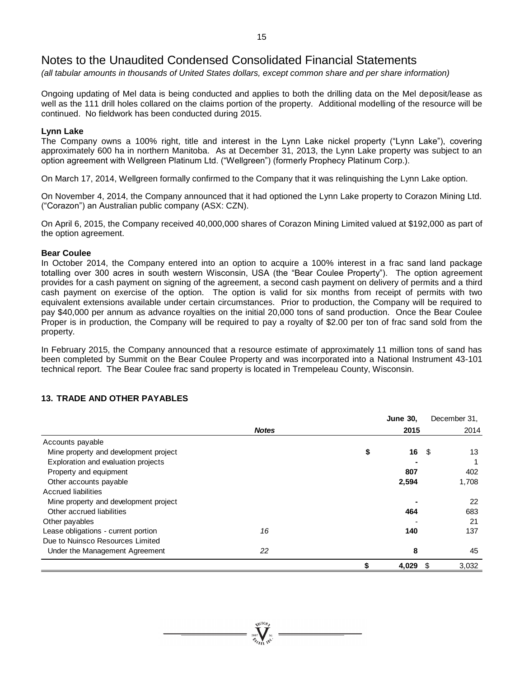*(all tabular amounts in thousands of United States dollars, except common share and per share information)*

Ongoing updating of Mel data is being conducted and applies to both the drilling data on the Mel deposit/lease as well as the 111 drill holes collared on the claims portion of the property. Additional modelling of the resource will be continued. No fieldwork has been conducted during 2015.

## **Lynn Lake**

The Company owns a 100% right, title and interest in the Lynn Lake nickel property ("Lynn Lake"), covering approximately 600 ha in northern Manitoba. As at December 31, 2013, the Lynn Lake property was subject to an option agreement with Wellgreen Platinum Ltd. ("Wellgreen") (formerly Prophecy Platinum Corp.).

On March 17, 2014, Wellgreen formally confirmed to the Company that it was relinquishing the Lynn Lake option.

On November 4, 2014, the Company announced that it had optioned the Lynn Lake property to Corazon Mining Ltd. ("Corazon") an Australian public company (ASX: CZN).

On April 6, 2015, the Company received 40,000,000 shares of Corazon Mining Limited valued at \$192,000 as part of the option agreement.

## **Bear Coulee**

In October 2014, the Company entered into an option to acquire a 100% interest in a frac sand land package totalling over 300 acres in south western Wisconsin, USA (the "Bear Coulee Property"). The option agreement provides for a cash payment on signing of the agreement, a second cash payment on delivery of permits and a third cash payment on exercise of the option. The option is valid for six months from receipt of permits with two equivalent extensions available under certain circumstances. Prior to production, the Company will be required to pay \$40,000 per annum as advance royalties on the initial 20,000 tons of sand production. Once the Bear Coulee Proper is in production, the Company will be required to pay a royalty of \$2.00 per ton of frac sand sold from the property.

In February 2015, the Company announced that a resource estimate of approximately 11 million tons of sand has been completed by Summit on the Bear Coulee Property and was incorporated into a National Instrument 43-101 technical report. The Bear Coulee frac sand property is located in Trempeleau County, Wisconsin.

## **13. TRADE AND OTHER PAYABLES**

|                                       |              |    | <b>June 30,</b> | December 31, |
|---------------------------------------|--------------|----|-----------------|--------------|
|                                       | <b>Notes</b> |    | 2015            | 2014         |
| Accounts payable                      |              |    |                 |              |
| Mine property and development project |              | S  | 16              | 13<br>- \$   |
| Exploration and evaluation projects   |              |    |                 |              |
| Property and equipment                |              |    | 807             | 402          |
| Other accounts payable                |              |    | 2,594           | 1,708        |
| Accrued liabilities                   |              |    |                 |              |
| Mine property and development project |              |    |                 | 22           |
| Other accrued liabilities             |              |    | 464             | 683          |
| Other payables                        |              |    |                 | 21           |
| Lease obligations - current portion   | 16           |    | 140             | 137          |
| Due to Nuinsco Resources Limited      |              |    |                 |              |
| Under the Management Agreement        | 22           |    | 8               | 45           |
|                                       |              | \$ | 4,029           | 3,032<br>\$. |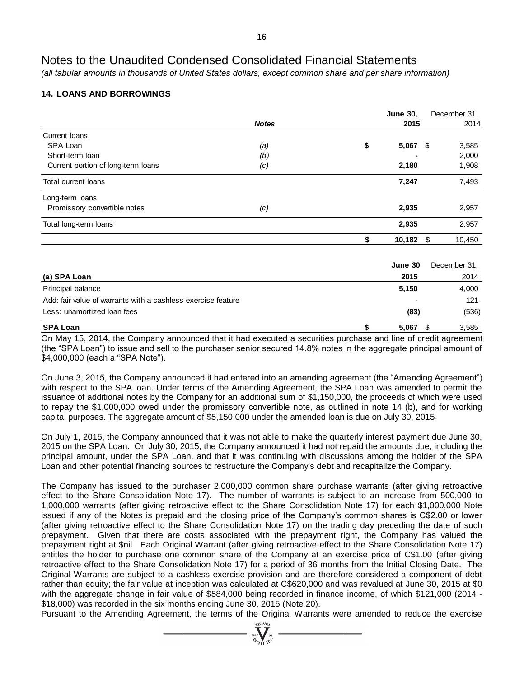*(all tabular amounts in thousands of United States dollars, except common share and per share information)*

## **14. LOANS AND BORROWINGS**

|                                                              |              | <b>June 30,</b>  | December 31, |
|--------------------------------------------------------------|--------------|------------------|--------------|
|                                                              | <b>Notes</b> | 2015             | 2014         |
| Current Ioans                                                |              |                  |              |
| SPA Loan                                                     | (a)          | \$<br>$5,067$ \$ | 3,585        |
| Short-term Ioan                                              | (b)          |                  | 2,000        |
| Current portion of long-term loans                           | (c)          | 2,180            | 1,908        |
| Total current loans                                          |              | 7,247            | 7,493        |
| Long-term loans                                              |              |                  |              |
| Promissory convertible notes                                 | (c)          | 2,935            | 2,957        |
| Total long-term loans                                        |              | 2,935            | 2,957        |
|                                                              |              | \$<br>10,182     | \$<br>10,450 |
|                                                              |              |                  |              |
|                                                              |              | June 30          | December 31, |
| (a) SPA Loan                                                 |              | 2015             | 2014         |
| Principal balance                                            |              | 5,150            | 4,000        |
| Add: fair value of warrants with a cashless exercise feature |              |                  | 121          |
| Less: unamortized loan fees                                  |              | (83)             | (536)        |
| <b>SPA Loan</b>                                              |              | \$<br>5,067      | \$<br>3,585  |

On May 15, 2014, the Company announced that it had executed a securities purchase and line of credit agreement (the "SPA Loan") to issue and sell to the purchaser senior secured 14.8% notes in the aggregate principal amount of \$4,000,000 (each a "SPA Note").

On June 3, 2015, the Company announced it had entered into an amending agreement (the "Amending Agreement") with respect to the SPA loan. Under terms of the Amending Agreement, the SPA Loan was amended to permit the issuance of additional notes by the Company for an additional sum of \$1,150,000, the proceeds of which were used to repay the \$1,000,000 owed under the promissory convertible note, as outlined in note 14 (b), and for working capital purposes. The aggregate amount of \$5,150,000 under the amended loan is due on July 30, 2015.

On July 1, 2015, the Company announced that it was not able to make the quarterly interest payment due June 30, 2015 on the SPA Loan. On July 30, 2015, the Company announced it had not repaid the amounts due, including the principal amount, under the SPA Loan, and that it was continuing with discussions among the holder of the SPA Loan and other potential financing sources to restructure the Company's debt and recapitalize the Company.

The Company has issued to the purchaser 2,000,000 common share purchase warrants (after giving retroactive effect to the Share Consolidation Note 17). The number of warrants is subject to an increase from 500,000 to 1,000,000 warrants (after giving retroactive effect to the Share Consolidation Note 17) for each \$1,000,000 Note issued if any of the Notes is prepaid and the closing price of the Company's common shares is C\$2.00 or lower (after giving retroactive effect to the Share Consolidation Note 17) on the trading day preceding the date of such prepayment. Given that there are costs associated with the prepayment right, the Company has valued the prepayment right at \$nil. Each Original Warrant (after giving retroactive effect to the Share Consolidation Note 17) entitles the holder to purchase one common share of the Company at an exercise price of C\$1.00 (after giving retroactive effect to the Share Consolidation Note 17) for a period of 36 months from the Initial Closing Date. The Original Warrants are subject to a cashless exercise provision and are therefore considered a component of debt rather than equity; the fair value at inception was calculated at C\$620,000 and was revalued at June 30, 2015 at \$0 with the aggregate change in fair value of \$584,000 being recorded in finance income, of which \$121,000 (2014 - \$18,000) was recorded in the six months ending June 30, 2015 (Note 20).

Pursuant to the Amending Agreement, the terms of the Original Warrants were amended to reduce the exercise  $\sum_{\substack{200\\ \text{mod }N}}^{30\text{GO}_{\tilde{D}_F}}$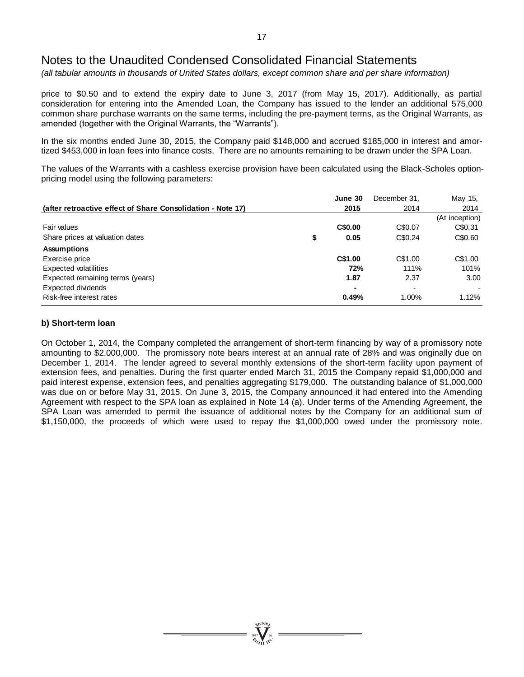*(all tabular amounts in thousands of United States dollars, except common share and per share information)*

price to \$0.50 and to extend the expiry date to June 3, 2017 (from May 15, 2017). Additionally, as partial consideration for entering into the Amended Loan, the Company has issued to the lender an additional 575,000 common share purchase warrants on the same terms, including the pre-payment terms, as the Original Warrants, as amended (together with the Original Warrants, the "Warrants").

In the six months ended June 30, 2015, the Company paid \$148,000 and accrued \$185,000 in interest and amortized \$453,000 in loan fees into finance costs. There are no amounts remaining to be drawn under the SPA Loan.

The values of the Warrants with a cashless exercise provision have been calculated using the Black-Scholes optionpricing model using the following parameters:

|                                                             | June 30    | December 31,             | May 15,        |
|-------------------------------------------------------------|------------|--------------------------|----------------|
| (after retroactive effect of Share Consolidation - Note 17) | 2015       | 2014                     | 2014           |
|                                                             |            |                          | (At inception) |
| Fair values                                                 | C\$0.00    | C\$0.07                  | C\$0.31        |
| Share prices at valuation dates                             | \$<br>0.05 | C\$0.24                  | C\$0.60        |
| <b>Assumptions</b>                                          |            |                          |                |
| Exercise price                                              | C\$1.00    | C\$1.00                  | C\$1.00        |
| Expected volatilities                                       | 72%        | 111%                     | 101%           |
| Expected remaining terms (years)                            | 1.87       | 2.37                     | 3.00           |
| Expected dividends                                          |            | $\overline{\phantom{a}}$ |                |
| Risk-free interest rates                                    | 0.49%      | $1.00\%$                 | 1.12%          |

## **b) Short-term loan**

On October 1, 2014, the Company completed the arrangement of short-term financing by way of a promissory note amounting to \$2,000,000. The promissory note bears interest at an annual rate of 28% and was originally due on December 1, 2014. The lender agreed to several monthly extensions of the short-term facility upon payment of extension fees, and penalties. During the first quarter ended March 31, 2015 the Company repaid \$1,000,000 and paid interest expense, extension fees, and penalties aggregating \$179,000. The outstanding balance of \$1,000,000 was due on or before May 31, 2015. On June 3, 2015, the Company announced it had entered into the Amending Agreement with respect to the SPA loan as explained in Note 14 (a). Under terms of the Amending Agreement, the SPA Loan was amended to permit the issuance of additional notes by the Company for an additional sum of \$1,150,000, the proceeds of which were used to repay the \$1,000,000 owed under the promissory note.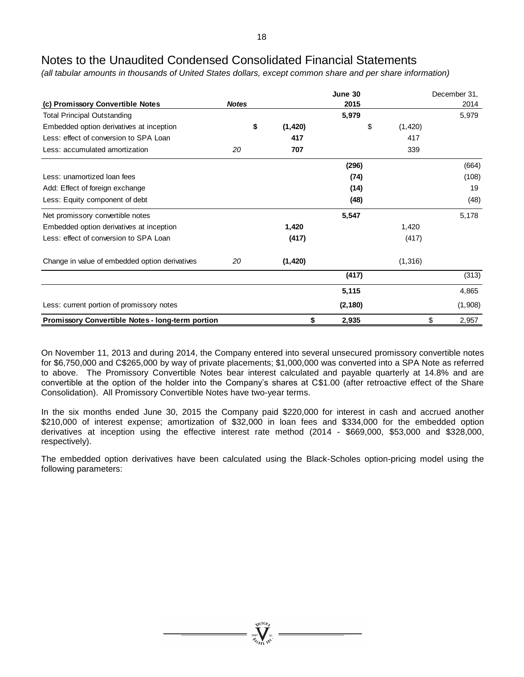*(all tabular amounts in thousands of United States dollars, except common share and per share information)*

|                                                         |              |          | June 30  |               | December 31, |
|---------------------------------------------------------|--------------|----------|----------|---------------|--------------|
| (c) Promissory Convertible Notes                        | <b>Notes</b> |          | 2015     |               | 2014         |
| <b>Total Principal Outstanding</b>                      |              |          | 5,979    |               | 5,979        |
| Embedded option derivatives at inception                | \$           | (1,420)  |          | \$<br>(1,420) |              |
| Less: effect of conversion to SPA Loan                  |              | 417      |          | 417           |              |
| Less: accumulated amortization                          | 20           | 707      |          | 339           |              |
|                                                         |              |          | (296)    |               | (664)        |
| Less: unamortized loan fees                             |              |          | (74)     |               | (108)        |
| Add: Effect of foreign exchange                         |              |          | (14)     |               | 19           |
| Less: Equity component of debt                          |              |          | (48)     |               | (48)         |
| Net promissory convertible notes                        |              |          | 5,547    |               | 5,178        |
| Embedded option derivatives at inception                |              | 1,420    |          | 1,420         |              |
| Less: effect of conversion to SPA Loan                  |              | (417)    |          | (417)         |              |
| Change in value of embedded option derivatives          | 20           | (1, 420) |          | (1, 316)      |              |
|                                                         |              |          | (417)    |               | (313)        |
|                                                         |              |          | 5,115    |               | 4,865        |
| Less: current portion of promissory notes               |              |          | (2, 180) |               | (1,908)      |
| <b>Promissory Convertible Notes - long-term portion</b> |              | \$       | 2,935    |               | \$<br>2,957  |

On November 11, 2013 and during 2014, the Company entered into several unsecured promissory convertible notes for \$6,750,000 and C\$265,000 by way of private placements; \$1,000,000 was converted into a SPA Note as referred to above. The Promissory Convertible Notes bear interest calculated and payable quarterly at 14.8% and are convertible at the option of the holder into the Company's shares at C\$1.00 (after retroactive effect of the Share Consolidation). All Promissory Convertible Notes have two-year terms.

In the six months ended June 30, 2015 the Company paid \$220,000 for interest in cash and accrued another \$210,000 of interest expense; amortization of \$32,000 in loan fees and \$334,000 for the embedded option derivatives at inception using the effective interest rate method (2014 - \$669,000, \$53,000 and \$328,000, respectively).

The embedded option derivatives have been calculated using the Black-Scholes option-pricing model using the following parameters: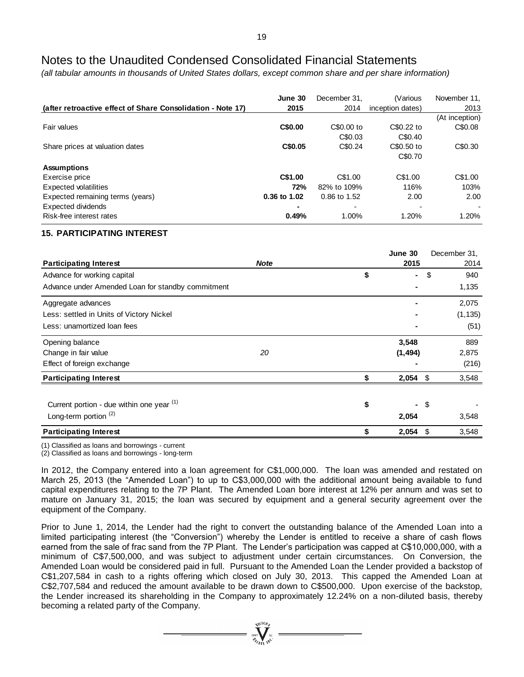*(all tabular amounts in thousands of United States dollars, except common share and per share information)*

|                                                             | June 30      | December 31. | (Various         | November 11,   |
|-------------------------------------------------------------|--------------|--------------|------------------|----------------|
| (after retroactive effect of Share Consolidation - Note 17) | 2015         | 2014         | inception dates) | 2013           |
|                                                             |              |              |                  | (At inception) |
| Fair values                                                 | C\$0.00      | C\$0.00 to   | C\$0.22 to       | C\$0.08        |
|                                                             |              | C\$0.03      | C\$0.40          |                |
| Share prices at valuation dates                             | C\$0.05      | C\$0.24      | C\$0.50 to       | C\$0.30        |
|                                                             |              |              | C\$0.70          |                |
| <b>Assumptions</b>                                          |              |              |                  |                |
| Exercise price                                              | C\$1.00      | C\$1.00      | C\$1.00          | C\$1.00        |
| <b>Expected volatilities</b>                                | 72%          | 82% to 109%  | 116%             | 103%           |
| Expected remaining terms (years)                            | 0.36 to 1.02 | 0.86 to 1.52 | 2.00             | 2.00           |
| Expected dividends                                          |              |              |                  |                |
| Risk-free interest rates                                    | 0.49%        | 1.00%        | 1.20%            | 1.20%          |

## **15. PARTICIPATING INTEREST**

|                                                   |             | June 30 |          |     | December 31, |
|---------------------------------------------------|-------------|---------|----------|-----|--------------|
| <b>Participating Interest</b>                     | <b>Note</b> |         | 2015     |     | 2014         |
| Advance for working capital                       |             | \$      | ۰        | \$  | 940          |
| Advance under Amended Loan for standby commitment |             |         |          |     | 1,135        |
| Aggregate advances                                |             |         |          |     | 2,075        |
| Less: settled in Units of Victory Nickel          |             |         |          |     | (1, 135)     |
| Less: unamortized loan fees                       |             |         |          |     | (51)         |
| Opening balance                                   |             |         | 3,548    |     | 889          |
| Change in fair value                              | 20          |         | (1, 494) |     | 2,875        |
| Effect of foreign exchange                        |             |         |          |     | (216)        |
| <b>Participating Interest</b>                     |             |         | 2,054    | \$  | 3,548        |
|                                                   |             |         |          |     |              |
| Current portion - due within one year (1)         |             | \$      | ٠.       | \$  |              |
| Long-term portion $(2)$                           |             |         | 2,054    |     | 3,548        |
| <b>Participating Interest</b>                     |             |         | 2,054    | -\$ | 3,548        |

(1) Classified as loans and borrowings - current

(2) Classified as loans and borrowings - long-term

In 2012, the Company entered into a loan agreement for C\$1,000,000. The loan was amended and restated on March 25, 2013 (the "Amended Loan") to up to C\$3,000,000 with the additional amount being available to fund capital expenditures relating to the 7P Plant. The Amended Loan bore interest at 12% per annum and was set to mature on January 31, 2015; the loan was secured by equipment and a general security agreement over the equipment of the Company.

Prior to June 1, 2014, the Lender had the right to convert the outstanding balance of the Amended Loan into a limited participating interest (the "Conversion") whereby the Lender is entitled to receive a share of cash flows earned from the sale of frac sand from the 7P Plant. The Lender's participation was capped at C\$10,000,000, with a minimum of C\$7,500,000, and was subject to adjustment under certain circumstances. On Conversion, the Amended Loan would be considered paid in full. Pursuant to the Amended Loan the Lender provided a backstop of C\$1,207,584 in cash to a rights offering which closed on July 30, 2013. This capped the Amended Loan at C\$2,707,584 and reduced the amount available to be drawn down to C\$500,000. Upon exercise of the backstop, the Lender increased its shareholding in the Company to approximately 12.24% on a non-diluted basis, thereby becoming a related party of the Company.

 $\sum_{2007}$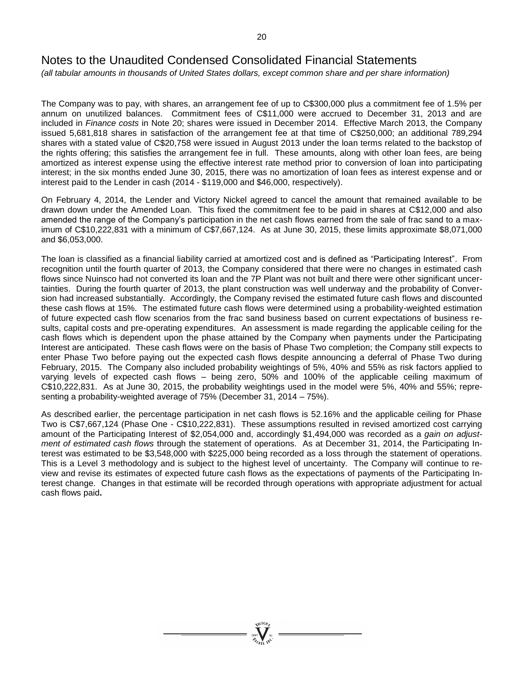*(all tabular amounts in thousands of United States dollars, except common share and per share information)*

The Company was to pay, with shares, an arrangement fee of up to C\$300,000 plus a commitment fee of 1.5% per annum on unutilized balances. Commitment fees of C\$11,000 were accrued to December 31, 2013 and are included in *Finance costs* in Note 20; shares were issued in December 2014. Effective March 2013, the Company issued 5,681,818 shares in satisfaction of the arrangement fee at that time of C\$250,000; an additional 789,294 shares with a stated value of C\$20,758 were issued in August 2013 under the loan terms related to the backstop of the rights offering; this satisfies the arrangement fee in full. These amounts, along with other loan fees, are being amortized as interest expense using the effective interest rate method prior to conversion of loan into participating interest; in the six months ended June 30, 2015, there was no amortization of loan fees as interest expense and or interest paid to the Lender in cash (2014 - \$119,000 and \$46,000, respectively).

On February 4, 2014, the Lender and Victory Nickel agreed to cancel the amount that remained available to be drawn down under the Amended Loan. This fixed the commitment fee to be paid in shares at C\$12,000 and also amended the range of the Company's participation in the net cash flows earned from the sale of frac sand to a maximum of C\$10,222,831 with a minimum of C\$7,667,124. As at June 30, 2015, these limits approximate \$8,071,000 and \$6,053,000.

The loan is classified as a financial liability carried at amortized cost and is defined as "Participating Interest". From recognition until the fourth quarter of 2013, the Company considered that there were no changes in estimated cash flows since Nuinsco had not converted its loan and the 7P Plant was not built and there were other significant uncertainties. During the fourth quarter of 2013, the plant construction was well underway and the probability of Conversion had increased substantially. Accordingly, the Company revised the estimated future cash flows and discounted these cash flows at 15%. The estimated future cash flows were determined using a probability-weighted estimation of future expected cash flow scenarios from the frac sand business based on current expectations of business results, capital costs and pre-operating expenditures. An assessment is made regarding the applicable ceiling for the cash flows which is dependent upon the phase attained by the Company when payments under the Participating Interest are anticipated. These cash flows were on the basis of Phase Two completion; the Company still expects to enter Phase Two before paying out the expected cash flows despite announcing a deferral of Phase Two during February, 2015. The Company also included probability weightings of 5%, 40% and 55% as risk factors applied to varying levels of expected cash flows – being zero, 50% and 100% of the applicable ceiling maximum of C\$10,222,831. As at June 30, 2015, the probability weightings used in the model were 5%, 40% and 55%; representing a probability-weighted average of 75% (December 31, 2014 – 75%).

As described earlier, the percentage participation in net cash flows is 52.16% and the applicable ceiling for Phase Two is C\$7,667,124 (Phase One - C\$10,222,831). These assumptions resulted in revised amortized cost carrying amount of the Participating Interest of \$2,054,000 and, accordingly \$1,494,000 was recorded as a *gain on adjustment of estimated cash flows* through the statement of operations. As at December 31, 2014, the Participating Interest was estimated to be \$3,548,000 with \$225,000 being recorded as a loss through the statement of operations. This is a Level 3 methodology and is subject to the highest level of uncertainty. The Company will continue to review and revise its estimates of expected future cash flows as the expectations of payments of the Participating Interest change. Changes in that estimate will be recorded through operations with appropriate adjustment for actual cash flows paid**.**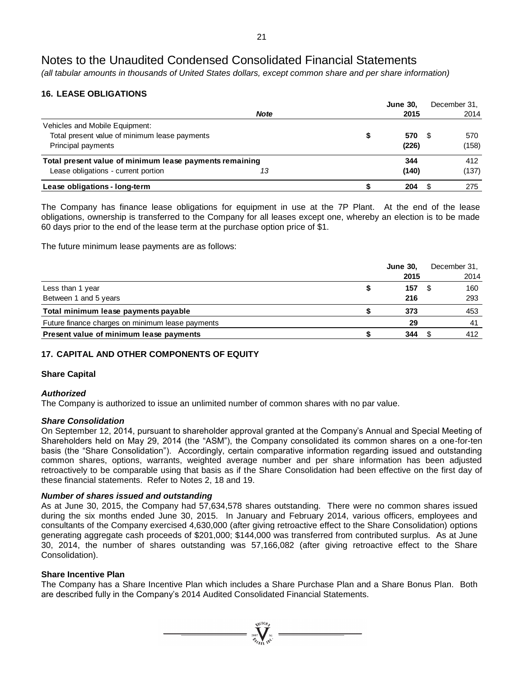*(all tabular amounts in thousands of United States dollars, except common share and per share information)*

## **16. LEASE OBLIGATIONS**

|                                                         |             | <b>June 30,</b> |      | December 31. |
|---------------------------------------------------------|-------------|-----------------|------|--------------|
|                                                         | <b>Note</b> | 2015            |      | 2014         |
| Vehicles and Mobile Equipment:                          |             |                 |      |              |
| Total present value of minimum lease payments           |             | 570             | - 35 | 570          |
| Principal payments                                      |             | (226)           |      | (158)        |
| Total present value of minimum lease payments remaining |             | 344             |      | 412          |
| Lease obligations - current portion                     | 13          | (140)           |      | (137)        |
| Lease obligations - long-term                           |             | 204             |      | 275          |

The Company has finance lease obligations for equipment in use at the 7P Plant. At the end of the lease obligations, ownership is transferred to the Company for all leases except one, whereby an election is to be made 60 days prior to the end of the lease term at the purchase option price of \$1.

The future minimum lease payments are as follows:

|                                                  | <b>June 30.</b> | December 31, |
|--------------------------------------------------|-----------------|--------------|
|                                                  | 2015            | 2014         |
| Less than 1 year                                 | 157             | 160<br>-SS   |
| Between 1 and 5 years                            | 216             | 293          |
| Total minimum lease payments payable             | 373             | 453          |
| Future finance charges on minimum lease payments | 29              | 41           |
| Present value of minimum lease payments          | 344             | 412          |

## **17. CAPITAL AND OTHER COMPONENTS OF EQUITY**

## **Share Capital**

## *Authorized*

The Company is authorized to issue an unlimited number of common shares with no par value.

## *Share Consolidation*

On September 12, 2014, pursuant to shareholder approval granted at the Company's Annual and Special Meeting of Shareholders held on May 29, 2014 (the "ASM"), the Company consolidated its common shares on a one-for-ten basis (the "Share Consolidation"). Accordingly, certain comparative information regarding issued and outstanding common shares, options, warrants, weighted average number and per share information has been adjusted retroactively to be comparable using that basis as if the Share Consolidation had been effective on the first day of these financial statements. Refer to Notes 2, 18 and 19.

## *Number of shares issued and outstanding*

As at June 30, 2015, the Company had 57,634,578 shares outstanding. There were no common shares issued during the six months ended June 30, 2015. In January and February 2014, various officers, employees and consultants of the Company exercised 4,630,000 (after giving retroactive effect to the Share Consolidation) options generating aggregate cash proceeds of \$201,000; \$144,000 was transferred from contributed surplus. As at June 30, 2014, the number of shares outstanding was 57,166,082 (after giving retroactive effect to the Share Consolidation).

## **Share Incentive Plan**

The Company has a Share Incentive Plan which includes a Share Purchase Plan and a Share Bonus Plan. Both are described fully in the Company's 2014 Audited Consolidated Financial Statements.

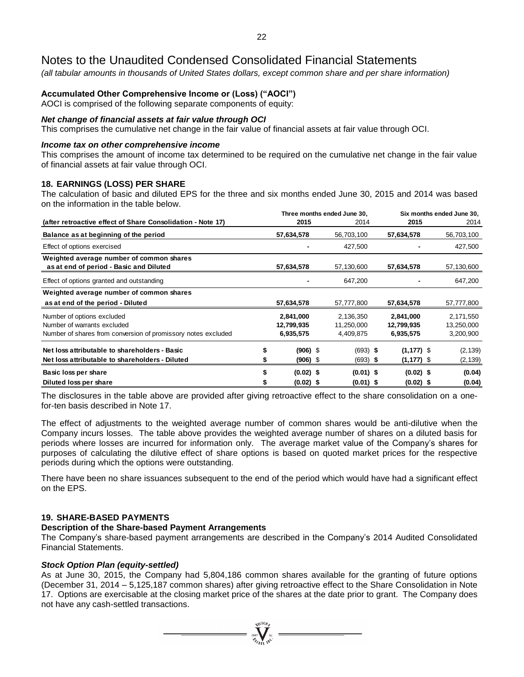*(all tabular amounts in thousands of United States dollars, except common share and per share information)*

## **Accumulated Other Comprehensive Income or (Loss) ("AOCI")**

AOCI is comprised of the following separate components of equity:

## *Net change of financial assets at fair value through OCI*

This comprises the cumulative net change in the fair value of financial assets at fair value through OCI.

## *Income tax on other comprehensive income*

This comprises the amount of income tax determined to be required on the cumulative net change in the fair value of financial assets at fair value through OCI.

## **18. EARNINGS (LOSS) PER SHARE**

The calculation of basic and diluted EPS for the three and six months ended June 30, 2015 and 2014 was based on the information in the table below.

|                                                                                                                            |   |                                      | Three months ended June 30.          | Six months ended June 30. |                                      |                                      |  |
|----------------------------------------------------------------------------------------------------------------------------|---|--------------------------------------|--------------------------------------|---------------------------|--------------------------------------|--------------------------------------|--|
| (after retroactive effect of Share Consolidation - Note 17)                                                                |   | 2015                                 | 2014                                 |                           | 2015                                 | 2014                                 |  |
| Balance as at beginning of the period                                                                                      |   | 57,634,578                           | 56,703,100                           |                           | 57,634,578                           | 56,703,100                           |  |
| Effect of options exercised                                                                                                |   |                                      | 427,500                              |                           |                                      | 427,500                              |  |
| Weighted average number of common shares<br>as at end of period - Basic and Diluted                                        |   | 57,634,578                           | 57,130,600                           |                           | 57,634,578                           | 57,130,600                           |  |
| Effect of options granted and outstanding                                                                                  |   |                                      | 647,200                              |                           |                                      | 647,200                              |  |
| Weighted average number of common shares                                                                                   |   |                                      |                                      |                           |                                      |                                      |  |
| as at end of the period - Diluted                                                                                          |   | 57,634,578                           | 57,777,800                           |                           | 57,634,578                           | 57,777,800                           |  |
| Number of options excluded<br>Number of warrants excluded<br>Number of shares from conversion of promissory notes excluded |   | 2,841,000<br>12,799,935<br>6,935,575 | 2,136,350<br>11,250,000<br>4,409,875 |                           | 2,841,000<br>12,799,935<br>6,935,575 | 2,171,550<br>13,250,000<br>3,200,900 |  |
| Net loss attributable to shareholders - Basic<br>Net loss attributable to shareholders - Diluted                           | S | $(906)$ \$<br>$(906)$ \$             | $(693)$ \$<br>$(693)$ \$             |                           | $(1, 177)$ \$<br>$(1, 177)$ \$       | (2, 139)<br>(2, 139)                 |  |
| Basic loss per share<br>Diluted loss per share                                                                             |   | $(0.02)$ \$<br>$(0.02)$ \$           | $(0.01)$ \$<br>$(0.01)$ \$           |                           | $(0.02)$ \$<br>$(0.02)$ \$           | (0.04)<br>(0.04)                     |  |

The disclosures in the table above are provided after giving retroactive effect to the share consolidation on a onefor-ten basis described in Note 17.

The effect of adjustments to the weighted average number of common shares would be anti-dilutive when the Company incurs losses. The table above provides the weighted average number of shares on a diluted basis for periods where losses are incurred for information only. The average market value of the Company's shares for purposes of calculating the dilutive effect of share options is based on quoted market prices for the respective periods during which the options were outstanding.

There have been no share issuances subsequent to the end of the period which would have had a significant effect on the EPS.

## **19. SHARE-BASED PAYMENTS**

## **Description of the Share-based Payment Arrangements**

The Company's share-based payment arrangements are described in the Company's 2014 Audited Consolidated Financial Statements.

## *Stock Option Plan (equity-settled)*

As at June 30, 2015, the Company had 5,804,186 common shares available for the granting of future options (December 31, 2014 – 5,125,187 common shares) after giving retroactive effect to the Share Consolidation in Note 17. Options are exercisable at the closing market price of the shares at the date prior to grant. The Company does not have any cash-settled transactions.

 $\sum_{2007}$  Wellon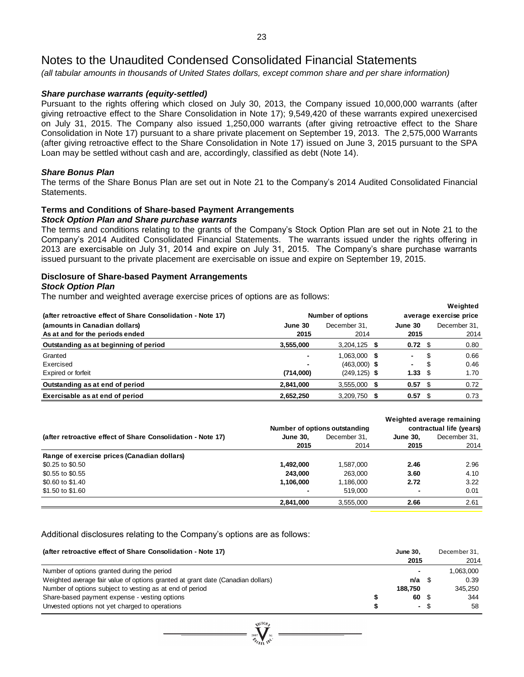*(all tabular amounts in thousands of United States dollars, except common share and per share information)*

## *Share purchase warrants (equity-settled)*

Pursuant to the rights offering which closed on July 30, 2013, the Company issued 10,000,000 warrants (after giving retroactive effect to the Share Consolidation in Note 17); 9,549,420 of these warrants expired unexercised on July 31, 2015. The Company also issued 1,250,000 warrants (after giving retroactive effect to the Share Consolidation in Note 17) pursuant to a share private placement on September 19, 2013. The 2,575,000 Warrants (after giving retroactive effect to the Share Consolidation in Note 17) issued on June 3, 2015 pursuant to the SPA Loan may be settled without cash and are, accordingly, classified as debt (Note 14).

## *Share Bonus Plan*

The terms of the Share Bonus Plan are set out in Note 21 to the Company's 2014 Audited Consolidated Financial Statements.

### **Terms and Conditions of Share-based Payment Arrangements** *Stock Option Plan and Share purchase warrants*

The terms and conditions relating to the grants of the Company's Stock Option Plan are set out in Note 21 to the Company's 2014 Audited Consolidated Financial Statements. The warrants issued under the rights offering in 2013 are exercisable on July 31, 2014 and expire on July 31, 2015. The Company's share purchase warrants issued pursuant to the private placement are exercisable on issue and expire on September 19, 2015.

## **Disclosure of Share-based Payment Arrangements**

## *Stock Option Plan*

The number and weighted average exercise prices of options are as follows:

|                                                             |                |                          |                        |                 |    | <i>vveignted</i> |
|-------------------------------------------------------------|----------------|--------------------------|------------------------|-----------------|----|------------------|
| (after retroactive effect of Share Consolidation - Note 17) |                | <b>Number of options</b> | average exercise price |                 |    |                  |
| (amounts in Canadian dollars)                               | June 30        | December 31.             |                        | June 30         |    | December 31.     |
| As at and for the periods ended                             | 2015           | 2014                     |                        | 2015            |    | 2014             |
| Outstanding as at beginning of period                       | 3,555,000      | $3,204,125$ \$           |                        | $0.72 \quad$    |    | 0.80             |
| Granted                                                     | $\blacksquare$ | $1.063,000$ \$           |                        | Ξ.              | \$ | 0.66             |
| Exercised                                                   |                | $(463,000)$ \$           |                        |                 | S  | 0.46             |
| Expired or forfeit                                          | (714,000)      | $(249, 125)$ \$          |                        | $1.33 \quad$ \$ |    | 1.70             |
| Outstanding as at end of period                             | 2,841,000      | $3,555,000$ \$           |                        | $0.57$ \$       |    | 0.72             |
| Exercisable as at end of period                             | 2,652,250      | $3,209,750$ \$           |                        | $0.57$ \$       |    | 0.73             |

**Weighted**

|                                                             |                 |                               |                          | Weighted average remaining |  |
|-------------------------------------------------------------|-----------------|-------------------------------|--------------------------|----------------------------|--|
|                                                             |                 | Number of options outstanding | contractual life (years) |                            |  |
| (after retroactive effect of Share Consolidation - Note 17) | <b>June 30.</b> | December 31.                  | <b>June 30.</b>          | December 31,               |  |
|                                                             | 2015            | 2014                          | 2015                     | 2014                       |  |
| Range of exercise prices (Canadian dollars)                 |                 |                               |                          |                            |  |
| \$0.25 to \$0.50                                            | 1.492.000       | 1.587.000                     | 2.46                     | 2.96                       |  |
| \$0.55 to \$0.55                                            | 243.000         | 263.000                       | 3.60                     | 4.10                       |  |
| \$0.60 to \$1.40                                            | 1.106.000       | 1,186,000                     | 2.72                     | 3.22                       |  |
| \$1.50 to \$1.60                                            | $\blacksquare$  | 519.000                       | $\overline{\phantom{0}}$ | 0.01                       |  |
|                                                             | 2,841,000       | 3.555.000                     | 2.66                     | 2.61                       |  |

Additional disclosures relating to the Company's options are as follows:

| (after retroactive effect of Share Consolidation - Note 17)                     | <b>June 30.</b><br>2015 |      | December 31.<br>2014 |
|---------------------------------------------------------------------------------|-------------------------|------|----------------------|
| Number of options granted during the period                                     |                         |      | 1.063.000            |
| Weighted average fair value of options granted at grant date (Canadian dollars) | $n/a$ \$                |      | 0.39                 |
| Number of options subject to vesting as at end of period                        | 188.750                 |      | 345.250              |
| Share-based payment expense - vesting options                                   | 60 S                    |      | 344                  |
| Unvested options not yet charged to operations                                  |                         | - \$ | 58                   |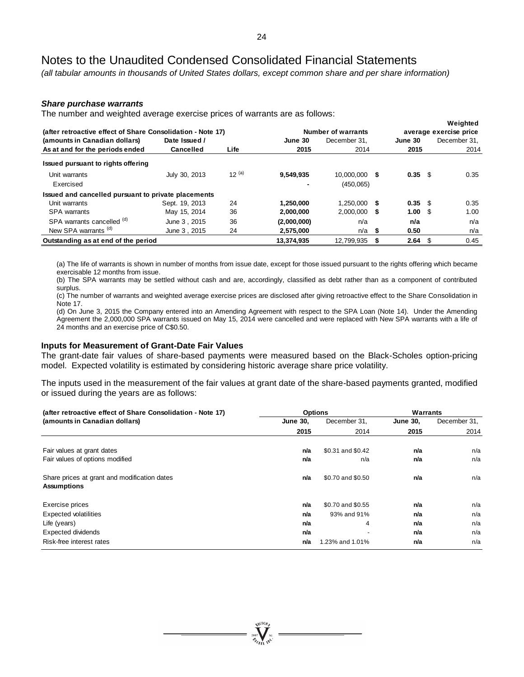*(all tabular amounts in thousands of United States dollars, except common share and per share information)*

### *Share purchase warrants*

The number and weighted average exercise prices of warrants are as follows:

| (after retroactive effect of Share Consolidation - Note 17) |                  |            |             | Number of warrants |   |            | Weighted<br>average exercise price |
|-------------------------------------------------------------|------------------|------------|-------------|--------------------|---|------------|------------------------------------|
| (amounts in Canadian dollars)                               | Date Issued /    |            | June 30     | December 31.       |   | June 30    | December 31.                       |
| As at and for the periods ended                             | <b>Cancelled</b> | Life       | 2015        | 2014               |   | 2015       | 2014                               |
| Issued pursuant to rights offering                          |                  |            |             |                    |   |            |                                    |
| Unit warrants                                               | July 30, 2013    | $12^{(a)}$ | 9,549,935   | 10.000.000 \$      |   | 0.35 S     | 0.35                               |
| Exercised                                                   |                  |            |             | (450,065)          |   |            |                                    |
| Issued and cancelled pursuant to private placements         |                  |            |             |                    |   |            |                                    |
| Unit warrants                                               | Sept. 19, 2013   | 24         | 1.250.000   | $1.250.000$ \$     |   | $0.35$ \$  | 0.35                               |
| <b>SPA</b> warrants                                         | May 15, 2014     | 36         | 2,000,000   | $2.000.000$ \$     |   | $1.00 \tS$ | 1.00                               |
| SPA warrants cancelled (d)                                  | June 3, 2015     | 36         | (2,000,000) | n/a                |   | n/a        | n/a                                |
| New SPA warrants <sup>(d)</sup>                             | June 3, 2015     | 24         | 2,575,000   | n/a                | S | 0.50       | n/a                                |
| Outstanding as at end of the period                         |                  |            | 13.374.935  | 12.799.935         |   | $2.64$ \$  | 0.45                               |

(a) The life of warrants is shown in number of months from issue date, except for those issued pursuant to the rights offering which became exercisable 12 months from issue.

(b) The SPA warrants may be settled without cash and are, accordingly, classified as debt rather than as a component of contributed surplus.

(c) The number of warrants and weighted average exercise prices are disclosed after giving retroactive effect to the Share Consolidation in Note 17.

(d) On June 3, 2015 the Company entered into an Amending Agreement with respect to the SPA Loan (Note 14). Under the Amending Agreement the 2,000,000 SPA warrants issued on May 15, 2014 were cancelled and were replaced with New SPA warrants with a life of 24 months and an exercise price of C\$0.50.

#### **Inputs for Measurement of Grant-Date Fair Values**

The grant-date fair values of share-based payments were measured based on the Black-Scholes option-pricing model. Expected volatility is estimated by considering historic average share price volatility.

The inputs used in the measurement of the fair values at grant date of the share-based payments granted, modified or issued during the years are as follows:

| (after retroactive effect of Share Consolidation - Note 17)        |                 | <b>Options</b>    | Warrants        |              |  |
|--------------------------------------------------------------------|-----------------|-------------------|-----------------|--------------|--|
| (amounts in Canadian dollars)                                      | <b>June 30,</b> | December 31,      | <b>June 30,</b> | December 31, |  |
|                                                                    | 2015            | 2014              | 2015            | 2014         |  |
| Fair values at grant dates                                         | n/a             | \$0.31 and \$0.42 | n/a             | n/a          |  |
| Fair values of options modified                                    | n/a             | n/a               | n/a             | n/a          |  |
| Share prices at grant and modification dates<br><b>Assumptions</b> | n/a             | \$0.70 and \$0.50 | n/a             | n/a          |  |
| Exercise prices                                                    | n/a             | \$0.70 and \$0.55 | n/a             | n/a          |  |
| <b>Expected volatilities</b>                                       | n/a             | 93% and 91%       | n/a             | n/a          |  |
| Life (years)                                                       | n/a             | 4                 | n/a             | n/a          |  |
| Expected dividends                                                 | n/a             |                   | n/a             | n/a          |  |
| Risk-free interest rates                                           | n/a             | 1.23% and 1.01%   | n/a             | n/a          |  |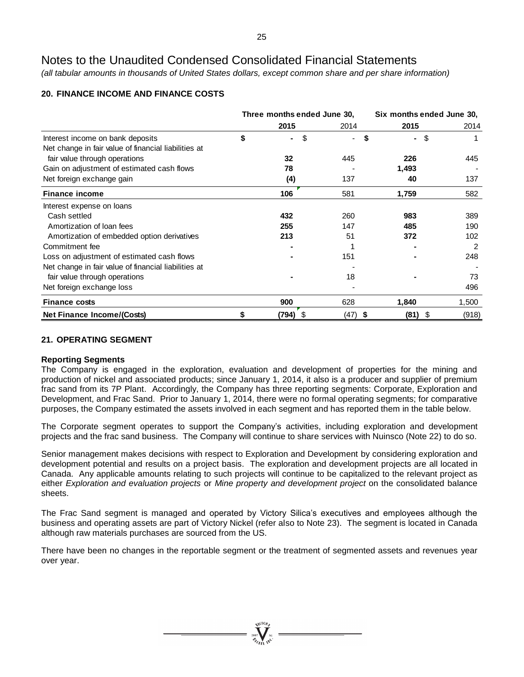*(all tabular amounts in thousands of United States dollars, except common share and per share information)*

## **20. FINANCE INCOME AND FINANCE COSTS**

|                                                      | Three months ended June 30, |            | Six months ended June 30, |       |  |
|------------------------------------------------------|-----------------------------|------------|---------------------------|-------|--|
|                                                      | 2015                        | 2014       | 2015                      | 2014  |  |
| Interest income on bank deposits                     | \$<br>\$<br>٠               | \$<br>÷.   | -\$<br>$\blacksquare$     |       |  |
| Net change in fair value of financial liabilities at |                             |            |                           |       |  |
| fair value through operations                        | 32                          | 445        | 226                       | 445   |  |
| Gain on adjustment of estimated cash flows           | 78                          |            | 1,493                     |       |  |
| Net foreign exchange gain                            | (4)                         | 137        | 40                        | 137   |  |
| <b>Finance income</b>                                | 106                         | 581        | 1,759                     | 582   |  |
| Interest expense on loans                            |                             |            |                           |       |  |
| Cash settled                                         | 432                         | 260        | 983                       | 389   |  |
| Amortization of loan fees                            | 255                         | 147        | 485                       | 190   |  |
| Amortization of embedded option derivatives          | 213                         | 51         | 372                       | 102   |  |
| Commitment fee                                       |                             |            |                           | 2     |  |
| Loss on adjustment of estimated cash flows           |                             | 151        |                           | 248   |  |
| Net change in fair value of financial liabilities at |                             |            |                           |       |  |
| fair value through operations                        |                             | 18         |                           | 73    |  |
| Net foreign exchange loss                            |                             |            |                           | 496   |  |
| <b>Finance costs</b>                                 | 900                         | 628        | 1,840                     | 1,500 |  |
| <b>Net Finance Income/(Costs)</b>                    | (794)<br>\$                 | (47)<br>\$ | (81)<br>\$                | (918) |  |

## **21. OPERATING SEGMENT**

## **Reporting Segments**

The Company is engaged in the exploration, evaluation and development of properties for the mining and production of nickel and associated products; since January 1, 2014, it also is a producer and supplier of premium frac sand from its 7P Plant. Accordingly, the Company has three reporting segments: Corporate, Exploration and Development, and Frac Sand. Prior to January 1, 2014, there were no formal operating segments; for comparative purposes, the Company estimated the assets involved in each segment and has reported them in the table below.

The Corporate segment operates to support the Company's activities, including exploration and development projects and the frac sand business. The Company will continue to share services with Nuinsco (Note 22) to do so.

Senior management makes decisions with respect to Exploration and Development by considering exploration and development potential and results on a project basis. The exploration and development projects are all located in Canada. Any applicable amounts relating to such projects will continue to be capitalized to the relevant project as either *Exploration and evaluation projects* or *Mine property and development project* on the consolidated balance sheets.

The Frac Sand segment is managed and operated by Victory Silica's executives and employees although the business and operating assets are part of Victory Nickel (refer also to Note 23). The segment is located in Canada although raw materials purchases are sourced from the US.

There have been no changes in the reportable segment or the treatment of segmented assets and revenues year over year.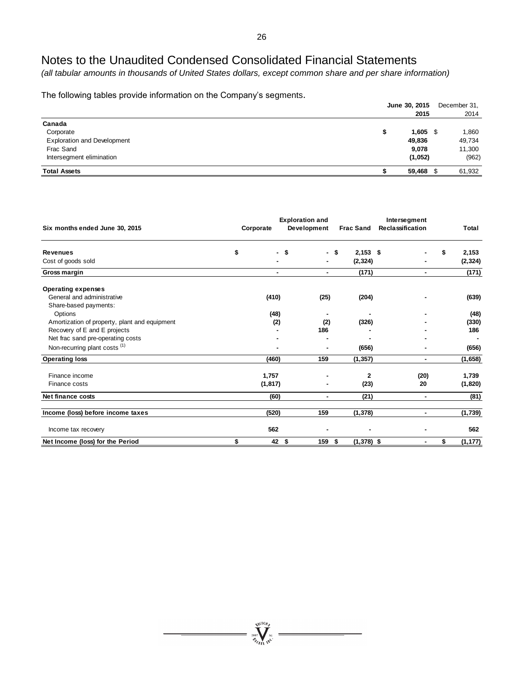*(all tabular amounts in thousands of United States dollars, except common share and per share information)*

The following tables provide information on the Company's segments.

|                                    | June 30, 2015<br>2015 | December 31,<br>2014 |
|------------------------------------|-----------------------|----------------------|
| Canada                             |                       |                      |
| Corporate                          | \$<br>$1,605$ \$      | 1,860                |
| <b>Exploration and Development</b> | 49,836                | 49,734               |
| Frac Sand                          | 9,078                 | 11,300               |
| Intersegment elimination           | (1,052)               | (962)                |
| <b>Total Assets</b>                | 59,468 \$             | 61,932               |

| Six months ended June 30, 2015                | Corporate | <b>Exploration and</b><br>Development |      | <b>Frac Sand</b> | Intersegment<br><b>Reclassification</b> | Total          |
|-----------------------------------------------|-----------|---------------------------------------|------|------------------|-----------------------------------------|----------------|
| <b>Revenues</b>                               | \$<br>٠   | \$                                    | - \$ | $2,153$ \$       |                                         | \$<br>2,153    |
| Cost of goods sold                            |           |                                       |      | (2, 324)         |                                         | (2, 324)       |
| Gross margin                                  |           |                                       | ۰    | (171)            | ۰                                       | (171)          |
| <b>Operating expenses</b>                     |           |                                       |      |                  |                                         |                |
| General and administrative                    | (410)     | (25)                                  |      | (204)            |                                         | (639)          |
| Share-based payments:                         |           |                                       |      |                  |                                         |                |
| Options                                       | (48)      |                                       | ٠    |                  |                                         | (48)           |
| Amortization of property, plant and equipment | (2)       |                                       | (2)  | (326)            |                                         | (330)          |
| Recovery of E and E projects                  |           | 186                                   |      |                  |                                         | 186            |
| Net frac sand pre-operating costs             |           |                                       |      |                  |                                         |                |
| Non-recurring plant costs <sup>(1)</sup>      |           |                                       | ۰    | (656)            |                                         | (656)          |
| <b>Operating loss</b>                         | (460)     | 159                                   |      | (1, 357)         |                                         | (1,658)        |
| Finance income                                | 1,757     |                                       |      | 2                | (20)                                    | 1,739          |
| Finance costs                                 | (1, 817)  |                                       |      | (23)             | 20                                      | (1,820)        |
| Net finance costs                             | (60)      |                                       | ۰    | (21)             | ۰                                       | (81)           |
| Income (loss) before income taxes             | (520)     | 159                                   |      | (1, 378)         | ٠                                       | (1,739)        |
| Income tax recovery                           | 562       |                                       |      |                  |                                         | 562            |
| Net Income (loss) for the Period              | \$<br>42S | 159                                   | \$   | $(1,378)$ \$     | ۰                                       | \$<br>(1, 177) |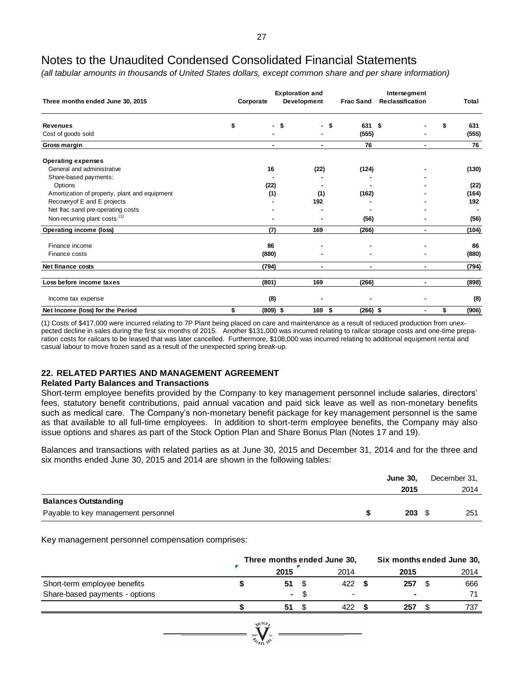*(all tabular amounts in thousands of United States dollars, except common share and per share information)*

| Three months ended June 30, 2015              | Corporate        | <b>Exploration and</b><br>Development |      | Intersegment<br><b>Frac Sand</b><br>Reclassification |      |    | Total |
|-----------------------------------------------|------------------|---------------------------------------|------|------------------------------------------------------|------|----|-------|
| <b>Revenues</b>                               | \$<br>- \$       | ٠                                     | - \$ | 631                                                  | - \$ | S  | 631   |
| Cost of goods sold                            |                  |                                       |      | (555)                                                |      |    | (555) |
| Gross margin                                  | ٠                | ٠                                     |      | 76                                                   |      |    | 76    |
| <b>Operating expenses</b>                     |                  |                                       |      |                                                      |      |    |       |
| General and administrative                    | 16               | (22)                                  |      | (124)                                                |      |    | (130) |
| Share-based payments:                         |                  |                                       |      |                                                      |      |    |       |
| Options                                       | (22)             |                                       |      |                                                      |      |    | (22)  |
| Amortization of property, plant and equipment | (1)              | (1)                                   |      | (162)                                                |      |    | (164) |
| Recovery of E and E projects                  |                  | 192                                   |      |                                                      |      |    | 192   |
| Net frac sand pre-operating costs             |                  |                                       |      |                                                      |      |    |       |
| Non-recurring plant costs <sup>(1)</sup>      |                  |                                       |      | (56)                                                 |      |    | (56)  |
| <b>Operating income (loss)</b>                | (7)              | 169                                   |      | (266)                                                | ٠    |    | (104) |
| Finance income                                | 86               |                                       |      |                                                      |      |    | 86    |
| Finance costs                                 | (880)            |                                       |      |                                                      |      |    | (880) |
| Net finance costs                             | (794)            | $\blacksquare$                        |      | ۰                                                    | ۰    |    | (794) |
| Loss before income taxes                      | (801)            | 169                                   |      | (266)                                                | ٠    |    | (898) |
| Income tax expense                            | (8)              |                                       |      |                                                      |      |    | (8)   |
| Net Income (loss) for the Period              | \$<br>$(809)$ \$ | 169                                   | \$   | $(266)$ \$                                           |      | \$ | (906) |

(1) Costs of \$417,000 were incurred relating to 7P Plant being placed on care and maintenance as a result of reduced production from unexpected decline in sales during the first six months of 2015. Another \$131,000 was incurred relating to railcar storage costs and one-time preparation costs for railcars to be leased that was later cancelled. Furthermore, \$108,000 was incurred relating to additional equipment rental and casual labour to move frozen sand as a result of the unexpected spring break-up.

## **22. RELATED PARTIES AND MANAGEMENT AGREEMENT**

## **Related Party Balances and Transactions**

Short-term employee benefits provided by the Company to key management personnel include salaries, directors' fees, statutory benefit contributions, paid annual vacation and paid sick leave as well as non-monetary benefits such as medical care. The Company's non-monetary benefit package for key management personnel is the same as that available to all full-time employees. In addition to short-term employee benefits, the Company may also issue options and shares as part of the Stock Option Plan and Share Bonus Plan (Notes 17 and 19).

Balances and transactions with related parties as at June 30, 2015 and December 31, 2014 and for the three and six months ended June 30, 2015 and 2014 are shown in the following tables:

|                                     | <b>June 30.</b> | December 31, |
|-------------------------------------|-----------------|--------------|
|                                     | 2015            | 2014         |
| <b>Balances Outstanding</b>         |                 |              |
| Payable to key management personnel | $203 \quad $$   | 251          |

Key management personnel compensation comprises:

|                                | Three months ended June 30,                             |      |      |    | Six months ended June 30, |
|--------------------------------|---------------------------------------------------------|------|------|----|---------------------------|
|                                | 2015                                                    | 2014 | 2015 |    | 2014                      |
| Short-term employee benefits   | 51                                                      | 422  | 257  | £. | 666                       |
| Share-based payments - options | $\sim$                                                  |      |      |    | 71                        |
|                                | 51                                                      | 422  | 257  |    | 737                       |
|                                | $\sqrt{10}h$<br>2007<br>$\gamma_{\epsilon_{\text{ML}}}$ |      |      |    |                           |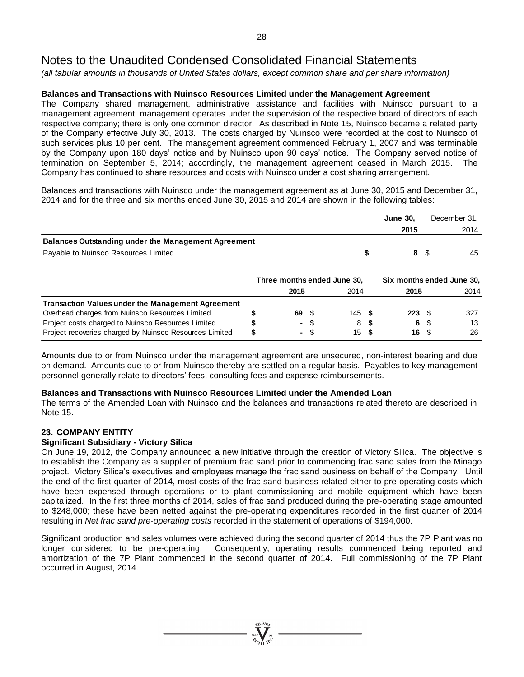*(all tabular amounts in thousands of United States dollars, except common share and per share information)*

## **Balances and Transactions with Nuinsco Resources Limited under the Management Agreement**

The Company shared management, administrative assistance and facilities with Nuinsco pursuant to a management agreement; management operates under the supervision of the respective board of directors of each respective company; there is only one common director. As described in Note 15, Nuinsco became a related party of the Company effective July 30, 2013. The costs charged by Nuinsco were recorded at the cost to Nuinsco of such services plus 10 per cent. The management agreement commenced February 1, 2007 and was terminable by the Company upon 180 days' notice and by Nuinsco upon 90 days' notice. The Company served notice of termination on September 5, 2014; accordingly, the management agreement ceased in March 2015. The Company has continued to share resources and costs with Nuinsco under a cost sharing arrangement.

Balances and transactions with Nuinsco under the management agreement as at June 30, 2015 and December 31, 2014 and for the three and six months ended June 30, 2015 and 2014 are shown in the following tables:

|                                                            | <b>June 30,</b> |     | December 31, |
|------------------------------------------------------------|-----------------|-----|--------------|
|                                                            | 2015            |     | 2014         |
| <b>Balances Outstanding under the Management Agreement</b> |                 |     |              |
| Payable to Nuinsco Resources Limited                       |                 | 8 S | 45           |

|                                                          | Three months ended June 30, |      |      |          | Six months ended June 30, |                          |  |      |
|----------------------------------------------------------|-----------------------------|------|------|----------|---------------------------|--------------------------|--|------|
|                                                          |                             | 2015 |      | 2014     |                           | 2015                     |  | 2014 |
| <b>Transaction Values under the Management Agreement</b> |                             |      |      |          |                           |                          |  |      |
| Overhead charges from Nuinsco Resources Limited          |                             | 69 S |      | $145$ \$ |                           | $223 \t{S}$              |  | 327  |
| Project costs charged to Nuinsco Resources Limited       |                             | - \$ |      | 8 S      |                           | 6 S                      |  | 13   |
| Project recoveries charged by Nuinsco Resources Limited  |                             |      | - \$ | 15S      |                           | $16 \quad$ $\frac{6}{3}$ |  | 26   |

Amounts due to or from Nuinsco under the management agreement are unsecured, non-interest bearing and due on demand. Amounts due to or from Nuinsco thereby are settled on a regular basis. Payables to key management personnel generally relate to directors' fees, consulting fees and expense reimbursements.

## **Balances and Transactions with Nuinsco Resources Limited under the Amended Loan**

The terms of the Amended Loan with Nuinsco and the balances and transactions related thereto are described in Note 15.

## **23. COMPANY ENTITY**

## **Significant Subsidiary - Victory Silica**

On June 19, 2012, the Company announced a new initiative through the creation of Victory Silica. The objective is to establish the Company as a supplier of premium frac sand prior to commencing frac sand sales from the Minago project. Victory Silica's executives and employees manage the frac sand business on behalf of the Company. Until the end of the first quarter of 2014, most costs of the frac sand business related either to pre-operating costs which have been expensed through operations or to plant commissioning and mobile equipment which have been capitalized. In the first three months of 2014, sales of frac sand produced during the pre-operating stage amounted to \$248,000; these have been netted against the pre-operating expenditures recorded in the first quarter of 2014 resulting in *Net frac sand pre-operating costs* recorded in the statement of operations of \$194,000.

Significant production and sales volumes were achieved during the second quarter of 2014 thus the 7P Plant was no longer considered to be pre-operating. Consequently, operating results commenced being reported and amortization of the 7P Plant commenced in the second quarter of 2014. Full commissioning of the 7P Plant occurred in August, 2014.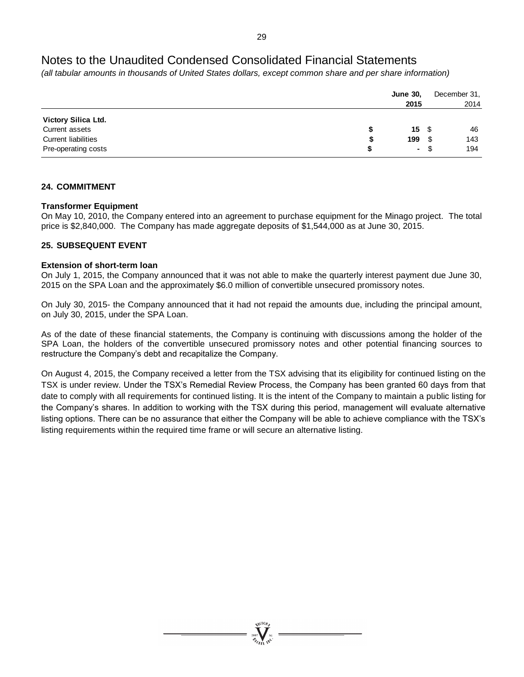*(all tabular amounts in thousands of United States dollars, except common share and per share information)*

|                                                                     | <b>June 30,</b><br>2015 |                          |      | December 31,<br>2014 |
|---------------------------------------------------------------------|-------------------------|--------------------------|------|----------------------|
| Victory Silica Ltd.<br>Current assets<br><b>Current liabilities</b> | 199                     | $15 \quad$ $\frac{2}{3}$ | - \$ | 46<br>143            |
| Pre-operating costs                                                 | S                       | - \$                     |      | 194                  |

## **24. COMMITMENT**

## **Transformer Equipment**

On May 10, 2010, the Company entered into an agreement to purchase equipment for the Minago project. The total price is \$2,840,000. The Company has made aggregate deposits of \$1,544,000 as at June 30, 2015.

## **25. SUBSEQUENT EVENT**

## **Extension of short-term loan**

On July 1, 2015, the Company announced that it was not able to make the quarterly interest payment due June 30, 2015 on the SPA Loan and the approximately \$6.0 million of convertible unsecured promissory notes.

On July 30, 2015- the Company announced that it had not repaid the amounts due, including the principal amount, on July 30, 2015, under the SPA Loan.

As of the date of these financial statements, the Company is continuing with discussions among the holder of the SPA Loan, the holders of the convertible unsecured promissory notes and other potential financing sources to restructure the Company's debt and recapitalize the Company.

On August 4, 2015, the Company received a letter from the TSX advising that its eligibility for continued listing on the TSX is under review. Under the TSX's Remedial Review Process, the Company has been granted 60 days from that date to comply with all requirements for continued listing. It is the intent of the Company to maintain a public listing for the Company's shares. In addition to working with the TSX during this period, management will evaluate alternative listing options. There can be no assurance that either the Company will be able to achieve compliance with the TSX's listing requirements within the required time frame or will secure an alternative listing.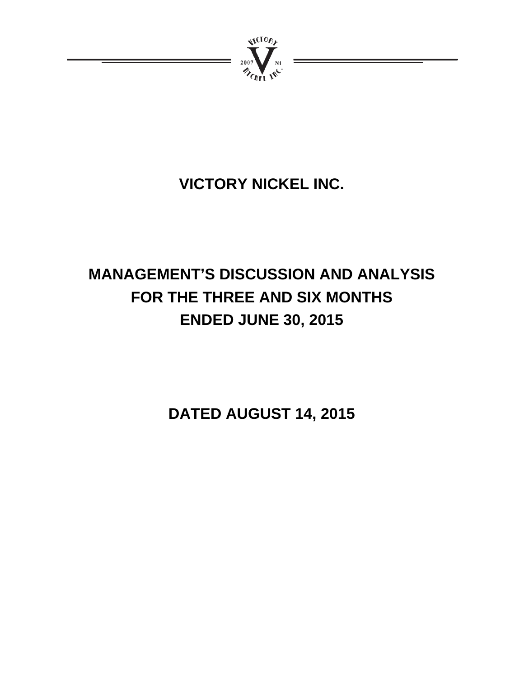

# **VICTORY NICKEL INC.**

# **MANAGEMENT'S DISCUSSION AND ANALYSIS FOR THE THREE AND SIX MONTHS ENDED JUNE 30, 2015**

**DATED AUGUST 14, 2015**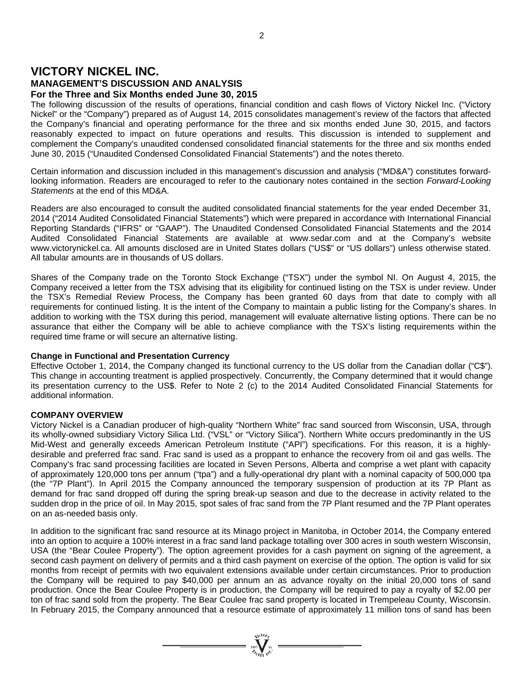## **VICTORY NICKEL INC. MANAGEMENT'S DISCUSSION AND ANALYSIS For the Three and Six Months ended June 30, 2015**

The following discussion of the results of operations, financial condition and cash flows of Victory Nickel Inc. ("Victory Nickel" or the "Company") prepared as of August 14, 2015 consolidates management's review of the factors that affected the Company's financial and operating performance for the three and six months ended June 30, 2015, and factors reasonably expected to impact on future operations and results. This discussion is intended to supplement and complement the Company's unaudited condensed consolidated financial statements for the three and six months ended June 30, 2015 ("Unaudited Condensed Consolidated Financial Statements") and the notes thereto.

Certain information and discussion included in this management's discussion and analysis ("MD&A") constitutes forwardlooking information. Readers are encouraged to refer to the cautionary notes contained in the section *Forward-Looking Statements* at the end of this MD&A.

Readers are also encouraged to consult the audited consolidated financial statements for the year ended December 31, 2014 ("2014 Audited Consolidated Financial Statements") which were prepared in accordance with International Financial Reporting Standards ("IFRS" or "GAAP"). The Unaudited Condensed Consolidated Financial Statements and the 2014 Audited Consolidated Financial Statements are available at www.sedar.com and at the Company's website www.victorynickel.ca. All amounts disclosed are in United States dollars ("US\$" or "US dollars") unless otherwise stated. All tabular amounts are in thousands of US dollars.

Shares of the Company trade on the Toronto Stock Exchange ("TSX") under the symbol NI. On August 4, 2015, the Company received a letter from the TSX advising that its eligibility for continued listing on the TSX is under review. Under the TSX's Remedial Review Process, the Company has been granted 60 days from that date to comply with all requirements for continued listing. It is the intent of the Company to maintain a public listing for the Company's shares. In addition to working with the TSX during this period, management will evaluate alternative listing options. There can be no assurance that either the Company will be able to achieve compliance with the TSX's listing requirements within the required time frame or will secure an alternative listing.

## **Change in Functional and Presentation Currency**

Effective October 1, 2014, the Company changed its functional currency to the US dollar from the Canadian dollar ("C\$"). This change in accounting treatment is applied prospectively. Concurrently, the Company determined that it would change its presentation currency to the US\$. Refer to Note 2 (c) to the 2014 Audited Consolidated Financial Statements for additional information.

## **COMPANY OVERVIEW**

Victory Nickel is a Canadian producer of high-quality "Northern White" frac sand sourced from Wisconsin, USA, through its wholly-owned subsidiary Victory Silica Ltd. ("VSL" or "Victory Silica"). Northern White occurs predominantly in the US Mid-West and generally exceeds American Petroleum Institute ("API") specifications. For this reason, it is a highlydesirable and preferred frac sand. Frac sand is used as a proppant to enhance the recovery from oil and gas wells. The Company's frac sand processing facilities are located in Seven Persons, Alberta and comprise a wet plant with capacity of approximately 120,000 tons per annum ("tpa") and a fully-operational dry plant with a nominal capacity of 500,000 tpa (the "7P Plant"). In April 2015 the Company announced the temporary suspension of production at its 7P Plant as demand for frac sand dropped off during the spring break-up season and due to the decrease in activity related to the sudden drop in the price of oil. In May 2015, spot sales of frac sand from the 7P Plant resumed and the 7P Plant operates on an as-needed basis only.

In addition to the significant frac sand resource at its Minago project in Manitoba, in October 2014, the Company entered into an option to acquire a 100% interest in a frac sand land package totalling over 300 acres in south western Wisconsin, USA (the "Bear Coulee Property"). The option agreement provides for a cash payment on signing of the agreement, a second cash payment on delivery of permits and a third cash payment on exercise of the option. The option is valid for six months from receipt of permits with two equivalent extensions available under certain circumstances. Prior to production the Company will be required to pay \$40,000 per annum an as advance royalty on the initial 20,000 tons of sand production. Once the Bear Coulee Property is in production, the Company will be required to pay a royalty of \$2.00 per ton of frac sand sold from the property. The Bear Coulee frac sand property is located in Trempeleau County, Wisconsin. In February 2015, the Company announced that a resource estimate of approximately 11 million tons of sand has been

 $= \prod_{\alpha \in \mathcal{N}_{\text{eff}}}^{\text{eigen}} =$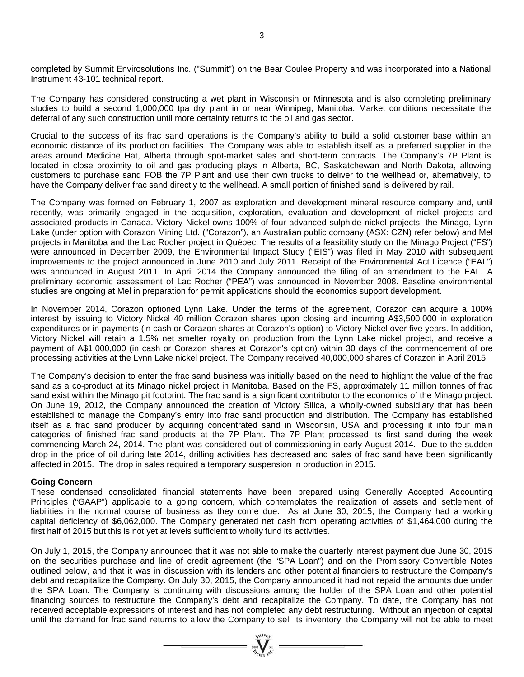completed by Summit Envirosolutions Inc. ("Summit") on the Bear Coulee Property and was incorporated into a National Instrument 43-101 technical report.

The Company has considered constructing a wet plant in Wisconsin or Minnesota and is also completing preliminary studies to build a second 1,000,000 tpa dry plant in or near Winnipeg, Manitoba. Market conditions necessitate the deferral of any such construction until more certainty returns to the oil and gas sector.

Crucial to the success of its frac sand operations is the Company's ability to build a solid customer base within an economic distance of its production facilities. The Company was able to establish itself as a preferred supplier in the areas around Medicine Hat, Alberta through spot-market sales and short-term contracts. The Company's 7P Plant is located in close proximity to oil and gas producing plays in Alberta, BC, Saskatchewan and North Dakota, allowing customers to purchase sand FOB the 7P Plant and use their own trucks to deliver to the wellhead or, alternatively, to have the Company deliver frac sand directly to the wellhead. A small portion of finished sand is delivered by rail.

The Company was formed on February 1, 2007 as exploration and development mineral resource company and, until recently, was primarily engaged in the acquisition, exploration, evaluation and development of nickel projects and associated products in Canada. Victory Nickel owns 100% of four advanced sulphide nickel projects: the Minago, Lynn Lake (under option with Corazon Mining Ltd. ("Corazon"), an Australian public company (ASX: CZN) refer below) and Mel projects in Manitoba and the Lac Rocher project in Québec. The results of a feasibility study on the Minago Project ("FS") were announced in December 2009, the Environmental Impact Study ("EIS") was filed in May 2010 with subsequent improvements to the project announced in June 2010 and July 2011. Receipt of the Environmental Act Licence ("EAL") was announced in August 2011. In April 2014 the Company announced the filing of an amendment to the EAL. A preliminary economic assessment of Lac Rocher ("PEA") was announced in November 2008. Baseline environmental studies are ongoing at Mel in preparation for permit applications should the economics support development.

In November 2014, Corazon optioned Lynn Lake. Under the terms of the agreement, Corazon can acquire a 100% interest by issuing to Victory Nickel 40 million Corazon shares upon closing and incurring A\$3,500,000 in exploration expenditures or in payments (in cash or Corazon shares at Corazon's option) to Victory Nickel over five years. In addition, Victory Nickel will retain a 1.5% net smelter royalty on production from the Lynn Lake nickel project, and receive a payment of A\$1,000,000 (in cash or Corazon shares at Corazon's option) within 30 days of the commencement of ore processing activities at the Lynn Lake nickel project. The Company received 40,000,000 shares of Corazon in April 2015.

The Company's decision to enter the frac sand business was initially based on the need to highlight the value of the frac sand as a co-product at its Minago nickel project in Manitoba. Based on the FS, approximately 11 million tonnes of frac sand exist within the Minago pit footprint. The frac sand is a significant contributor to the economics of the Minago project. On June 19, 2012, the Company announced the creation of Victory Silica, a wholly-owned subsidiary that has been established to manage the Company's entry into frac sand production and distribution. The Company has established itself as a frac sand producer by acquiring concentrated sand in Wisconsin, USA and processing it into four main categories of finished frac sand products at the 7P Plant. The 7P Plant processed its first sand during the week commencing March 24, 2014. The plant was considered out of commissioning in early August 2014. Due to the sudden drop in the price of oil during late 2014, drilling activities has decreased and sales of frac sand have been significantly affected in 2015. The drop in sales required a temporary suspension in production in 2015.

### **Going Concern**

These condensed consolidated financial statements have been prepared using Generally Accepted Accounting Principles ("GAAP") applicable to a going concern, which contemplates the realization of assets and settlement of liabilities in the normal course of business as they come due. As at June 30, 2015, the Company had a working capital deficiency of \$6,062,000. The Company generated net cash from operating activities of \$1,464,000 during the first half of 2015 but this is not yet at levels sufficient to wholly fund its activities.

On July 1, 2015, the Company announced that it was not able to make the quarterly interest payment due June 30, 2015 on the securities purchase and line of credit agreement (the "SPA Loan") and on the Promissory Convertible Notes outlined below, and that it was in discussion with its lenders and other potential financiers to restructure the Company's debt and recapitalize the Company. On July 30, 2015, the Company announced it had not repaid the amounts due under the SPA Loan. The Company is continuing with discussions among the holder of the SPA Loan and other potential financing sources to restructure the Company's debt and recapitalize the Company. To date, the Company has not received acceptable expressions of interest and has not completed any debt restructuring. Without an injection of capital until the demand for frac sand returns to allow the Company to sell its inventory, the Company will not be able to meet

 $\sum_{n=1}^{\infty}$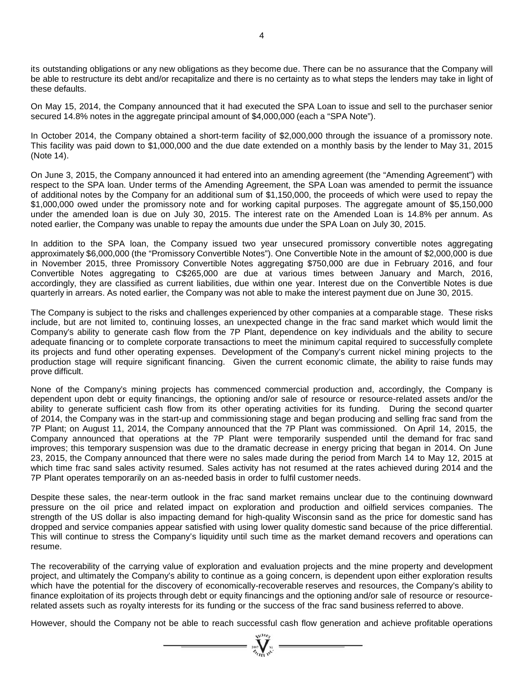its outstanding obligations or any new obligations as they become due. There can be no assurance that the Company will be able to restructure its debt and/or recapitalize and there is no certainty as to what steps the lenders may take in light of these defaults.

On May 15, 2014, the Company announced that it had executed the SPA Loan to issue and sell to the purchaser senior secured 14.8% notes in the aggregate principal amount of \$4,000,000 (each a "SPA Note").

In October 2014, the Company obtained a short-term facility of \$2,000,000 through the issuance of a promissory note. This facility was paid down to \$1,000,000 and the due date extended on a monthly basis by the lender to May 31, 2015 (Note 14).

On June 3, 2015, the Company announced it had entered into an amending agreement (the "Amending Agreement") with respect to the SPA loan. Under terms of the Amending Agreement, the SPA Loan was amended to permit the issuance of additional notes by the Company for an additional sum of \$1,150,000, the proceeds of which were used to repay the \$1,000,000 owed under the promissory note and for working capital purposes. The aggregate amount of \$5,150,000 under the amended loan is due on July 30, 2015. The interest rate on the Amended Loan is 14.8% per annum. As noted earlier, the Company was unable to repay the amounts due under the SPA Loan on July 30, 2015.

In addition to the SPA loan, the Company issued two year unsecured promissory convertible notes aggregating approximately \$6,000,000 (the "Promissory Convertible Notes"). One Convertible Note in the amount of \$2,000,000 is due in November 2015, three Promissory Convertible Notes aggregating \$750,000 are due in February 2016, and four Convertible Notes aggregating to C\$265,000 are due at various times between January and March, 2016, accordingly, they are classified as current liabilities, due within one year. Interest due on the Convertible Notes is due quarterly in arrears. As noted earlier, the Company was not able to make the interest payment due on June 30, 2015.

The Company is subject to the risks and challenges experienced by other companies at a comparable stage. These risks include, but are not limited to, continuing losses, an unexpected change in the frac sand market which would limit the Company's ability to generate cash flow from the 7P Plant, dependence on key individuals and the ability to secure adequate financing or to complete corporate transactions to meet the minimum capital required to successfully complete its projects and fund other operating expenses. Development of the Company's current nickel mining projects to the production stage will require significant financing. Given the current economic climate, the ability to raise funds may prove difficult.

None of the Company's mining projects has commenced commercial production and, accordingly, the Company is dependent upon debt or equity financings, the optioning and/or sale of resource or resource-related assets and/or the ability to generate sufficient cash flow from its other operating activities for its funding. During the second quarter of 2014, the Company was in the start-up and commissioning stage and began producing and selling frac sand from the 7P Plant; on August 11, 2014, the Company announced that the 7P Plant was commissioned. On April 14, 2015, the Company announced that operations at the 7P Plant were temporarily suspended until the demand for frac sand improves; this temporary suspension was due to the dramatic decrease in energy pricing that began in 2014. On June 23, 2015, the Company announced that there were no sales made during the period from March 14 to May 12, 2015 at which time frac sand sales activity resumed. Sales activity has not resumed at the rates achieved during 2014 and the 7P Plant operates temporarily on an as-needed basis in order to fulfil customer needs.

Despite these sales, the near-term outlook in the frac sand market remains unclear due to the continuing downward pressure on the oil price and related impact on exploration and production and oilfield services companies. The strength of the US dollar is also impacting demand for high-quality Wisconsin sand as the price for domestic sand has dropped and service companies appear satisfied with using lower quality domestic sand because of the price differential. This will continue to stress the Company's liquidity until such time as the market demand recovers and operations can resume.

The recoverability of the carrying value of exploration and evaluation projects and the mine property and development project, and ultimately the Company's ability to continue as a going concern, is dependent upon either exploration results which have the potential for the discovery of economically-recoverable reserves and resources, the Company's ability to finance exploitation of its projects through debt or equity financings and the optioning and/or sale of resource or resourcerelated assets such as royalty interests for its funding or the success of the frac sand business referred to above.

However, should the Company not be able to reach successful cash flow generation and achieve profitable operations

 $=\prod_{\substack{m=1\\ \text{odd }n}}^{\infty}$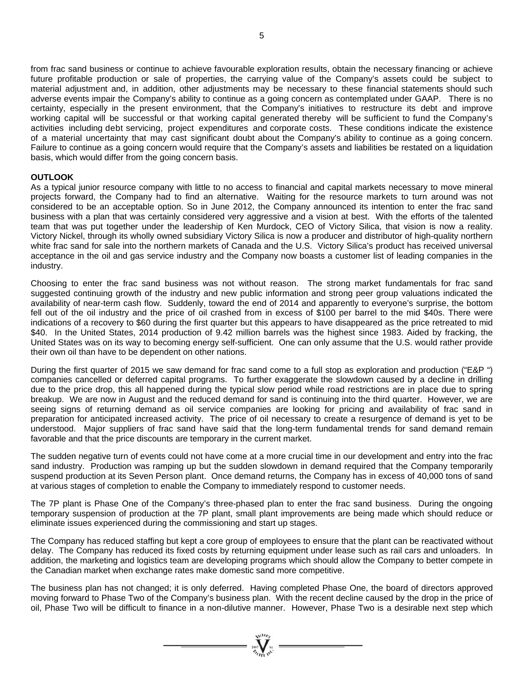from frac sand business or continue to achieve favourable exploration results, obtain the necessary financing or achieve future profitable production or sale of properties, the carrying value of the Company's assets could be subject to material adjustment and, in addition, other adjustments may be necessary to these financial statements should such adverse events impair the Company's ability to continue as a going concern as contemplated under GAAP. There is no certainty, especially in the present environment, that the Company's initiatives to restructure its debt and improve working capital will be successful or that working capital generated thereby will be sufficient to fund the Company's activities including debt servicing, project expenditures and corporate costs. These conditions indicate the existence of a material uncertainty that may cast significant doubt about the Company's ability to continue as a going concern. Failure to continue as a going concern would require that the Company's assets and liabilities be restated on a liquidation basis, which would differ from the going concern basis.

### **OUTLOOK**

As a typical junior resource company with little to no access to financial and capital markets necessary to move mineral projects forward, the Company had to find an alternative. Waiting for the resource markets to turn around was not considered to be an acceptable option. So in June 2012, the Company announced its intention to enter the frac sand business with a plan that was certainly considered very aggressive and a vision at best. With the efforts of the talented team that was put together under the leadership of Ken Murdock, CEO of Victory Silica, that vision is now a reality. Victory Nickel, through its wholly owned subsidiary Victory Silica is now a producer and distributor of high-quality northern white frac sand for sale into the northern markets of Canada and the U.S. Victory Silica's product has received universal acceptance in the oil and gas service industry and the Company now boasts a customer list of leading companies in the industry.

Choosing to enter the frac sand business was not without reason. The strong market fundamentals for frac sand suggested continuing growth of the industry and new public information and strong peer group valuations indicated the availability of near-term cash flow. Suddenly, toward the end of 2014 and apparently to everyone's surprise, the bottom fell out of the oil industry and the price of oil crashed from in excess of \$100 per barrel to the mid \$40s. There were indications of a recovery to \$60 during the first quarter but this appears to have disappeared as the price retreated to mid \$40. In the United States, 2014 production of 9.42 million barrels was the highest since 1983. Aided by fracking, the United States was on its way to becoming energy self-sufficient. One can only assume that the U.S. would rather provide their own oil than have to be dependent on other nations.

During the first quarter of 2015 we saw demand for frac sand come to a full stop as exploration and production ("E&P ") companies cancelled or deferred capital programs. To further exaggerate the slowdown caused by a decline in drilling due to the price drop, this all happened during the typical slow period while road restrictions are in place due to spring breakup. We are now in August and the reduced demand for sand is continuing into the third quarter. However, we are seeing signs of returning demand as oil service companies are looking for pricing and availability of frac sand in preparation for anticipated increased activity. The price of oil necessary to create a resurgence of demand is yet to be understood. Major suppliers of frac sand have said that the long-term fundamental trends for sand demand remain favorable and that the price discounts are temporary in the current market.

The sudden negative turn of events could not have come at a more crucial time in our development and entry into the frac sand industry. Production was ramping up but the sudden slowdown in demand required that the Company temporarily suspend production at its Seven Person plant. Once demand returns, the Company has in excess of 40,000 tons of sand at various stages of completion to enable the Company to immediately respond to customer needs.

The 7P plant is Phase One of the Company's three-phased plan to enter the frac sand business. During the ongoing temporary suspension of production at the 7P plant, small plant improvements are being made which should reduce or eliminate issues experienced during the commissioning and start up stages.

The Company has reduced staffing but kept a core group of employees to ensure that the plant can be reactivated without delay. The Company has reduced its fixed costs by returning equipment under lease such as rail cars and unloaders. In addition, the marketing and logistics team are developing programs which should allow the Company to better compete in the Canadian market when exchange rates make domestic sand more competitive.

The business plan has not changed; it is only deferred. Having completed Phase One, the board of directors approved moving forward to Phase Two of the Company's business plan. With the recent decline caused by the drop in the price of oil, Phase Two will be difficult to finance in a non-dilutive manner. However, Phase Two is a desirable next step which

 $\sum_{\substack{n=1\\ \text{odd }n}}^{\infty}$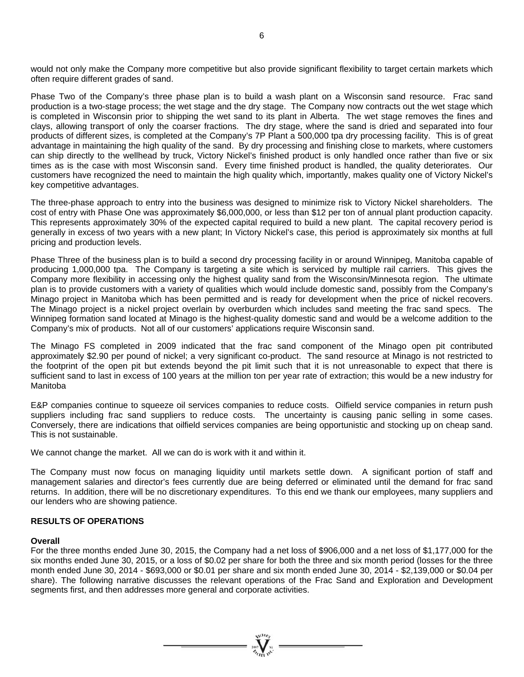would not only make the Company more competitive but also provide significant flexibility to target certain markets which often require different grades of sand.

Phase Two of the Company's three phase plan is to build a wash plant on a Wisconsin sand resource. Frac sand production is a two-stage process; the wet stage and the dry stage. The Company now contracts out the wet stage which is completed in Wisconsin prior to shipping the wet sand to its plant in Alberta. The wet stage removes the fines and clays, allowing transport of only the coarser fractions. The dry stage, where the sand is dried and separated into four products of different sizes, is completed at the Company's 7P Plant a 500,000 tpa dry processing facility. This is of great advantage in maintaining the high quality of the sand. By dry processing and finishing close to markets, where customers can ship directly to the wellhead by truck, Victory Nickel's finished product is only handled once rather than five or six times as is the case with most Wisconsin sand. Every time finished product is handled, the quality deteriorates. Our customers have recognized the need to maintain the high quality which, importantly, makes quality one of Victory Nickel's key competitive advantages.

The three-phase approach to entry into the business was designed to minimize risk to Victory Nickel shareholders. The cost of entry with Phase One was approximately \$6,000,000, or less than \$12 per ton of annual plant production capacity. This represents approximately 30% of the expected capital required to build a new plant. The capital recovery period is generally in excess of two years with a new plant; In Victory Nickel's case, this period is approximately six months at full pricing and production levels.

Phase Three of the business plan is to build a second dry processing facility in or around Winnipeg, Manitoba capable of producing 1,000,000 tpa. The Company is targeting a site which is serviced by multiple rail carriers. This gives the Company more flexibility in accessing only the highest quality sand from the Wisconsin/Minnesota region. The ultimate plan is to provide customers with a variety of qualities which would include domestic sand, possibly from the Company's Minago project in Manitoba which has been permitted and is ready for development when the price of nickel recovers. The Minago project is a nickel project overlain by overburden which includes sand meeting the frac sand specs. The Winnipeg formation sand located at Minago is the highest-quality domestic sand and would be a welcome addition to the Company's mix of products. Not all of our customers' applications require Wisconsin sand.

The Minago FS completed in 2009 indicated that the frac sand component of the Minago open pit contributed approximately \$2.90 per pound of nickel; a very significant co-product. The sand resource at Minago is not restricted to the footprint of the open pit but extends beyond the pit limit such that it is not unreasonable to expect that there is sufficient sand to last in excess of 100 years at the million ton per year rate of extraction; this would be a new industry for Manitoba

E&P companies continue to squeeze oil services companies to reduce costs. Oilfield service companies in return push suppliers including frac sand suppliers to reduce costs. The uncertainty is causing panic selling in some cases. Conversely, there are indications that oilfield services companies are being opportunistic and stocking up on cheap sand. This is not sustainable.

We cannot change the market. All we can do is work with it and within it.

The Company must now focus on managing liquidity until markets settle down. A significant portion of staff and management salaries and director's fees currently due are being deferred or eliminated until the demand for frac sand returns. In addition, there will be no discretionary expenditures. To this end we thank our employees, many suppliers and our lenders who are showing patience.

## **RESULTS OF OPERATIONS**

## **Overall**

For the three months ended June 30, 2015, the Company had a net loss of \$906,000 and a net loss of \$1,177,000 for the six months ended June 30, 2015, or a loss of \$0.02 per share for both the three and six month period (losses for the three month ended June 30, 2014 - \$693,000 or \$0.01 per share and six month ended June 30, 2014 - \$2,139,000 or \$0.04 per share). The following narrative discusses the relevant operations of the Frac Sand and Exploration and Development segments first, and then addresses more general and corporate activities.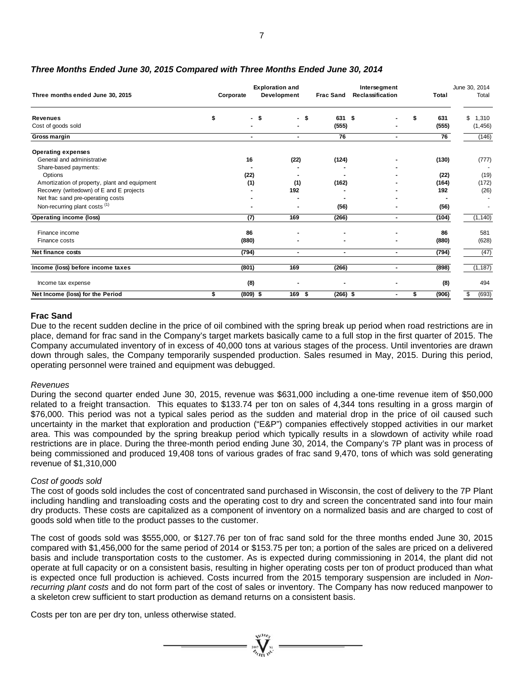| Three months ended June 30, 2015                                                                     | Corporate        | <b>Exploration and</b><br>Development | <b>Frac Sand</b> | Intersegment<br>Reclassification | Total                | June 30, 2014<br>Total  |
|------------------------------------------------------------------------------------------------------|------------------|---------------------------------------|------------------|----------------------------------|----------------------|-------------------------|
| <b>Revenues</b><br>Cost of goods sold                                                                | \$<br>\$         | \$<br>$\blacksquare$                  | 631<br>(555)     | -\$                              | 631<br>\$<br>(555)   | 1,310<br>\$<br>(1, 456) |
| Gross margin                                                                                         | $\blacksquare$   | $\blacksquare$                        | 76               | $\blacksquare$                   | 76                   | (146)                   |
| <b>Operating expenses</b><br>General and administrative<br>Share-based payments:                     | 16               | (22)                                  | (124)            |                                  | (130)                | (777)                   |
| Options<br>Amortization of property, plant and equipment<br>Recovery (writedown) of E and E projects | (22)<br>(1)      | (1)<br>192                            | (162)            |                                  | (22)<br>(164)<br>192 | (19)<br>(172)<br>(26)   |
| Net frac sand pre-operating costs<br>Non-recurring plant costs <sup>(1)</sup>                        |                  |                                       | (56)             |                                  | (56)                 |                         |
| Operating income (loss)                                                                              | (7)              | 169                                   | (266)            | $\blacksquare$                   | (104)                | (1, 140)                |
| Finance income<br>Finance costs                                                                      | 86<br>(880)      |                                       |                  |                                  | 86<br>(880)          | 581<br>(628)            |
| Net finance costs                                                                                    | (794)            | $\blacksquare$                        | $\blacksquare$   | $\blacksquare$                   | (794)                | (47)                    |
| Income (loss) before income taxes                                                                    | (801)            | 169                                   | (266)            | $\blacksquare$                   | (898)                | (1, 187)                |
| Income tax expense                                                                                   | (8)              |                                       |                  | $\blacksquare$                   | (8)                  | 494                     |
| Net Income (loss) for the Period                                                                     | \$<br>$(809)$ \$ | 169 \$                                | $(266)$ \$       | $\blacksquare$                   | (906)<br>\$          | (693)<br>\$             |

## *Three Months Ended June 30, 2015 Compared with Three Months Ended June 30, 2014*

## **Frac Sand**

Due to the recent sudden decline in the price of oil combined with the spring break up period when road restrictions are in place, demand for frac sand in the Company's target markets basically came to a full stop in the first quarter of 2015. The Company accumulated inventory of in excess of 40,000 tons at various stages of the process. Until inventories are drawn down through sales, the Company temporarily suspended production. Sales resumed in May, 2015. During this period, operating personnel were trained and equipment was debugged.

## *Revenues*

During the second quarter ended June 30, 2015, revenue was \$631,000 including a one-time revenue item of \$50,000 related to a freight transaction. This equates to \$133.74 per ton on sales of 4,344 tons resulting in a gross margin of \$76,000. This period was not a typical sales period as the sudden and material drop in the price of oil caused such uncertainty in the market that exploration and production ("E&P") companies effectively stopped activities in our market area. This was compounded by the spring breakup period which typically results in a slowdown of activity while road restrictions are in place. During the three-month period ending June 30, 2014, the Company's 7P plant was in process of being commissioned and produced 19,408 tons of various grades of frac sand 9,470, tons of which was sold generating revenue of \$1,310,000

## *Cost of goods sold*

The cost of goods sold includes the cost of concentrated sand purchased in Wisconsin, the cost of delivery to the 7P Plant including handling and transloading costs and the operating cost to dry and screen the concentrated sand into four main dry products. These costs are capitalized as a component of inventory on a normalized basis and are charged to cost of goods sold when title to the product passes to the customer.

The cost of goods sold was \$555,000, or \$127.76 per ton of frac sand sold for the three months ended June 30, 2015 compared with \$1,456,000 for the same period of 2014 or \$153.75 per ton; a portion of the sales are priced on a delivered basis and include transportation costs to the customer. As is expected during commissioning in 2014, the plant did not operate at full capacity or on a consistent basis, resulting in higher operating costs per ton of product produced than what is expected once full production is achieved. Costs incurred from the 2015 temporary suspension are included in *Nonrecurring plant costs* and do not form part of the cost of sales or inventory. The Company has now reduced manpower to a skeleton crew sufficient to start production as demand returns on a consistent basis.

 $-\sum$ 

Costs per ton are per dry ton, unless otherwise stated.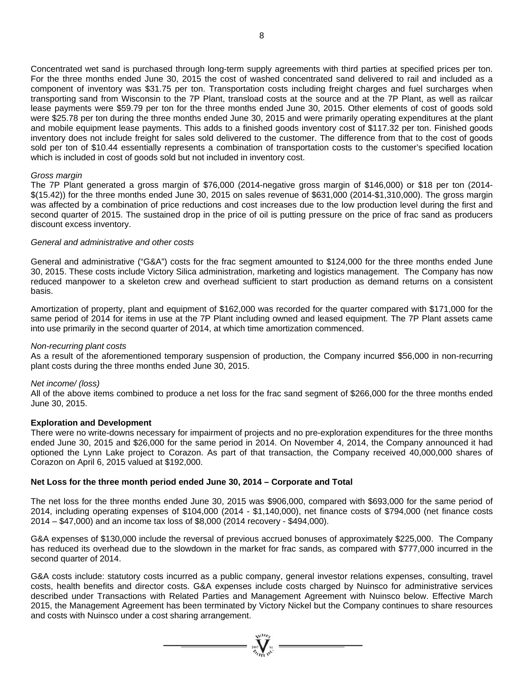Concentrated wet sand is purchased through long-term supply agreements with third parties at specified prices per ton. For the three months ended June 30, 2015 the cost of washed concentrated sand delivered to rail and included as a component of inventory was \$31.75 per ton. Transportation costs including freight charges and fuel surcharges when transporting sand from Wisconsin to the 7P Plant, transload costs at the source and at the 7P Plant, as well as railcar lease payments were \$59.79 per ton for the three months ended June 30, 2015. Other elements of cost of goods sold were \$25.78 per ton during the three months ended June 30, 2015 and were primarily operating expenditures at the plant and mobile equipment lease payments. This adds to a finished goods inventory cost of \$117.32 per ton. Finished goods inventory does not include freight for sales sold delivered to the customer. The difference from that to the cost of goods sold per ton of \$10.44 essentially represents a combination of transportation costs to the customer's specified location which is included in cost of goods sold but not included in inventory cost.

### *Gross margin*

The 7P Plant generated a gross margin of \$76,000 (2014-negative gross margin of \$146,000) or \$18 per ton (2014- \$(15.42)) for the three months ended June 30, 2015 on sales revenue of \$631,000 (2014-\$1,310,000). The gross margin was affected by a combination of price reductions and cost increases due to the low production level during the first and second quarter of 2015. The sustained drop in the price of oil is putting pressure on the price of frac sand as producers discount excess inventory.

### *General and administrative and other costs*

General and administrative ("G&A") costs for the frac segment amounted to \$124,000 for the three months ended June 30, 2015. These costs include Victory Silica administration, marketing and logistics management. The Company has now reduced manpower to a skeleton crew and overhead sufficient to start production as demand returns on a consistent basis.

Amortization of property, plant and equipment of \$162,000 was recorded for the quarter compared with \$171,000 for the same period of 2014 for items in use at the 7P Plant including owned and leased equipment. The 7P Plant assets came into use primarily in the second quarter of 2014, at which time amortization commenced.

#### *Non-recurring plant costs*

As a result of the aforementioned temporary suspension of production, the Company incurred \$56,000 in non-recurring plant costs during the three months ended June 30, 2015.

#### *Net income/ (loss)*

All of the above items combined to produce a net loss for the frac sand segment of \$266,000 for the three months ended June 30, 2015.

#### **Exploration and Development**

There were no write-downs necessary for impairment of projects and no pre-exploration expenditures for the three months ended June 30, 2015 and \$26,000 for the same period in 2014. On November 4, 2014, the Company announced it had optioned the Lynn Lake project to Corazon. As part of that transaction, the Company received 40,000,000 shares of Corazon on April 6, 2015 valued at \$192,000.

## **Net Loss for the three month period ended June 30, 2014 – Corporate and Total**

The net loss for the three months ended June 30, 2015 was \$906,000, compared with \$693,000 for the same period of 2014, including operating expenses of \$104,000 (2014 - \$1,140,000), net finance costs of \$794,000 (net finance costs 2014 – \$47,000) and an income tax loss of \$8,000 (2014 recovery - \$494,000).

G&A expenses of \$130,000 include the reversal of previous accrued bonuses of approximately \$225,000. The Company has reduced its overhead due to the slowdown in the market for frac sands, as compared with \$777,000 incurred in the second quarter of 2014.

G&A costs include: statutory costs incurred as a public company, general investor relations expenses, consulting, travel costs, health benefits and director costs. G&A expenses include costs charged by Nuinsco for administrative services described under Transactions with Related Parties and Management Agreement with Nuinsco below. Effective March 2015, the Management Agreement has been terminated by Victory Nickel but the Company continues to share resources and costs with Nuinsco under a cost sharing arrangement.

 $=\prod_{\text{sub}(v)}^{s}\sum_{\text{sub}(v)}$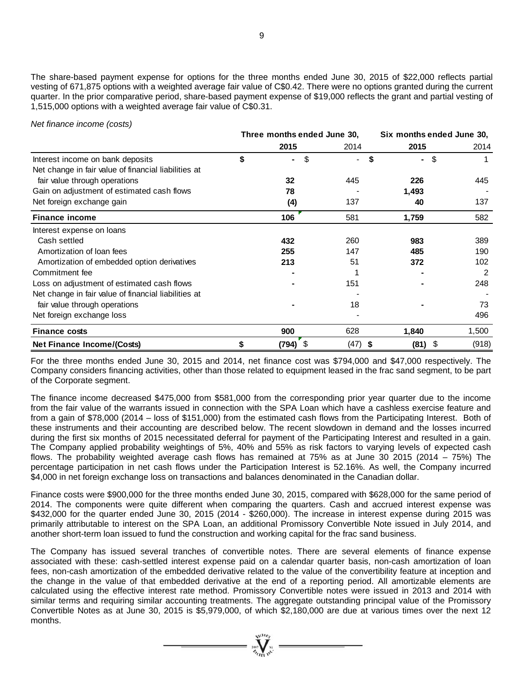The share-based payment expense for options for the three months ended June 30, 2015 of \$22,000 reflects partial vesting of 671,875 options with a weighted average fair value of C\$0.42. There were no options granted during the current quarter. In the prior comparative period, share-based payment expense of \$19,000 reflects the grant and partial vesting of 1,515,000 options with a weighted average fair value of C\$0.31.

#### *Net finance income (costs)*

|                                                      | Three months ended June 30, |           |                      | Six months ended June 30, |  |  |  |
|------------------------------------------------------|-----------------------------|-----------|----------------------|---------------------------|--|--|--|
|                                                      | 2015                        | 2014      | 2015                 | 2014                      |  |  |  |
| Interest income on bank deposits                     | \$<br>S<br>٠                |           | \$<br>$\blacksquare$ | \$                        |  |  |  |
| Net change in fair value of financial liabilities at |                             |           |                      |                           |  |  |  |
| fair value through operations                        | 32                          | 445       | 226                  | 445                       |  |  |  |
| Gain on adjustment of estimated cash flows           | 78                          |           | 1,493                |                           |  |  |  |
| Net foreign exchange gain                            | (4)                         | 137       | 40                   | 137                       |  |  |  |
| <b>Finance income</b>                                | 106                         | 581       | 1,759                | 582                       |  |  |  |
| Interest expense on loans                            |                             |           |                      |                           |  |  |  |
| Cash settled                                         | 432                         | 260       | 983                  | 389                       |  |  |  |
| Amortization of loan fees                            | 255                         | 147       | 485                  | 190                       |  |  |  |
| Amortization of embedded option derivatives          | 213                         | 51        | 372                  | 102                       |  |  |  |
| Commitment fee                                       |                             |           |                      | 2                         |  |  |  |
| Loss on adjustment of estimated cash flows           |                             | 151       |                      | 248                       |  |  |  |
| Net change in fair value of financial liabilities at |                             |           |                      |                           |  |  |  |
| fair value through operations                        |                             | 18        |                      | 73                        |  |  |  |
| Net foreign exchange loss                            |                             |           |                      | 496                       |  |  |  |
| <b>Finance costs</b>                                 | 900                         | 628       | 1,840                | 1,500                     |  |  |  |
| Net Finance Income/(Costs)                           | \$<br>(794)<br>- \$         | $(47)$ \$ | (81)                 | \$<br>(918)               |  |  |  |

For the three months ended June 30, 2015 and 2014, net finance cost was \$794,000 and \$47,000 respectively. The Company considers financing activities, other than those related to equipment leased in the frac sand segment, to be part of the Corporate segment.

The finance income decreased \$475,000 from \$581,000 from the corresponding prior year quarter due to the income from the fair value of the warrants issued in connection with the SPA Loan which have a cashless exercise feature and from a gain of \$78,000 (2014 – loss of \$151,000) from the estimated cash flows from the Participating Interest. Both of these instruments and their accounting are described below. The recent slowdown in demand and the losses incurred during the first six months of 2015 necessitated deferral for payment of the Participating Interest and resulted in a gain. The Company applied probability weightings of 5%, 40% and 55% as risk factors to varying levels of expected cash flows. The probability weighted average cash flows has remained at 75% as at June 30 2015 (2014 – 75%) The percentage participation in net cash flows under the Participation Interest is 52.16%. As well, the Company incurred \$4,000 in net foreign exchange loss on transactions and balances denominated in the Canadian dollar.

Finance costs were \$900,000 for the three months ended June 30, 2015, compared with \$628,000 for the same period of 2014. The components were quite different when comparing the quarters. Cash and accrued interest expense was \$432,000 for the quarter ended June 30, 2015 (2014 - \$260,000). The increase in interest expense during 2015 was primarily attributable to interest on the SPA Loan, an additional Promissory Convertible Note issued in July 2014, and another short-term loan issued to fund the construction and working capital for the frac sand business.

The Company has issued several tranches of convertible notes. There are several elements of finance expense associated with these: cash-settled interest expense paid on a calendar quarter basis, non-cash amortization of loan fees, non-cash amortization of the embedded derivative related to the value of the convertibility feature at inception and the change in the value of that embedded derivative at the end of a reporting period. All amortizable elements are calculated using the effective interest rate method. Promissory Convertible notes were issued in 2013 and 2014 with similar terms and requiring similar accounting treatments. The aggregate outstanding principal value of the Promissory Convertible Notes as at June 30, 2015 is \$5,979,000, of which \$2,180,000 are due at various times over the next 12 months.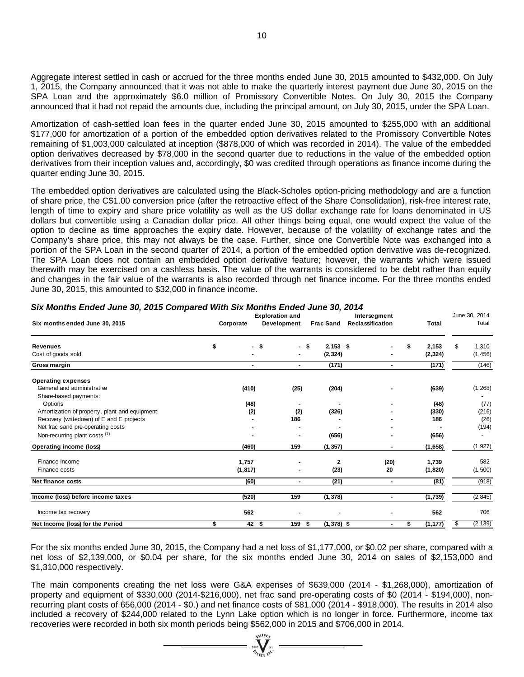Aggregate interest settled in cash or accrued for the three months ended June 30, 2015 amounted to \$432,000. On July 1, 2015, the Company announced that it was not able to make the quarterly interest payment due June 30, 2015 on the SPA Loan and the approximately \$6.0 million of Promissory Convertible Notes. On July 30, 2015 the Company announced that it had not repaid the amounts due, including the principal amount, on July 30, 2015, under the SPA Loan.

Amortization of cash-settled loan fees in the quarter ended June 30, 2015 amounted to \$255,000 with an additional \$177,000 for amortization of a portion of the embedded option derivatives related to the Promissory Convertible Notes remaining of \$1,003,000 calculated at inception (\$878,000 of which was recorded in 2014). The value of the embedded option derivatives decreased by \$78,000 in the second quarter due to reductions in the value of the embedded option derivatives from their inception values and, accordingly, \$0 was credited through operations as finance income during the quarter ending June 30, 2015.

The embedded option derivatives are calculated using the Black-Scholes option-pricing methodology and are a function of share price, the C\$1.00 conversion price (after the retroactive effect of the Share Consolidation), risk-free interest rate, length of time to expiry and share price volatility as well as the US dollar exchange rate for loans denominated in US dollars but convertible using a Canadian dollar price. All other things being equal, one would expect the value of the option to decline as time approaches the expiry date. However, because of the volatility of exchange rates and the Company's share price, this may not always be the case. Further, since one Convertible Note was exchanged into a portion of the SPA Loan in the second quarter of 2014, a portion of the embedded option derivative was de-recognized. The SPA Loan does not contain an embedded option derivative feature; however, the warrants which were issued therewith may be exercised on a cashless basis. The value of the warrants is considered to be debt rather than equity and changes in the fair value of the warrants is also recorded through net finance income. For the three months ended June 30, 2015, this amounted to \$32,000 in finance income.

|                                                     | <b>Exploration and</b> |                          |                |                    | Intersegment     |    |          | June 30, 2014  |  |
|-----------------------------------------------------|------------------------|--------------------------|----------------|--------------------|------------------|----|----------|----------------|--|
| Six months ended June 30, 2015                      |                        | Corporate                | Development    | <b>Frac Sand</b>   | Reclassification |    | Total    | Total          |  |
| <b>Revenues</b>                                     | \$                     | $\overline{\phantom{a}}$ | - \$           | $2,153$ \$<br>- \$ | $\overline{a}$   | \$ | 2,153    | 1,310<br>S     |  |
| Cost of goods sold                                  |                        |                          | $\blacksquare$ | (2, 324)           |                  |    | (2, 324) | (1, 456)       |  |
| Gross margin                                        |                        |                          | $\blacksquare$ | (171)              | $\blacksquare$   |    | (171)    | (146)          |  |
| <b>Operating expenses</b>                           |                        |                          |                |                    |                  |    |          |                |  |
| General and administrative<br>Share-based payments: |                        | (410)                    | (25)           | (204)              |                  |    | (639)    | (1, 268)       |  |
| Options                                             |                        | (48)                     |                |                    |                  |    | (48)     | (77)           |  |
| Amortization of property, plant and equipment       |                        | (2)                      | (2)            | (326)              |                  |    | (330)    | (216)          |  |
| Recovery (writedown) of E and E projects            |                        |                          | 186            |                    |                  |    | 186      | (26)           |  |
| Net frac sand pre-operating costs                   |                        |                          |                |                    |                  |    |          | (194)          |  |
| Non-recurring plant costs (1)                       |                        |                          |                | (656)              | -                |    | (656)    |                |  |
| Operating income (loss)                             |                        | (460)                    | 159            | (1, 357)           | ۰.               |    | (1,658)  | (1, 927)       |  |
| Finance income                                      |                        | 1,757                    |                | 2                  | (20)             |    | 1,739    | 582            |  |
| Finance costs                                       |                        | (1, 817)                 |                | (23)               | 20               |    | (1,820)  | (1,500)        |  |
| Net finance costs                                   |                        | (60)                     | $\blacksquare$ | (21)               | $\blacksquare$   |    | (81)     | (918)          |  |
| Income (loss) before income taxes                   |                        | (520)                    | 159            | (1, 378)           | $\blacksquare$   |    | (1,739)  | (2, 845)       |  |
| Income tax recovery                                 |                        | 562                      |                |                    |                  |    | 562      | 706            |  |
| Net Income (loss) for the Period                    |                        | $42 \quad $$             | 159            | $(1,378)$ \$<br>\$ | $\blacksquare$   | \$ | (1, 177) | (2, 139)<br>\$ |  |

#### *Six Months Ended June 30, 2015 Compared With Six Months Ended June 30, 2014*

For the six months ended June 30, 2015, the Company had a net loss of \$1,177,000, or \$0.02 per share, compared with a net loss of \$2,139,000, or \$0.04 per share, for the six months ended June 30, 2014 on sales of \$2,153,000 and \$1,310,000 respectively.

The main components creating the net loss were G&A expenses of \$639,000 (2014 - \$1,268,000), amortization of property and equipment of \$330,000 (2014-\$216,000), net frac sand pre-operating costs of \$0 (2014 - \$194,000), nonrecurring plant costs of 656,000 (2014 - \$0.) and net finance costs of \$81,000 (2014 - \$918,000). The results in 2014 also included a recovery of \$244,000 related to the Lynn Lake option which is no longer in force. Furthermore, income tax recoveries were recorded in both six month periods being \$562,000 in 2015 and \$706,000 in 2014.

 $\sum_{\alpha}$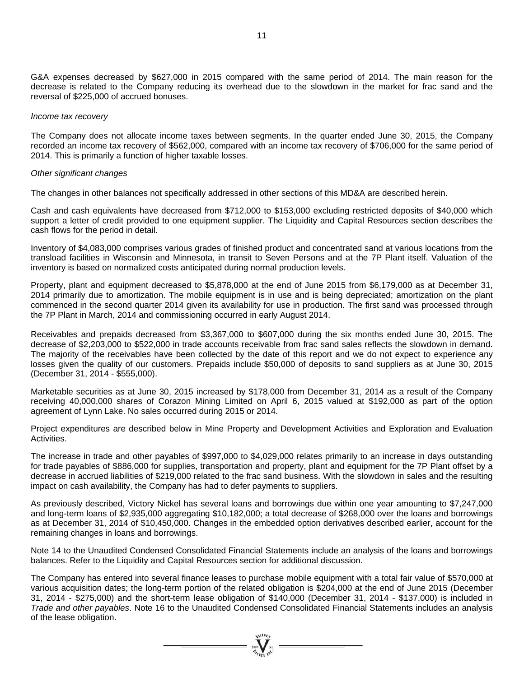G&A expenses decreased by \$627,000 in 2015 compared with the same period of 2014. The main reason for the decrease is related to the Company reducing its overhead due to the slowdown in the market for frac sand and the reversal of \$225,000 of accrued bonuses.

#### *Income tax recovery*

The Company does not allocate income taxes between segments. In the quarter ended June 30, 2015, the Company recorded an income tax recovery of \$562,000, compared with an income tax recovery of \$706,000 for the same period of 2014. This is primarily a function of higher taxable losses.

#### *Other significant changes*

The changes in other balances not specifically addressed in other sections of this MD&A are described herein.

Cash and cash equivalents have decreased from \$712,000 to \$153,000 excluding restricted deposits of \$40,000 which support a letter of credit provided to one equipment supplier. The Liquidity and Capital Resources section describes the cash flows for the period in detail.

Inventory of \$4,083,000 comprises various grades of finished product and concentrated sand at various locations from the transload facilities in Wisconsin and Minnesota, in transit to Seven Persons and at the 7P Plant itself. Valuation of the inventory is based on normalized costs anticipated during normal production levels.

Property, plant and equipment decreased to \$5,878,000 at the end of June 2015 from \$6,179,000 as at December 31, 2014 primarily due to amortization. The mobile equipment is in use and is being depreciated; amortization on the plant commenced in the second quarter 2014 given its availability for use in production. The first sand was processed through the 7P Plant in March, 2014 and commissioning occurred in early August 2014.

Receivables and prepaids decreased from \$3,367,000 to \$607,000 during the six months ended June 30, 2015. The decrease of \$2,203,000 to \$522,000 in trade accounts receivable from frac sand sales reflects the slowdown in demand. The majority of the receivables have been collected by the date of this report and we do not expect to experience any losses given the quality of our customers. Prepaids include \$50,000 of deposits to sand suppliers as at June 30, 2015 (December 31, 2014 - \$555,000).

Marketable securities as at June 30, 2015 increased by \$178,000 from December 31, 2014 as a result of the Company receiving 40,000,000 shares of Corazon Mining Limited on April 6, 2015 valued at \$192,000 as part of the option agreement of Lynn Lake. No sales occurred during 2015 or 2014.

Project expenditures are described below in Mine Property and Development Activities and Exploration and Evaluation Activities.

The increase in trade and other payables of \$997,000 to \$4,029,000 relates primarily to an increase in days outstanding for trade payables of \$886,000 for supplies, transportation and property, plant and equipment for the 7P Plant offset by a decrease in accrued liabilities of \$219,000 related to the frac sand business. With the slowdown in sales and the resulting impact on cash availability, the Company has had to defer payments to suppliers.

As previously described, Victory Nickel has several loans and borrowings due within one year amounting to \$7,247,000 and long-term loans of \$2,935,000 aggregating \$10,182,000; a total decrease of \$268,000 over the loans and borrowings as at December 31, 2014 of \$10,450,000. Changes in the embedded option derivatives described earlier, account for the remaining changes in loans and borrowings.

Note 14 to the Unaudited Condensed Consolidated Financial Statements include an analysis of the loans and borrowings balances. Refer to the Liquidity and Capital Resources section for additional discussion.

The Company has entered into several finance leases to purchase mobile equipment with a total fair value of \$570,000 at various acquisition dates; the long-term portion of the related obligation is \$204,000 at the end of June 2015 (December 31, 2014 - \$275,000) and the short-term lease obligation of \$140,000 (December 31, 2014 - \$137,000) is included in *Trade and other payables*. Note 16 to the Unaudited Condensed Consolidated Financial Statements includes an analysis of the lease obligation.

 $\sum_{\alpha}$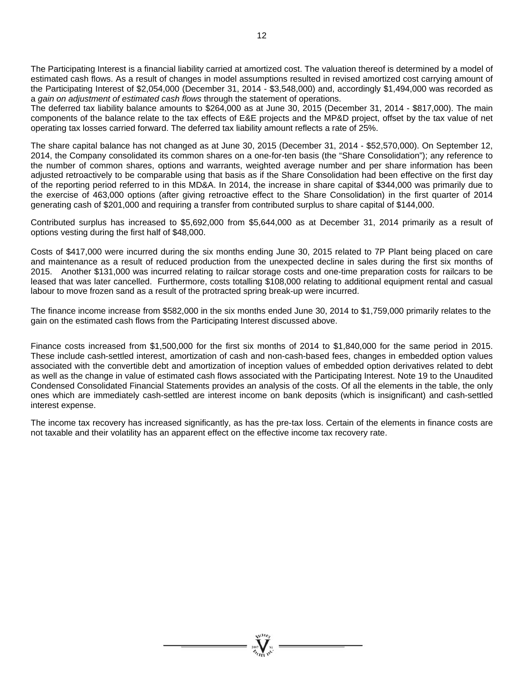The Participating Interest is a financial liability carried at amortized cost. The valuation thereof is determined by a model of estimated cash flows. As a result of changes in model assumptions resulted in revised amortized cost carrying amount of the Participating Interest of \$2,054,000 (December 31, 2014 - \$3,548,000) and, accordingly \$1,494,000 was recorded as a *gain on adjustment of estimated cash flows* through the statement of operations.

The deferred tax liability balance amounts to \$264,000 as at June 30, 2015 (December 31, 2014 - \$817,000). The main components of the balance relate to the tax effects of E&E projects and the MP&D project, offset by the tax value of net operating tax losses carried forward. The deferred tax liability amount reflects a rate of 25%.

The share capital balance has not changed as at June 30, 2015 (December 31, 2014 - \$52,570,000). On September 12, 2014, the Company consolidated its common shares on a one-for-ten basis (the "Share Consolidation"); any reference to the number of common shares, options and warrants, weighted average number and per share information has been adjusted retroactively to be comparable using that basis as if the Share Consolidation had been effective on the first day of the reporting period referred to in this MD&A. In 2014, the increase in share capital of \$344,000 was primarily due to the exercise of 463,000 options (after giving retroactive effect to the Share Consolidation) in the first quarter of 2014 generating cash of \$201,000 and requiring a transfer from contributed surplus to share capital of \$144,000.

Contributed surplus has increased to \$5,692,000 from \$5,644,000 as at December 31, 2014 primarily as a result of options vesting during the first half of \$48,000.

Costs of \$417,000 were incurred during the six months ending June 30, 2015 related to 7P Plant being placed on care and maintenance as a result of reduced production from the unexpected decline in sales during the first six months of 2015. Another \$131,000 was incurred relating to railcar storage costs and one-time preparation costs for railcars to be leased that was later cancelled. Furthermore, costs totalling \$108,000 relating to additional equipment rental and casual labour to move frozen sand as a result of the protracted spring break-up were incurred.

The finance income increase from \$582,000 in the six months ended June 30, 2014 to \$1,759,000 primarily relates to the gain on the estimated cash flows from the Participating Interest discussed above.

Finance costs increased from \$1,500,000 for the first six months of 2014 to \$1,840,000 for the same period in 2015. These include cash-settled interest, amortization of cash and non-cash-based fees, changes in embedded option values associated with the convertible debt and amortization of inception values of embedded option derivatives related to debt as well as the change in value of estimated cash flows associated with the Participating Interest. Note 19 to the Unaudited Condensed Consolidated Financial Statements provides an analysis of the costs. Of all the elements in the table, the only ones which are immediately cash-settled are interest income on bank deposits (which is insignificant) and cash-settled interest expense.

The income tax recovery has increased significantly, as has the pre-tax loss. Certain of the elements in finance costs are not taxable and their volatility has an apparent effect on the effective income tax recovery rate.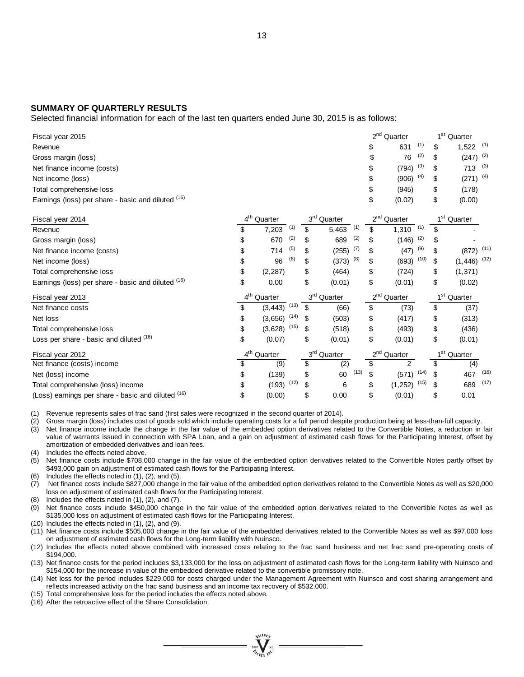#### **SUMMARY OF QUARTERLY RESULTS**

Selected financial information for each of the last ten quarters ended June 30, 2015 is as follows:

| Fiscal year 2015                                   |                         |      |                 |                         |      |                 | $2nd$ Quarter           |      | 1 <sup>st</sup> Quarter      |      |
|----------------------------------------------------|-------------------------|------|-----------------|-------------------------|------|-----------------|-------------------------|------|------------------------------|------|
| Revenue                                            |                         |      |                 |                         |      | \$              | 631                     | (1)  | \$<br>1,522                  | (1)  |
| Gross margin (loss)                                |                         |      |                 |                         |      |                 | 76                      | (2)  | \$<br>$(247)$ <sup>(2)</sup> |      |
| Net finance income (costs)                         |                         |      |                 |                         |      | \$              | (794)                   | (3)  | \$<br>713                    | (3)  |
| Net income (loss)                                  |                         |      |                 |                         |      | \$              | (906)                   | (4)  | \$<br>$(271)$ <sup>(4)</sup> |      |
| Total comprehensive loss                           |                         |      |                 |                         |      | \$              | (945)                   |      | \$<br>(178)                  |      |
| Earnings (loss) per share - basic and diluted (16) |                         |      |                 |                         |      | \$              | (0.02)                  |      | \$<br>(0.00)                 |      |
| Fiscal year 2014                                   | 4 <sup>th</sup> Quarter |      |                 | 3 <sup>rd</sup> Quarter |      |                 | $2nd$ Quarter           |      | 1 <sup>st</sup> Quarter      |      |
| Revenue                                            | \$<br>7,203             | (1)  | \$              | 5,463                   | (1)  | \$              | 1,310                   | (1)  | \$                           |      |
| Gross margin (loss)                                | \$<br>670               | (2)  | \$              | 689                     | (2)  | \$              | (146)                   | (2)  | \$                           |      |
| Net finance income (costs)                         | \$<br>714               | (5)  |                 | (255)                   | (7)  | \$              | (47)                    | (9)  | \$<br>$(872)$ (11)           |      |
| Net income (loss)                                  | \$<br>96                | (6)  | \$              | (373)                   | (8)  | \$              | (693)                   | (10) | \$<br>$(1,446)$ (12)         |      |
| Total comprehensive loss                           | \$<br>(2, 287)          |      | \$              | (464)                   |      | \$              | (724)                   |      | \$<br>(1, 371)               |      |
| Earnings (loss) per share - basic and diluted (16) | \$<br>0.00              |      | \$              | (0.01)                  |      | \$              | (0.01)                  |      | \$<br>(0.02)                 |      |
| Fiscal year 2013                                   | 4 <sup>th</sup> Quarter |      |                 | 3 <sup>rd</sup> Quarter |      |                 | 2 <sup>nd</sup> Quarter |      | 1 <sup>st</sup> Quarter      |      |
| Net finance costs                                  | \$<br>(3, 443)          | (13) | \$              | (66)                    |      | \$              | (73)                    |      | \$<br>(37)                   |      |
| Net loss                                           | \$<br>(3,656)           | (14) |                 | (503)                   |      | \$              | (417)                   |      | \$<br>(313)                  |      |
| Total comprehensive loss                           | \$<br>(3,628)           | (15) |                 | (518)                   |      | \$              | (493)                   |      | \$<br>(436)                  |      |
| Loss per share - basic and diluted (16)            | \$<br>(0.07)            |      | \$              | (0.01)                  |      | \$              | (0.01)                  |      | \$<br>(0.01)                 |      |
| Fiscal year 2012                                   | 4 <sup>th</sup> Quarter |      | 3 <sup>rd</sup> | Quarter                 |      | 2 <sup>nd</sup> | Quarter                 |      | $1st$ Quarter                |      |
| Net finance (costs) income                         | \$<br>(9)               |      | \$              | (2)                     |      | \$              | $\mathfrak{p}$          |      | \$<br>(4)                    |      |
| Net (loss) income                                  | \$<br>(139)             |      | \$              | 60                      | (13) | \$              | $(571)$ <sup>(14)</sup> |      | \$<br>467                    | (16) |
| Total comprehensive (loss) income                  | \$<br>$(193)$ $(12)$    |      | \$              | 6                       |      | \$              | (1, 252)                | (15) | \$<br>689                    | (17) |
| (Loss) earnings per share - basic and diluted (16) | \$<br>(0.00)            |      | \$              | 0.00                    |      | \$              | (0.01)                  |      | \$<br>0.01                   |      |

(1) Revenue represents sales of frac sand (first sales were recognized in the second quarter of 2014).

(2) Gross margin (loss) includes cost of goods sold which include operating costs for a full period despite production being at less-than-full capacity.

(3) Net finance income include the change in the fair value of the embedded option derivatives related to the Convertible Notes, a reduction in fair value of warrants issued in connection with SPA Loan, and a gain on adjustment of estimated cash flows for the Participating Interest, offset by amortization of embedded derivatives and loan fees.

(4) Includes the effects noted above.

- (5) Net finance costs include \$708,000 change in the fair value of the embedded option derivatives related to the Convertible Notes partly offset by \$493,000 gain on adjustment of estimated cash flows for the Participating Interest.
- (6) Includes the effects noted in (1), (2), and (5).
- (7) Net finance costs include \$827,000 change in the fair value of the embedded option derivatives related to the Convertible Notes as well as \$20,000 loss on adjustment of estimated cash flows for the Participating Interest.
- (8) Includes the effects noted in (1), (2), and (7).
- (9) Net finance costs include \$450,000 change in the fair value of the embedded option derivatives related to the Convertible Notes as well as \$135,000 loss on adjustment of estimated cash flows for the Participating Interest.
- (10) Includes the effects noted in (1), (2), and (9).
- (11) Net finance costs include \$505,000 change in the fair value of the embedded derivatives related to the Convertible Notes as well as \$97,000 loss on adjustment of estimated cash flows for the Long-term liability with Nuinsco.
- (12) Includes the effects noted above combined with increased costs relating to the frac sand business and net frac sand pre-operating costs of \$194,000.
- (13) Net finance costs for the period includes \$3,133,000 for the loss on adjustment of estimated cash flows for the Long-term liability with Nuinsco and \$154,000 for the increase in value of the embedded derivative related to the convertible promissory note.
- (14) Net loss for the period includes \$229,000 for costs charged under the Management Agreement with Nuinsco and cost sharing arrangement and reflects increased activity on the frac sand business and an income tax recovery of \$532,000.
- (15) Total comprehensive loss for the period includes the effects noted above.
- (16) After the retroactive effect of the Share Consolidation.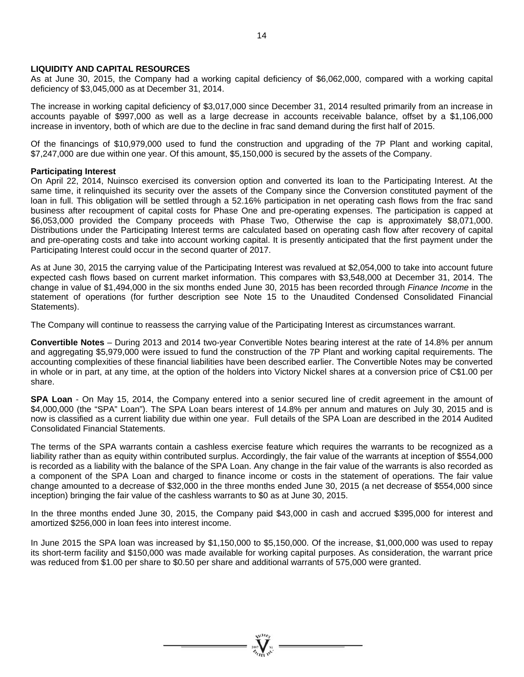### **LIQUIDITY AND CAPITAL RESOURCES**

As at June 30, 2015, the Company had a working capital deficiency of \$6,062,000, compared with a working capital deficiency of \$3,045,000 as at December 31, 2014.

The increase in working capital deficiency of \$3,017,000 since December 31, 2014 resulted primarily from an increase in accounts payable of \$997,000 as well as a large decrease in accounts receivable balance, offset by a \$1,106,000 increase in inventory, both of which are due to the decline in frac sand demand during the first half of 2015.

Of the financings of \$10,979,000 used to fund the construction and upgrading of the 7P Plant and working capital, \$7,247,000 are due within one year. Of this amount, \$5,150,000 is secured by the assets of the Company.

#### **Participating Interest**

On April 22, 2014, Nuinsco exercised its conversion option and converted its loan to the Participating Interest. At the same time, it relinquished its security over the assets of the Company since the Conversion constituted payment of the loan in full. This obligation will be settled through a 52.16% participation in net operating cash flows from the frac sand business after recoupment of capital costs for Phase One and pre-operating expenses. The participation is capped at \$6,053,000 provided the Company proceeds with Phase Two, Otherwise the cap is approximately \$8,071,000. Distributions under the Participating Interest terms are calculated based on operating cash flow after recovery of capital and pre-operating costs and take into account working capital. It is presently anticipated that the first payment under the Participating Interest could occur in the second quarter of 2017.

As at June 30, 2015 the carrying value of the Participating Interest was revalued at \$2,054,000 to take into account future expected cash flows based on current market information. This compares with \$3,548,000 at December 31, 2014. The change in value of \$1,494,000 in the six months ended June 30, 2015 has been recorded through *Finance Income* in the statement of operations (for further description see Note 15 to the Unaudited Condensed Consolidated Financial Statements).

The Company will continue to reassess the carrying value of the Participating Interest as circumstances warrant.

**Convertible Notes** – During 2013 and 2014 two-year Convertible Notes bearing interest at the rate of 14.8% per annum and aggregating \$5,979,000 were issued to fund the construction of the 7P Plant and working capital requirements. The accounting complexities of these financial liabilities have been described earlier. The Convertible Notes may be converted in whole or in part, at any time, at the option of the holders into Victory Nickel shares at a conversion price of C\$1.00 per share.

**SPA Loan** - On May 15, 2014, the Company entered into a senior secured line of credit agreement in the amount of \$4,000,000 (the "SPA" Loan"). The SPA Loan bears interest of 14.8% per annum and matures on July 30, 2015 and is now is classified as a current liability due within one year. Full details of the SPA Loan are described in the 2014 Audited Consolidated Financial Statements.

The terms of the SPA warrants contain a cashless exercise feature which requires the warrants to be recognized as a liability rather than as equity within contributed surplus. Accordingly, the fair value of the warrants at inception of \$554,000 is recorded as a liability with the balance of the SPA Loan. Any change in the fair value of the warrants is also recorded as a component of the SPA Loan and charged to finance income or costs in the statement of operations. The fair value change amounted to a decrease of \$32,000 in the three months ended June 30, 2015 (a net decrease of \$554,000 since inception) bringing the fair value of the cashless warrants to \$0 as at June 30, 2015.

In the three months ended June 30, 2015, the Company paid \$43,000 in cash and accrued \$395,000 for interest and amortized \$256,000 in loan fees into interest income.

In June 2015 the SPA loan was increased by \$1,150,000 to \$5,150,000. Of the increase, \$1,000,000 was used to repay its short-term facility and \$150,000 was made available for working capital purposes. As consideration, the warrant price was reduced from \$1.00 per share to \$0.50 per share and additional warrants of 575,000 were granted.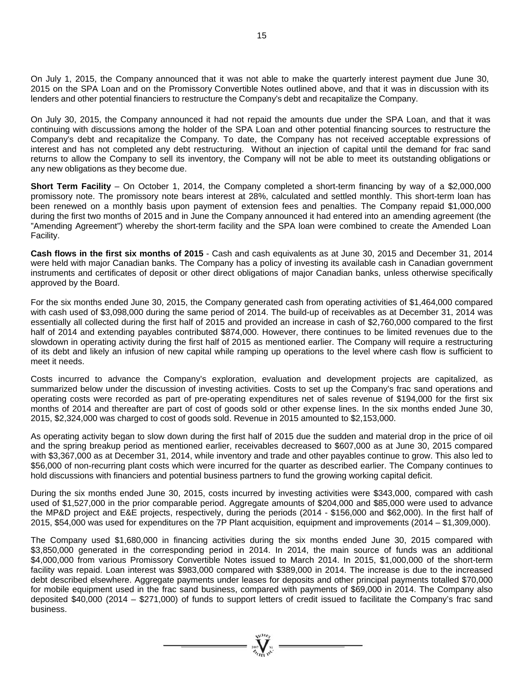On July 1, 2015, the Company announced that it was not able to make the quarterly interest payment due June 30, 2015 on the SPA Loan and on the Promissory Convertible Notes outlined above, and that it was in discussion with its lenders and other potential financiers to restructure the Company's debt and recapitalize the Company.

On July 30, 2015, the Company announced it had not repaid the amounts due under the SPA Loan, and that it was continuing with discussions among the holder of the SPA Loan and other potential financing sources to restructure the Company's debt and recapitalize the Company. To date, the Company has not received acceptable expressions of interest and has not completed any debt restructuring. Without an injection of capital until the demand for frac sand returns to allow the Company to sell its inventory, the Company will not be able to meet its outstanding obligations or any new obligations as they become due.

**Short Term Facility** – On October 1, 2014, the Company completed a short-term financing by way of a \$2,000,000 promissory note. The promissory note bears interest at 28%, calculated and settled monthly. This short-term loan has been renewed on a monthly basis upon payment of extension fees and penalties. The Company repaid \$1,000,000 during the first two months of 2015 and in June the Company announced it had entered into an amending agreement (the "Amending Agreement") whereby the short-term facility and the SPA loan were combined to create the Amended Loan Facility.

**Cash flows in the first six months of 2015** - Cash and cash equivalents as at June 30, 2015 and December 31, 2014 were held with major Canadian banks. The Company has a policy of investing its available cash in Canadian government instruments and certificates of deposit or other direct obligations of major Canadian banks, unless otherwise specifically approved by the Board.

For the six months ended June 30, 2015, the Company generated cash from operating activities of \$1,464,000 compared with cash used of \$3,098,000 during the same period of 2014. The build-up of receivables as at December 31, 2014 was essentially all collected during the first half of 2015 and provided an increase in cash of \$2,760,000 compared to the first half of 2014 and extending payables contributed \$874,000. However, there continues to be limited revenues due to the slowdown in operating activity during the first half of 2015 as mentioned earlier. The Company will require a restructuring of its debt and likely an infusion of new capital while ramping up operations to the level where cash flow is sufficient to meet it needs.

Costs incurred to advance the Company's exploration, evaluation and development projects are capitalized, as summarized below under the discussion of investing activities. Costs to set up the Company's frac sand operations and operating costs were recorded as part of pre-operating expenditures net of sales revenue of \$194,000 for the first six months of 2014 and thereafter are part of cost of goods sold or other expense lines. In the six months ended June 30, 2015, \$2,324,000 was charged to cost of goods sold. Revenue in 2015 amounted to \$2,153,000.

As operating activity began to slow down during the first half of 2015 due the sudden and material drop in the price of oil and the spring breakup period as mentioned earlier, receivables decreased to \$607,000 as at June 30, 2015 compared with \$3,367,000 as at December 31, 2014, while inventory and trade and other payables continue to grow. This also led to \$56,000 of non-recurring plant costs which were incurred for the quarter as described earlier. The Company continues to hold discussions with financiers and potential business partners to fund the growing working capital deficit.

During the six months ended June 30, 2015, costs incurred by investing activities were \$343,000, compared with cash used of \$1,527,000 in the prior comparable period. Aggregate amounts of \$204,000 and \$85,000 were used to advance the MP&D project and E&E projects, respectively, during the periods (2014 - \$156,000 and \$62,000). In the first half of 2015, \$54,000 was used for expenditures on the 7P Plant acquisition, equipment and improvements (2014 – \$1,309,000).

The Company used \$1,680,000 in financing activities during the six months ended June 30, 2015 compared with \$3,850,000 generated in the corresponding period in 2014. In 2014, the main source of funds was an additional \$4,000,000 from various Promissory Convertible Notes issued to March 2014. In 2015, \$1,000,000 of the short-term facility was repaid. Loan interest was \$983,000 compared with \$389,000 in 2014. The increase is due to the increased debt described elsewhere. Aggregate payments under leases for deposits and other principal payments totalled \$70,000 for mobile equipment used in the frac sand business, compared with payments of \$69,000 in 2014. The Company also deposited \$40,000 (2014 – \$271,000) of funds to support letters of credit issued to facilitate the Company's frac sand business.

 $=\prod_{\substack{m=1\\ \text{odd }n}}^{\infty}$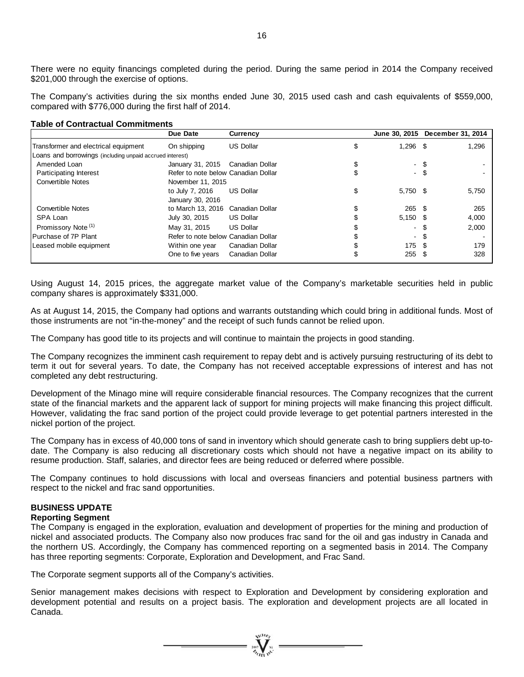There were no equity financings completed during the period. During the same period in 2014 the Company received \$201,000 through the exercise of options.

The Company's activities during the six months ended June 30, 2015 used cash and cash equivalents of \$559,000, compared with \$776,000 during the first half of 2014.

#### **Table of Contractual Commitments**

|                                                          | Due Date                            | <b>Currency</b>  | June 30, 2015    | December 31, 2014 |       |
|----------------------------------------------------------|-------------------------------------|------------------|------------------|-------------------|-------|
| Transformer and electrical equipment                     | On shipping                         | <b>US Dollar</b> | \$<br>$1,296$ \$ |                   | 1,296 |
| Loans and borrowings (including unpaid accrued interest) |                                     |                  |                  |                   |       |
| Amended Loan                                             | January 31, 2015                    | Canadian Dollar  | - \$             |                   |       |
| <b>Participating Interest</b>                            | Refer to note below Canadian Dollar |                  | $-$ \$           |                   |       |
| <b>Convertible Notes</b>                                 | November 11, 2015                   |                  |                  |                   |       |
|                                                          | to July 7, 2016                     | <b>US Dollar</b> | \$<br>$5,750$ \$ |                   | 5,750 |
|                                                          | January 30, 2016                    |                  |                  |                   |       |
| <b>Convertible Notes</b>                                 | to March 13, 2016 Canadian Dollar   |                  | 265S             |                   | 265   |
| SPA Loan                                                 | July 30, 2015                       | <b>US Dollar</b> | $5,150$ \$       |                   | 4,000 |
| Promissory Note <sup>(1)</sup>                           | May 31, 2015                        | <b>US Dollar</b> | - \$             |                   | 2,000 |
| Purchase of 7P Plant                                     | Refer to note below Canadian Dollar |                  | - \$             |                   |       |
| Leased mobile equipment                                  | Within one year                     | Canadian Dollar  | 175 \$           |                   | 179   |
|                                                          | One to five years                   | Canadian Dollar  | $255$ \$         |                   | 328   |

Using August 14, 2015 prices, the aggregate market value of the Company's marketable securities held in public company shares is approximately \$331,000.

As at August 14, 2015, the Company had options and warrants outstanding which could bring in additional funds. Most of those instruments are not "in-the-money" and the receipt of such funds cannot be relied upon.

The Company has good title to its projects and will continue to maintain the projects in good standing.

The Company recognizes the imminent cash requirement to repay debt and is actively pursuing restructuring of its debt to term it out for several years. To date, the Company has not received acceptable expressions of interest and has not completed any debt restructuring.

Development of the Minago mine will require considerable financial resources. The Company recognizes that the current state of the financial markets and the apparent lack of support for mining projects will make financing this project difficult. However, validating the frac sand portion of the project could provide leverage to get potential partners interested in the nickel portion of the project.

The Company has in excess of 40,000 tons of sand in inventory which should generate cash to bring suppliers debt up-todate. The Company is also reducing all discretionary costs which should not have a negative impact on its ability to resume production. Staff, salaries, and director fees are being reduced or deferred where possible.

The Company continues to hold discussions with local and overseas financiers and potential business partners with respect to the nickel and frac sand opportunities.

## **BUSINESS UPDATE**

#### **Reporting Segment**

The Company is engaged in the exploration, evaluation and development of properties for the mining and production of nickel and associated products. The Company also now produces frac sand for the oil and gas industry in Canada and the northern US. Accordingly, the Company has commenced reporting on a segmented basis in 2014. The Company has three reporting segments: Corporate, Exploration and Development, and Frac Sand.

The Corporate segment supports all of the Company's activities.

Senior management makes decisions with respect to Exploration and Development by considering exploration and development potential and results on a project basis. The exploration and development projects are all located in Canada.

 $\frac{1}{\sqrt{2}}$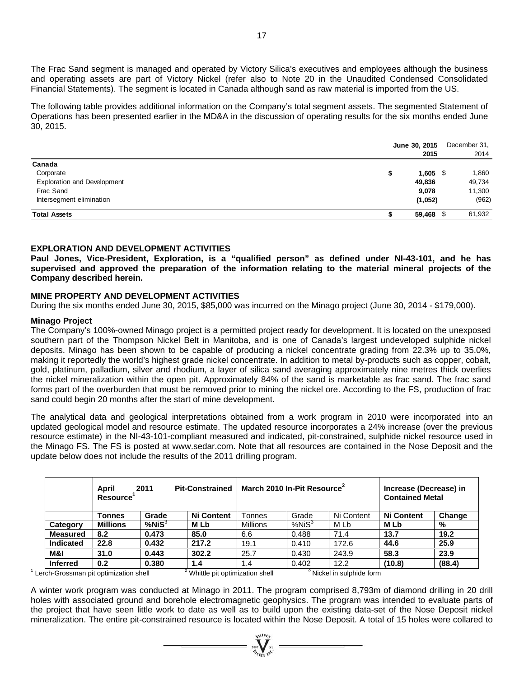The Frac Sand segment is managed and operated by Victory Silica's executives and employees although the business and operating assets are part of Victory Nickel (refer also to Note 20 in the Unaudited Condensed Consolidated Financial Statements). The segment is located in Canada although sand as raw material is imported from the US.

The following table provides additional information on the Company's total segment assets. The segmented Statement of Operations has been presented earlier in the MD&A in the discussion of operating results for the six months ended June 30, 2015.

|                                    | June 30, 2015<br>2015 | December 31,<br>2014 |
|------------------------------------|-----------------------|----------------------|
| Canada                             |                       |                      |
| Corporate                          | \$<br>$1,605$ \$      | 1,860                |
| <b>Exploration and Development</b> | 49,836                | 49,734               |
| Frac Sand                          | 9,078                 | 11,300               |
| Intersegment elimination           | (1,052)               | (962)                |
| <b>Total Assets</b>                | 59,468 \$             | 61,932               |

## **EXPLORATION AND DEVELOPMENT ACTIVITIES**

**Paul Jones, Vice-President, Exploration, is a "qualified person" as defined under NI-43-101, and he has supervised and approved the preparation of the information relating to the material mineral projects of the Company described herein.** 

## **MINE PROPERTY AND DEVELOPMENT ACTIVITIES**

During the six months ended June 30, 2015, \$85,000 was incurred on the Minago project (June 30, 2014 - \$179,000).

### **Minago Project**

The Company's 100%-owned Minago project is a permitted project ready for development. It is located on the unexposed southern part of the Thompson Nickel Belt in Manitoba, and is one of Canada's largest undeveloped sulphide nickel deposits. Minago has been shown to be capable of producing a nickel concentrate grading from 22.3% up to 35.0%, making it reportedly the world's highest grade nickel concentrate. In addition to metal by-products such as copper, cobalt, gold, platinum, palladium, silver and rhodium, a layer of silica sand averaging approximately nine metres thick overlies the nickel mineralization within the open pit. Approximately 84% of the sand is marketable as frac sand. The frac sand forms part of the overburden that must be removed prior to mining the nickel ore. According to the FS, production of frac sand could begin 20 months after the start of mine development.

The analytical data and geological interpretations obtained from a work program in 2010 were incorporated into an updated geological model and resource estimate. The updated resource incorporates a 24% increase (over the previous resource estimate) in the NI-43-101-compliant measured and indicated, pit-constrained, sulphide nickel resource used in the Minago FS. The FS is posted at www.sedar.com. Note that all resources are contained in the Nose Deposit and the update below does not include the results of the 2011 drilling program.

|                 | April<br>Resource' | 2011         | <b>Pit-Constrained</b> |                 | March 2010 In-Pit Resource <sup>2</sup> |            | Increase (Decrease) in<br><b>Contained Metal</b> |        |  |
|-----------------|--------------------|--------------|------------------------|-----------------|-----------------------------------------|------------|--------------------------------------------------|--------|--|
|                 | Tonnes             | Grade        | <b>Ni Content</b>      | Tonnes          | Grade                                   | Ni Content | <b>Ni Content</b>                                | Change |  |
| Category        | <b>Millions</b>    | $%$ Ni $S^3$ | M Lb                   | <b>Millions</b> | %NiS <sup>3</sup>                       | M Lb       | M Lb                                             | %      |  |
| <b>Measured</b> | 8.2                | 0.473        | 85.0                   | 6.6             | 0.488                                   | 71.4       | 13.7                                             | 19.2   |  |
| Indicated       | 22.8               | 0.432        | 217.2                  | 19.1            | 0.410                                   | 172.6      | 44.6                                             | 25.9   |  |
| M&I             | 31.0               | 0.443        | 302.2                  | 25.7            | 0.430                                   | 243.9      | 58.3                                             | 23.9   |  |
| <b>Inferred</b> | 0.2                | 0.380        | 1.4                    | 1.4             | 0.402                                   | 12.2       | (10.8)                                           | (88.4) |  |

 $1$  Lerch-Grossman pit optimization shell  $2$  $3$  Whittle pit optimization shell  $3$  Nickel in sulphide form

A winter work program was conducted at Minago in 2011. The program comprised 8,793m of diamond drilling in 20 drill holes with associated ground and borehole electromagnetic geophysics. The program was intended to evaluate parts of the project that have seen little work to date as well as to build upon the existing data-set of the Nose Deposit nickel mineralization. The entire pit-constrained resource is located within the Nose Deposit. A total of 15 holes were collared to

 $\sum_{n=1}^{\infty} \sum_{n=1}^{\infty} n^n$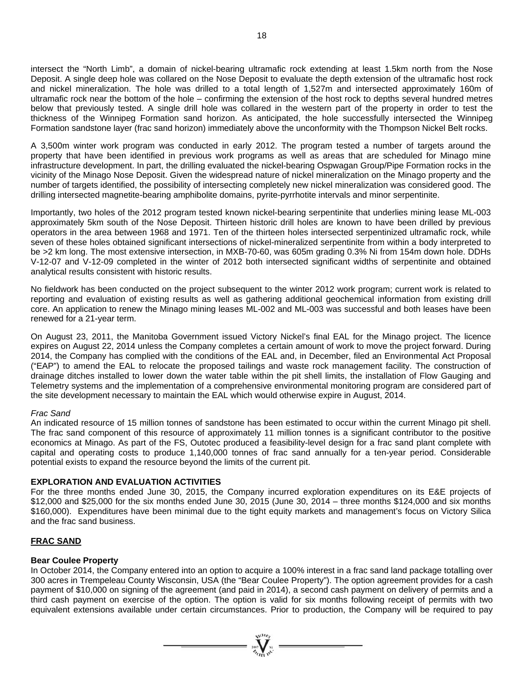intersect the "North Limb", a domain of nickel-bearing ultramafic rock extending at least 1.5km north from the Nose Deposit. A single deep hole was collared on the Nose Deposit to evaluate the depth extension of the ultramafic host rock and nickel mineralization. The hole was drilled to a total length of 1,527m and intersected approximately 160m of ultramafic rock near the bottom of the hole – confirming the extension of the host rock to depths several hundred metres below that previously tested. A single drill hole was collared in the western part of the property in order to test the thickness of the Winnipeg Formation sand horizon. As anticipated, the hole successfully intersected the Winnipeg Formation sandstone layer (frac sand horizon) immediately above the unconformity with the Thompson Nickel Belt rocks.

A 3,500m winter work program was conducted in early 2012. The program tested a number of targets around the property that have been identified in previous work programs as well as areas that are scheduled for Minago mine infrastructure development. In part, the drilling evaluated the nickel-bearing Ospwagan Group/Pipe Formation rocks in the vicinity of the Minago Nose Deposit. Given the widespread nature of nickel mineralization on the Minago property and the number of targets identified, the possibility of intersecting completely new nickel mineralization was considered good. The drilling intersected magnetite-bearing amphibolite domains, pyrite-pyrrhotite intervals and minor serpentinite.

Importantly, two holes of the 2012 program tested known nickel-bearing serpentinite that underlies mining lease ML-003 approximately 5km south of the Nose Deposit. Thirteen historic drill holes are known to have been drilled by previous operators in the area between 1968 and 1971. Ten of the thirteen holes intersected serpentinized ultramafic rock, while seven of these holes obtained significant intersections of nickel-mineralized serpentinite from within a body interpreted to be >2 km long. The most extensive intersection, in MXB-70-60, was 605m grading 0.3% Ni from 154m down hole. DDHs V-12-07 and V-12-09 completed in the winter of 2012 both intersected significant widths of serpentinite and obtained analytical results consistent with historic results.

No fieldwork has been conducted on the project subsequent to the winter 2012 work program; current work is related to reporting and evaluation of existing results as well as gathering additional geochemical information from existing drill core. An application to renew the Minago mining leases ML-002 and ML-003 was successful and both leases have been renewed for a 21-year term.

On August 23, 2011, the Manitoba Government issued Victory Nickel's final EAL for the Minago project. The licence expires on August 22, 2014 unless the Company completes a certain amount of work to move the project forward. During 2014, the Company has complied with the conditions of the EAL and, in December, filed an Environmental Act Proposal ("EAP") to amend the EAL to relocate the proposed tailings and waste rock management facility. The construction of drainage ditches installed to lower down the water table within the pit shell limits, the installation of Flow Gauging and Telemetry systems and the implementation of a comprehensive environmental monitoring program are considered part of the site development necessary to maintain the EAL which would otherwise expire in August, 2014.

## *Frac Sand*

An indicated resource of 15 million tonnes of sandstone has been estimated to occur within the current Minago pit shell. The frac sand component of this resource of approximately 11 million tonnes is a significant contributor to the positive economics at Minago. As part of the FS, Outotec produced a feasibility-level design for a frac sand plant complete with capital and operating costs to produce 1,140,000 tonnes of frac sand annually for a ten-year period. Considerable potential exists to expand the resource beyond the limits of the current pit.

## **EXPLORATION AND EVALUATION ACTIVITIES**

For the three months ended June 30, 2015, the Company incurred exploration expenditures on its E&E projects of \$12,000 and \$25,000 for the six months ended June 30, 2015 (June 30, 2014 – three months \$124,000 and six months \$160,000). Expenditures have been minimal due to the tight equity markets and management's focus on Victory Silica and the frac sand business.

## **FRAC SAND**

## **Bear Coulee Property**

In October 2014, the Company entered into an option to acquire a 100% interest in a frac sand land package totalling over 300 acres in Trempeleau County Wisconsin, USA (the "Bear Coulee Property"). The option agreement provides for a cash payment of \$10,000 on signing of the agreement (and paid in 2014), a second cash payment on delivery of permits and a third cash payment on exercise of the option. The option is valid for six months following receipt of permits with two equivalent extensions available under certain circumstances. Prior to production, the Company will be required to pay

 $\sum_{\substack{n=1\\ \text{odd }n}}^{\infty} \sum_{\substack{n=1\\ \text{odd }n}}^{\infty}$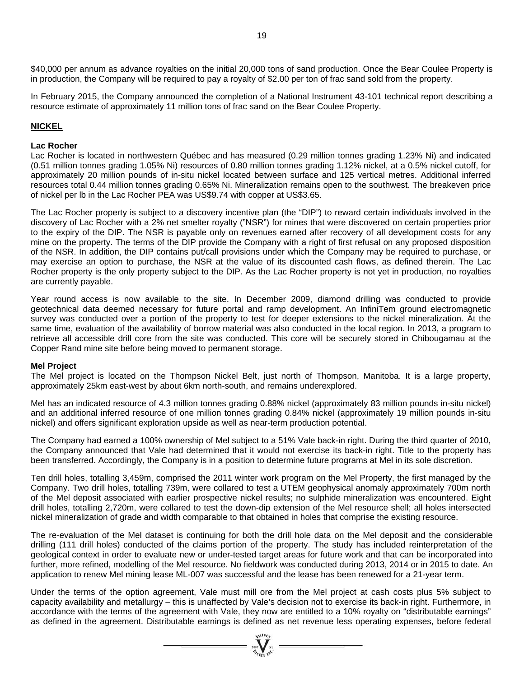\$40,000 per annum as advance royalties on the initial 20,000 tons of sand production. Once the Bear Coulee Property is in production, the Company will be required to pay a royalty of \$2.00 per ton of frac sand sold from the property.

In February 2015, the Company announced the completion of a National Instrument 43-101 technical report describing a resource estimate of approximately 11 million tons of frac sand on the Bear Coulee Property.

## **NICKEL**

#### **Lac Rocher**

Lac Rocher is located in northwestern Québec and has measured (0.29 million tonnes grading 1.23% Ni) and indicated (0.51 million tonnes grading 1.05% Ni) resources of 0.80 million tonnes grading 1.12% nickel, at a 0.5% nickel cutoff, for approximately 20 million pounds of in-situ nickel located between surface and 125 vertical metres. Additional inferred resources total 0.44 million tonnes grading 0.65% Ni. Mineralization remains open to the southwest. The breakeven price of nickel per lb in the Lac Rocher PEA was US\$9.74 with copper at US\$3.65.

The Lac Rocher property is subject to a discovery incentive plan (the "DIP") to reward certain individuals involved in the discovery of Lac Rocher with a 2% net smelter royalty ("NSR") for mines that were discovered on certain properties prior to the expiry of the DIP. The NSR is payable only on revenues earned after recovery of all development costs for any mine on the property. The terms of the DIP provide the Company with a right of first refusal on any proposed disposition of the NSR. In addition, the DIP contains put/call provisions under which the Company may be required to purchase, or may exercise an option to purchase, the NSR at the value of its discounted cash flows, as defined therein. The Lac Rocher property is the only property subject to the DIP. As the Lac Rocher property is not yet in production, no royalties are currently payable.

Year round access is now available to the site. In December 2009, diamond drilling was conducted to provide geotechnical data deemed necessary for future portal and ramp development. An InfiniTem ground electromagnetic survey was conducted over a portion of the property to test for deeper extensions to the nickel mineralization. At the same time, evaluation of the availability of borrow material was also conducted in the local region. In 2013, a program to retrieve all accessible drill core from the site was conducted. This core will be securely stored in Chibougamau at the Copper Rand mine site before being moved to permanent storage.

### **Mel Project**

The Mel project is located on the Thompson Nickel Belt, just north of Thompson, Manitoba. It is a large property, approximately 25km east-west by about 6km north-south, and remains underexplored.

Mel has an indicated resource of 4.3 million tonnes grading 0.88% nickel (approximately 83 million pounds in-situ nickel) and an additional inferred resource of one million tonnes grading 0.84% nickel (approximately 19 million pounds in-situ nickel) and offers significant exploration upside as well as near-term production potential.

The Company had earned a 100% ownership of Mel subject to a 51% Vale back-in right. During the third quarter of 2010, the Company announced that Vale had determined that it would not exercise its back-in right. Title to the property has been transferred. Accordingly, the Company is in a position to determine future programs at Mel in its sole discretion.

Ten drill holes, totalling 3,459m, comprised the 2011 winter work program on the Mel Property, the first managed by the Company. Two drill holes, totalling 739m, were collared to test a UTEM geophysical anomaly approximately 700m north of the Mel deposit associated with earlier prospective nickel results; no sulphide mineralization was encountered. Eight drill holes, totalling 2,720m, were collared to test the down-dip extension of the Mel resource shell; all holes intersected nickel mineralization of grade and width comparable to that obtained in holes that comprise the existing resource.

The re-evaluation of the Mel dataset is continuing for both the drill hole data on the Mel deposit and the considerable drilling (111 drill holes) conducted of the claims portion of the property. The study has included reinterpretation of the geological context in order to evaluate new or under-tested target areas for future work and that can be incorporated into further, more refined, modelling of the Mel resource. No fieldwork was conducted during 2013, 2014 or in 2015 to date. An application to renew Mel mining lease ML-007 was successful and the lease has been renewed for a 21-year term.

Under the terms of the option agreement, Vale must mill ore from the Mel project at cash costs plus 5% subject to capacity availability and metallurgy – this is unaffected by Vale's decision not to exercise its back-in right. Furthermore, in accordance with the terms of the agreement with Vale, they now are entitled to a 10% royalty on "distributable earnings" as defined in the agreement. Distributable earnings is defined as net revenue less operating expenses, before federal

 $\sum_{\alpha}^{wcon}$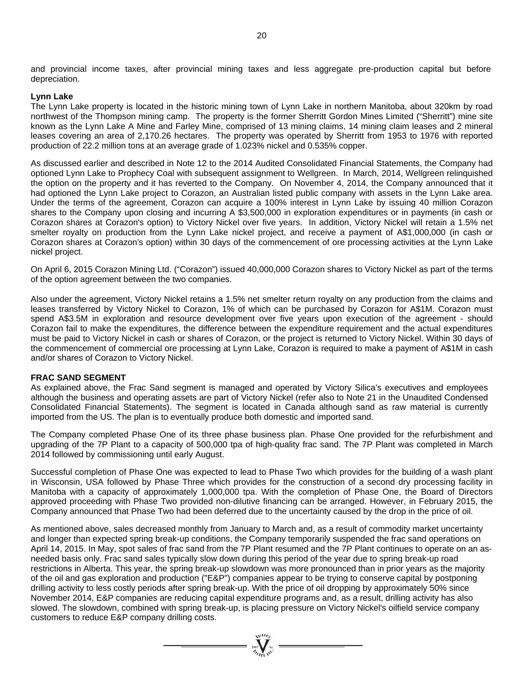and provincial income taxes, after provincial mining taxes and less aggregate pre-production capital but before depreciation.

#### **Lynn Lake**

The Lynn Lake property is located in the historic mining town of Lynn Lake in northern Manitoba, about 320km by road northwest of the Thompson mining camp. The property is the former Sherritt Gordon Mines Limited ("Sherritt") mine site known as the Lynn Lake A Mine and Farley Mine, comprised of 13 mining claims, 14 mining claim leases and 2 mineral leases covering an area of 2,170.26 hectares. The property was operated by Sherritt from 1953 to 1976 with reported production of 22.2 million tons at an average grade of 1.023% nickel and 0.535% copper.

As discussed earlier and described in Note 12 to the 2014 Audited Consolidated Financial Statements, the Company had optioned Lynn Lake to Prophecy Coal with subsequent assignment to Wellgreen. In March, 2014, Wellgreen relinquished the option on the property and it has reverted to the Company. On November 4, 2014, the Company announced that it had optioned the Lynn Lake project to Corazon, an Australian listed public company with assets in the Lynn Lake area. Under the terms of the agreement, Corazon can acquire a 100% interest in Lynn Lake by issuing 40 million Corazon shares to the Company upon closing and incurring A \$3,500,000 in exploration expenditures or in payments (in cash or Corazon shares at Corazon's option) to Victory Nickel over five years. In addition, Victory Nickel will retain a 1.5% net smelter royalty on production from the Lynn Lake nickel project, and receive a payment of A\$1,000,000 (in cash or Corazon shares at Corazon's option) within 30 days of the commencement of ore processing activities at the Lynn Lake nickel project.

On April 6, 2015 Corazon Mining Ltd. ("Corazon") issued 40,000,000 Corazon shares to Victory Nickel as part of the terms of the option agreement between the two companies.

Also under the agreement, Victory Nickel retains a 1.5% net smelter return royalty on any production from the claims and leases transferred by Victory Nickel to Corazon, 1% of which can be purchased by Corazon for A\$1M. Corazon must spend A\$3.5M in exploration and resource development over five years upon execution of the agreement - should Corazon fail to make the expenditures, the difference between the expenditure requirement and the actual expenditures must be paid to Victory Nickel in cash or shares of Corazon, or the project is returned to Victory Nickel. Within 30 days of the commencement of commercial ore processing at Lynn Lake, Corazon is required to make a payment of A\$1M in cash and/or shares of Corazon to Victory Nickel.

#### **FRAC SAND SEGMENT**

As explained above, the Frac Sand segment is managed and operated by Victory Silica's executives and employees although the business and operating assets are part of Victory Nickel (refer also to Note 21 in the Unaudited Condensed Consolidated Financial Statements). The segment is located in Canada although sand as raw material is currently imported from the US. The plan is to eventually produce both domestic and imported sand.

The Company completed Phase One of its three phase business plan. Phase One provided for the refurbishment and upgrading of the 7P Plant to a capacity of 500,000 tpa of high-quality frac sand. The 7P Plant was completed in March 2014 followed by commissioning until early August.

Successful completion of Phase One was expected to lead to Phase Two which provides for the building of a wash plant in Wisconsin, USA followed by Phase Three which provides for the construction of a second dry processing facility in Manitoba with a capacity of approximately 1,000,000 tpa. With the completion of Phase One, the Board of Directors approved proceeding with Phase Two provided non-dilutive financing can be arranged. However, in February 2015, the Company announced that Phase Two had been deferred due to the uncertainty caused by the drop in the price of oil.

As mentioned above, sales decreased monthly from January to March and, as a result of commodity market uncertainty and longer than expected spring break-up conditions, the Company temporarily suspended the frac sand operations on April 14, 2015. In May, spot sales of frac sand from the 7P Plant resumed and the 7P Plant continues to operate on an asneeded basis only. Frac sand sales typically slow down during this period of the year due to spring break-up road restrictions in Alberta. This year, the spring break-up slowdown was more pronounced than in prior years as the majority of the oil and gas exploration and production ("E&P") companies appear to be trying to conserve capital by postponing drilling activity to less costly periods after spring break-up. With the price of oil dropping by approximately 50% since November 2014, E&P companies are reducing capital expenditure programs and, as a result, drilling activity has also slowed. The slowdown, combined with spring break-up, is placing pressure on Victory Nickel's oilfield service company customers to reduce E&P company drilling costs.

 $=\prod_{\alpha\in\mathcal{N}_{\alpha}}^{\alpha\in\mathcal{N}_{\alpha}}$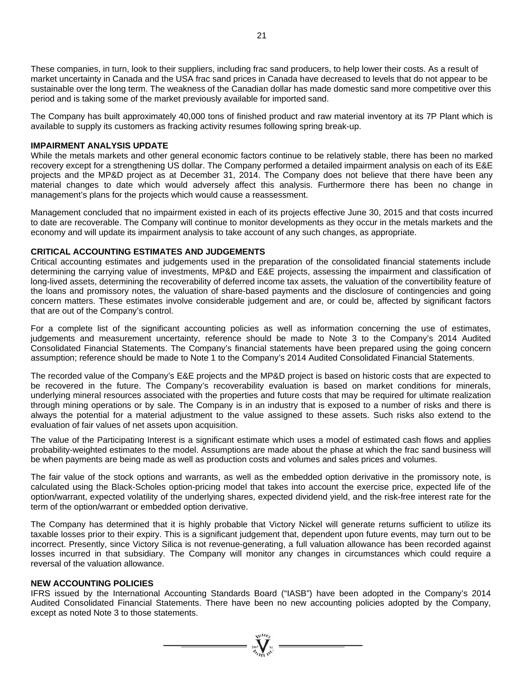These companies, in turn, look to their suppliers, including frac sand producers, to help lower their costs. As a result of market uncertainty in Canada and the USA frac sand prices in Canada have decreased to levels that do not appear to be sustainable over the long term. The weakness of the Canadian dollar has made domestic sand more competitive over this period and is taking some of the market previously available for imported sand.

The Company has built approximately 40,000 tons of finished product and raw material inventory at its 7P Plant which is available to supply its customers as fracking activity resumes following spring break-up.

## **IMPAIRMENT ANALYSIS UPDATE**

While the metals markets and other general economic factors continue to be relatively stable, there has been no marked recovery except for a strengthening US dollar. The Company performed a detailed impairment analysis on each of its E&E projects and the MP&D project as at December 31, 2014. The Company does not believe that there have been any material changes to date which would adversely affect this analysis. Furthermore there has been no change in management's plans for the projects which would cause a reassessment.

Management concluded that no impairment existed in each of its projects effective June 30, 2015 and that costs incurred to date are recoverable. The Company will continue to monitor developments as they occur in the metals markets and the economy and will update its impairment analysis to take account of any such changes, as appropriate.

### **CRITICAL ACCOUNTING ESTIMATES AND JUDGEMENTS**

Critical accounting estimates and judgements used in the preparation of the consolidated financial statements include determining the carrying value of investments, MP&D and E&E projects, assessing the impairment and classification of long-lived assets, determining the recoverability of deferred income tax assets, the valuation of the convertibility feature of the loans and promissory notes, the valuation of share-based payments and the disclosure of contingencies and going concern matters. These estimates involve considerable judgement and are, or could be, affected by significant factors that are out of the Company's control.

For a complete list of the significant accounting policies as well as information concerning the use of estimates, judgements and measurement uncertainty, reference should be made to Note 3 to the Company's 2014 Audited Consolidated Financial Statements. The Company's financial statements have been prepared using the going concern assumption; reference should be made to Note 1 to the Company's 2014 Audited Consolidated Financial Statements.

The recorded value of the Company's E&E projects and the MP&D project is based on historic costs that are expected to be recovered in the future. The Company's recoverability evaluation is based on market conditions for minerals, underlying mineral resources associated with the properties and future costs that may be required for ultimate realization through mining operations or by sale. The Company is in an industry that is exposed to a number of risks and there is always the potential for a material adjustment to the value assigned to these assets. Such risks also extend to the evaluation of fair values of net assets upon acquisition.

The value of the Participating Interest is a significant estimate which uses a model of estimated cash flows and applies probability-weighted estimates to the model. Assumptions are made about the phase at which the frac sand business will be when payments are being made as well as production costs and volumes and sales prices and volumes.

The fair value of the stock options and warrants, as well as the embedded option derivative in the promissory note, is calculated using the Black-Scholes option-pricing model that takes into account the exercise price, expected life of the option/warrant, expected volatility of the underlying shares, expected dividend yield, and the risk-free interest rate for the term of the option/warrant or embedded option derivative.

The Company has determined that it is highly probable that Victory Nickel will generate returns sufficient to utilize its taxable losses prior to their expiry. This is a significant judgement that, dependent upon future events, may turn out to be incorrect. Presently, since Victory Silica is not revenue-generating, a full valuation allowance has been recorded against losses incurred in that subsidiary. The Company will monitor any changes in circumstances which could require a reversal of the valuation allowance.

## **NEW ACCOUNTING POLICIES**

IFRS issued by the International Accounting Standards Board ("IASB") have been adopted in the Company's 2014 Audited Consolidated Financial Statements. There have been no new accounting policies adopted by the Company, except as noted Note 3 to those statements.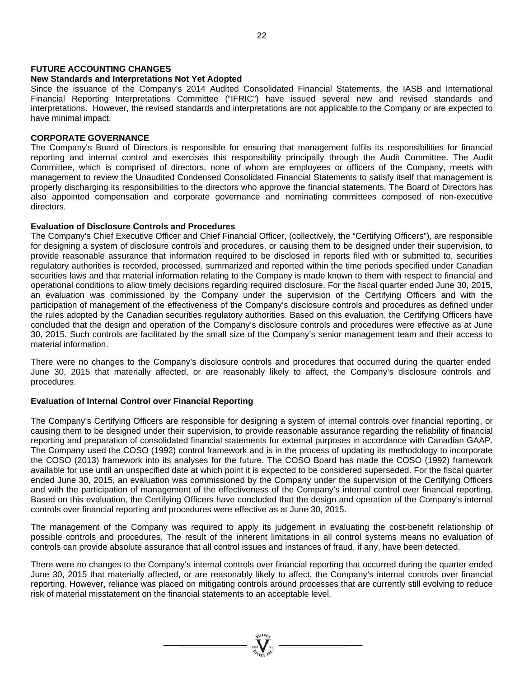#### **FUTURE ACCOUNTING CHANGES**

### **New Standards and Interpretations Not Yet Adopted**

Since the issuance of the Company's 2014 Audited Consolidated Financial Statements, the IASB and International Financial Reporting Interpretations Committee ("IFRIC") have issued several new and revised standards and interpretations. However, the revised standards and interpretations are not applicable to the Company or are expected to have minimal impact.

### **CORPORATE GOVERNANCE**

The Company's Board of Directors is responsible for ensuring that management fulfils its responsibilities for financial reporting and internal control and exercises this responsibility principally through the Audit Committee. The Audit Committee, which is comprised of directors, none of whom are employees or officers of the Company, meets with management to review the Unaudited Condensed Consolidated Financial Statements to satisfy itself that management is properly discharging its responsibilities to the directors who approve the financial statements. The Board of Directors has also appointed compensation and corporate governance and nominating committees composed of non-executive directors.

## **Evaluation of Disclosure Controls and Procedures**

The Company's Chief Executive Officer and Chief Financial Officer, (collectively, the "Certifying Officers"), are responsible for designing a system of disclosure controls and procedures, or causing them to be designed under their supervision, to provide reasonable assurance that information required to be disclosed in reports filed with or submitted to, securities regulatory authorities is recorded, processed, summarized and reported within the time periods specified under Canadian securities laws and that material information relating to the Company is made known to them with respect to financial and operational conditions to allow timely decisions regarding required disclosure. For the fiscal quarter ended June 30, 2015, an evaluation was commissioned by the Company under the supervision of the Certifying Officers and with the participation of management of the effectiveness of the Company's disclosure controls and procedures as defined under the rules adopted by the Canadian securities regulatory authorities. Based on this evaluation, the Certifying Officers have concluded that the design and operation of the Company's disclosure controls and procedures were effective as at June 30, 2015. Such controls are facilitated by the small size of the Company's senior management team and their access to material information.

There were no changes to the Company's disclosure controls and procedures that occurred during the quarter ended June 30, 2015 that materially affected, or are reasonably likely to affect, the Company's disclosure controls and procedures.

## **Evaluation of Internal Control over Financial Reporting**

The Company's Certifying Officers are responsible for designing a system of internal controls over financial reporting, or causing them to be designed under their supervision, to provide reasonable assurance regarding the reliability of financial reporting and preparation of consolidated financial statements for external purposes in accordance with Canadian GAAP. The Company used the COSO (1992) control framework and is in the process of updating its methodology to incorporate the COSO (2013) framework into its analyses for the future. The COSO Board has made the COSO (1992) framework available for use until an unspecified date at which point it is expected to be considered superseded. For the fiscal quarter ended June 30, 2015, an evaluation was commissioned by the Company under the supervision of the Certifying Officers and with the participation of management of the effectiveness of the Company's internal control over financial reporting. Based on this evaluation, the Certifying Officers have concluded that the design and operation of the Company's internal controls over financial reporting and procedures were effective as at June 30, 2015.

The management of the Company was required to apply its judgement in evaluating the cost-benefit relationship of possible controls and procedures. The result of the inherent limitations in all control systems means no evaluation of controls can provide absolute assurance that all control issues and instances of fraud, if any, have been detected.

There were no changes to the Company's internal controls over financial reporting that occurred during the quarter ended June 30, 2015 that materially affected, or are reasonably likely to affect, the Company's internal controls over financial reporting. However, reliance was placed on mitigating controls around processes that are currently still evolving to reduce risk of material misstatement on the financial statements to an acceptable level.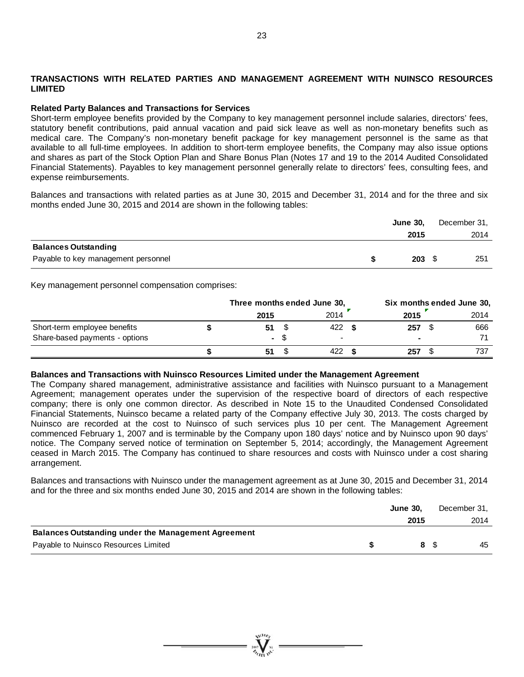## **TRANSACTIONS WITH RELATED PARTIES AND MANAGEMENT AGREEMENT WITH NUINSCO RESOURCES LIMITED**

### **Related Party Balances and Transactions for Services**

Short-term employee benefits provided by the Company to key management personnel include salaries, directors' fees, statutory benefit contributions, paid annual vacation and paid sick leave as well as non-monetary benefits such as medical care. The Company's non-monetary benefit package for key management personnel is the same as that available to all full-time employees. In addition to short-term employee benefits, the Company may also issue options and shares as part of the Stock Option Plan and Share Bonus Plan (Notes 17 and 19 to the 2014 Audited Consolidated Financial Statements). Payables to key management personnel generally relate to directors' fees, consulting fees, and expense reimbursements.

Balances and transactions with related parties as at June 30, 2015 and December 31, 2014 and for the three and six months ended June 30, 2015 and 2014 are shown in the following tables:

|                                     | <b>June 30,</b> | December 31, |
|-------------------------------------|-----------------|--------------|
|                                     | 2015            | 2014         |
| <b>Balances Outstanding</b>         |                 |              |
| Payable to key management personnel | 203             | 251          |

Key management personnel compensation comprises:

|                                |        | Three months ended June 30, | Six months ended June 30, |  |      |  |      |
|--------------------------------|--------|-----------------------------|---------------------------|--|------|--|------|
|                                | 2015   |                             | 2014                      |  | 2015 |  | 2014 |
| Short-term employee benefits   | 51     |                             | 422                       |  | 257  |  | 666  |
| Share-based payments - options | $\sim$ |                             | $\,$                      |  |      |  |      |
|                                | 51     |                             | 422                       |  | 257  |  | 737  |

#### **Balances and Transactions with Nuinsco Resources Limited under the Management Agreement**

The Company shared management, administrative assistance and facilities with Nuinsco pursuant to a Management Agreement; management operates under the supervision of the respective board of directors of each respective company; there is only one common director. As described in Note 15 to the Unaudited Condensed Consolidated Financial Statements, Nuinsco became a related party of the Company effective July 30, 2013. The costs charged by Nuinsco are recorded at the cost to Nuinsco of such services plus 10 per cent. The Management Agreement commenced February 1, 2007 and is terminable by the Company upon 180 days' notice and by Nuinsco upon 90 days' notice. The Company served notice of termination on September 5, 2014; accordingly, the Management Agreement ceased in March 2015. The Company has continued to share resources and costs with Nuinsco under a cost sharing arrangement.

Balances and transactions with Nuinsco under the management agreement as at June 30, 2015 and December 31, 2014 and for the three and six months ended June 30, 2015 and 2014 are shown in the following tables:

|                                                            | <b>June 30.</b> | December 31, |
|------------------------------------------------------------|-----------------|--------------|
|                                                            | 2015            | 2014         |
| <b>Balances Outstanding under the Management Agreement</b> |                 |              |
| Payable to Nuinsco Resources Limited                       | 8 S             | 45           |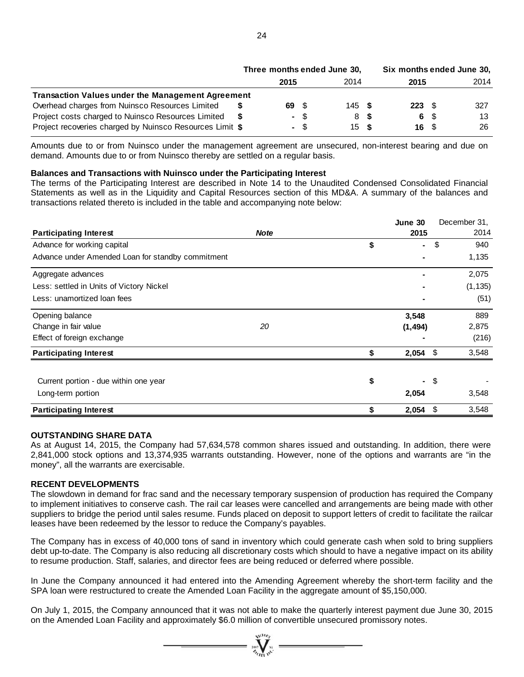|                                                          | Three months ended June 30, |      |      |                   |  | Six months ended June 30, |  |      |  |
|----------------------------------------------------------|-----------------------------|------|------|-------------------|--|---------------------------|--|------|--|
|                                                          |                             | 2015 |      | 2014              |  | 2015                      |  | 2014 |  |
| <b>Transaction Values under the Management Agreement</b> |                             |      |      |                   |  |                           |  |      |  |
| Overhead charges from Nuinsco Resources Limited          |                             | 69.  | - \$ | 145 $\frac{1}{2}$ |  | $223 \tIm$                |  | 327  |  |
| Project costs charged to Nuinsco Resources Limited       |                             |      | - \$ | 8 S               |  | 6 \$                      |  | 13   |  |
| Project recoveries charged by Nuinsco Resources Limit \$ |                             |      | - \$ | 15S               |  | 16 S                      |  | 26   |  |

Amounts due to or from Nuinsco under the management agreement are unsecured, non-interest bearing and due on demand. Amounts due to or from Nuinsco thereby are settled on a regular basis.

#### **Balances and Transactions with Nuinsco under the Participating Interest**

The terms of the Participating Interest are described in Note 14 to the Unaudited Condensed Consolidated Financial Statements as well as in the Liquidity and Capital Resources section of this MD&A. A summary of the balances and transactions related thereto is included in the table and accompanying note below:

|                                                   |             | June 30     |                      | December 31, |
|---------------------------------------------------|-------------|-------------|----------------------|--------------|
| <b>Participating Interest</b>                     | <b>Note</b> |             | 2015                 | 2014         |
| Advance for working capital                       |             | \$          | ٠                    | \$<br>940    |
| Advance under Amended Loan for standby commitment |             |             | ۰                    | 1,135        |
| Aggregate advances                                |             |             |                      | 2,075        |
| Less: settled in Units of Victory Nickel          |             |             |                      | (1, 135)     |
| Less: unamortized loan fees                       |             |             |                      | (51)         |
| Opening balance                                   |             | 3,548       |                      | 889          |
| Change in fair value                              | 20          | (1, 494)    |                      | 2,875        |
| Effect of foreign exchange                        |             |             |                      | (216)        |
| <b>Participating Interest</b>                     |             | \$<br>2,054 | \$                   | 3,548        |
|                                                   |             |             |                      |              |
| Current portion - due within one year             |             | \$          | \$<br>$\blacksquare$ |              |
| Long-term portion                                 |             | 2,054       |                      | 3,548        |
| <b>Participating Interest</b>                     |             | 2,054       | \$                   | 3,548        |

#### **OUTSTANDING SHARE DATA**

As at August 14, 2015, the Company had 57,634,578 common shares issued and outstanding. In addition, there were 2,841,000 stock options and 13,374,935 warrants outstanding. However, none of the options and warrants are "in the money", all the warrants are exercisable.

## **RECENT DEVELOPMENTS**

The slowdown in demand for frac sand and the necessary temporary suspension of production has required the Company to implement initiatives to conserve cash. The rail car leases were cancelled and arrangements are being made with other suppliers to bridge the period until sales resume. Funds placed on deposit to support letters of credit to facilitate the railcar leases have been redeemed by the lessor to reduce the Company's payables.

The Company has in excess of 40,000 tons of sand in inventory which could generate cash when sold to bring suppliers debt up-to-date. The Company is also reducing all discretionary costs which should to have a negative impact on its ability to resume production. Staff, salaries, and director fees are being reduced or deferred where possible.

In June the Company announced it had entered into the Amending Agreement whereby the short-term facility and the SPA loan were restructured to create the Amended Loan Facility in the aggregate amount of \$5,150,000.

On July 1, 2015, the Company announced that it was not able to make the quarterly interest payment due June 30, 2015 on the Amended Loan Facility and approximately \$6.0 million of convertible unsecured promissory notes.

 $\sum_{\alpha}^{N}$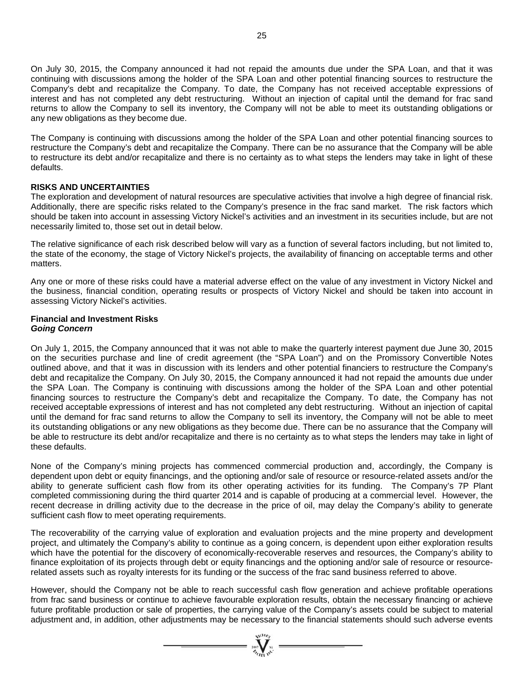On July 30, 2015, the Company announced it had not repaid the amounts due under the SPA Loan, and that it was continuing with discussions among the holder of the SPA Loan and other potential financing sources to restructure the Company's debt and recapitalize the Company. To date, the Company has not received acceptable expressions of interest and has not completed any debt restructuring. Without an injection of capital until the demand for frac sand returns to allow the Company to sell its inventory, the Company will not be able to meet its outstanding obligations or any new obligations as they become due.

The Company is continuing with discussions among the holder of the SPA Loan and other potential financing sources to restructure the Company's debt and recapitalize the Company. There can be no assurance that the Company will be able to restructure its debt and/or recapitalize and there is no certainty as to what steps the lenders may take in light of these defaults.

## **RISKS AND UNCERTAINTIES**

The exploration and development of natural resources are speculative activities that involve a high degree of financial risk. Additionally, there are specific risks related to the Company's presence in the frac sand market. The risk factors which should be taken into account in assessing Victory Nickel's activities and an investment in its securities include, but are not necessarily limited to, those set out in detail below.

The relative significance of each risk described below will vary as a function of several factors including, but not limited to, the state of the economy, the stage of Victory Nickel's projects, the availability of financing on acceptable terms and other matters.

Any one or more of these risks could have a material adverse effect on the value of any investment in Victory Nickel and the business, financial condition, operating results or prospects of Victory Nickel and should be taken into account in assessing Victory Nickel's activities.

### **Financial and Investment Risks**  *Going Concern*

On July 1, 2015, the Company announced that it was not able to make the quarterly interest payment due June 30, 2015 on the securities purchase and line of credit agreement (the "SPA Loan") and on the Promissory Convertible Notes outlined above, and that it was in discussion with its lenders and other potential financiers to restructure the Company's debt and recapitalize the Company. On July 30, 2015, the Company announced it had not repaid the amounts due under the SPA Loan. The Company is continuing with discussions among the holder of the SPA Loan and other potential financing sources to restructure the Company's debt and recapitalize the Company. To date, the Company has not received acceptable expressions of interest and has not completed any debt restructuring. Without an injection of capital until the demand for frac sand returns to allow the Company to sell its inventory, the Company will not be able to meet its outstanding obligations or any new obligations as they become due. There can be no assurance that the Company will be able to restructure its debt and/or recapitalize and there is no certainty as to what steps the lenders may take in light of these defaults.

None of the Company's mining projects has commenced commercial production and, accordingly, the Company is dependent upon debt or equity financings, and the optioning and/or sale of resource or resource-related assets and/or the ability to generate sufficient cash flow from its other operating activities for its funding. The Company's 7P Plant completed commissioning during the third quarter 2014 and is capable of producing at a commercial level. However, the recent decrease in drilling activity due to the decrease in the price of oil, may delay the Company's ability to generate sufficient cash flow to meet operating requirements.

The recoverability of the carrying value of exploration and evaluation projects and the mine property and development project, and ultimately the Company's ability to continue as a going concern, is dependent upon either exploration results which have the potential for the discovery of economically-recoverable reserves and resources, the Company's ability to finance exploitation of its projects through debt or equity financings and the optioning and/or sale of resource or resourcerelated assets such as royalty interests for its funding or the success of the frac sand business referred to above.

However, should the Company not be able to reach successful cash flow generation and achieve profitable operations from frac sand business or continue to achieve favourable exploration results, obtain the necessary financing or achieve future profitable production or sale of properties, the carrying value of the Company's assets could be subject to material adjustment and, in addition, other adjustments may be necessary to the financial statements should such adverse events

 $=\sum_{\substack{\text{non-}\text{odd }\\ \text{odd }\\ \text{odd }\\ \text{odd }\\ \text{odd }\\ \text{odd }\\ \text{odd }\\ \text{odd }\\ \text{odd }\\ \text{odd }\\ \text{odd }\\ \text{odd }\\ \text{odd }\\ \text{odd }\\ \text{odd }\\ \text{odd }\\ \text{odd }\\ \text{odd }\\ \text{odd }\\ \text{odd }\\ \text{odd }\\ \text{odd }\\ \text{odd }\\ \text{odd }\\ \text{odd }\\ \text{odd }\\ \text{odd }\\ \text{odd }\\ \text{odd }\\ \text{odd }\\ \text{odd }\\ \text{odd }\\ \text{odd }\\ \text{odd }\\ \text{odd }$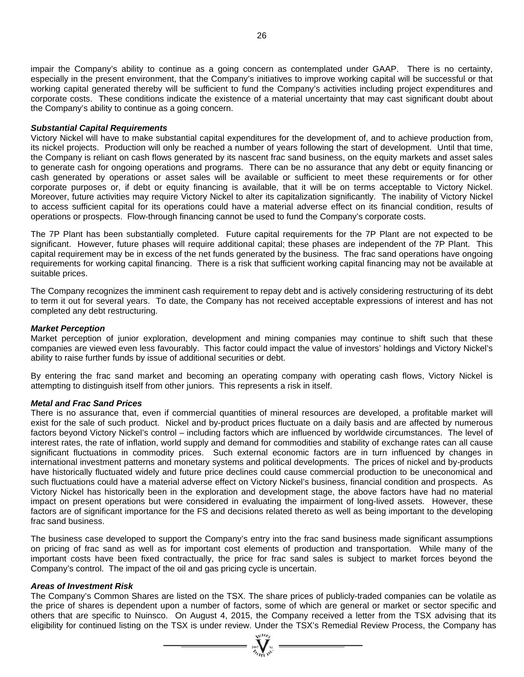impair the Company's ability to continue as a going concern as contemplated under GAAP. There is no certainty, especially in the present environment, that the Company's initiatives to improve working capital will be successful or that working capital generated thereby will be sufficient to fund the Company's activities including project expenditures and corporate costs. These conditions indicate the existence of a material uncertainty that may cast significant doubt about the Company's ability to continue as a going concern.

#### *Substantial Capital Requirements*

Victory Nickel will have to make substantial capital expenditures for the development of, and to achieve production from, its nickel projects. Production will only be reached a number of years following the start of development. Until that time, the Company is reliant on cash flows generated by its nascent frac sand business, on the equity markets and asset sales to generate cash for ongoing operations and programs. There can be no assurance that any debt or equity financing or cash generated by operations or asset sales will be available or sufficient to meet these requirements or for other corporate purposes or, if debt or equity financing is available, that it will be on terms acceptable to Victory Nickel. Moreover, future activities may require Victory Nickel to alter its capitalization significantly. The inability of Victory Nickel to access sufficient capital for its operations could have a material adverse effect on its financial condition, results of operations or prospects. Flow-through financing cannot be used to fund the Company's corporate costs.

The 7P Plant has been substantially completed. Future capital requirements for the 7P Plant are not expected to be significant. However, future phases will require additional capital; these phases are independent of the 7P Plant. This capital requirement may be in excess of the net funds generated by the business. The frac sand operations have ongoing requirements for working capital financing. There is a risk that sufficient working capital financing may not be available at suitable prices.

The Company recognizes the imminent cash requirement to repay debt and is actively considering restructuring of its debt to term it out for several years. To date, the Company has not received acceptable expressions of interest and has not completed any debt restructuring.

#### *Market Perception*

Market perception of junior exploration, development and mining companies may continue to shift such that these companies are viewed even less favourably. This factor could impact the value of investors' holdings and Victory Nickel's ability to raise further funds by issue of additional securities or debt.

By entering the frac sand market and becoming an operating company with operating cash flows, Victory Nickel is attempting to distinguish itself from other juniors. This represents a risk in itself.

#### *Metal and Frac Sand Prices*

There is no assurance that, even if commercial quantities of mineral resources are developed, a profitable market will exist for the sale of such product. Nickel and by-product prices fluctuate on a daily basis and are affected by numerous factors beyond Victory Nickel's control – including factors which are influenced by worldwide circumstances. The level of interest rates, the rate of inflation, world supply and demand for commodities and stability of exchange rates can all cause significant fluctuations in commodity prices. Such external economic factors are in turn influenced by changes in international investment patterns and monetary systems and political developments. The prices of nickel and by-products have historically fluctuated widely and future price declines could cause commercial production to be uneconomical and such fluctuations could have a material adverse effect on Victory Nickel's business, financial condition and prospects. As Victory Nickel has historically been in the exploration and development stage, the above factors have had no material impact on present operations but were considered in evaluating the impairment of long-lived assets. However, these factors are of significant importance for the FS and decisions related thereto as well as being important to the developing frac sand business.

The business case developed to support the Company's entry into the frac sand business made significant assumptions on pricing of frac sand as well as for important cost elements of production and transportation. While many of the important costs have been fixed contractually, the price for frac sand sales is subject to market forces beyond the Company's control. The impact of the oil and gas pricing cycle is uncertain.

#### *Areas of Investment Risk*

The Company's Common Shares are listed on the TSX. The share prices of publicly-traded companies can be volatile as the price of shares is dependent upon a number of factors, some of which are general or market or sector specific and others that are specific to Nuinsco. On August 4, 2015, the Company received a letter from the TSX advising that its eligibility for continued listing on the TSX is under review. Under the TSX's Remedial Review Process, the Company has

 $\sum_{\alpha}$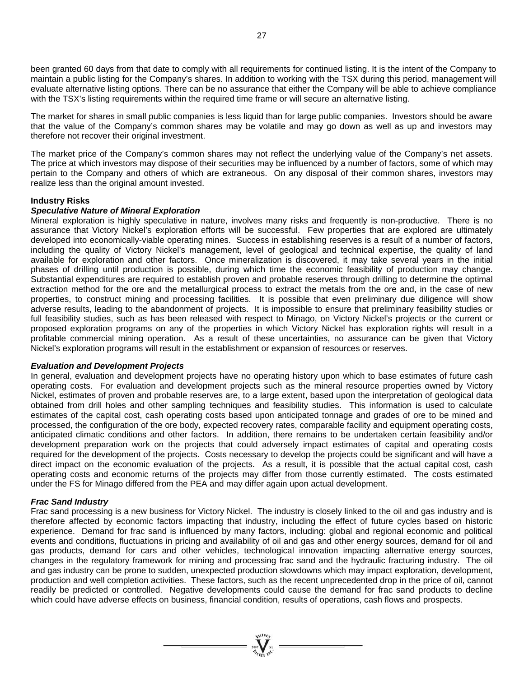been granted 60 days from that date to comply with all requirements for continued listing. It is the intent of the Company to maintain a public listing for the Company's shares. In addition to working with the TSX during this period, management will evaluate alternative listing options. There can be no assurance that either the Company will be able to achieve compliance with the TSX's listing requirements within the required time frame or will secure an alternative listing.

The market for shares in small public companies is less liquid than for large public companies. Investors should be aware that the value of the Company's common shares may be volatile and may go down as well as up and investors may therefore not recover their original investment.

The market price of the Company's common shares may not reflect the underlying value of the Company's net assets. The price at which investors may dispose of their securities may be influenced by a number of factors, some of which may pertain to the Company and others of which are extraneous. On any disposal of their common shares, investors may realize less than the original amount invested.

### **Industry Risks**

## *Speculative Nature of Mineral Exploration*

Mineral exploration is highly speculative in nature, involves many risks and frequently is non-productive. There is no assurance that Victory Nickel's exploration efforts will be successful. Few properties that are explored are ultimately developed into economically-viable operating mines. Success in establishing reserves is a result of a number of factors, including the quality of Victory Nickel's management, level of geological and technical expertise, the quality of land available for exploration and other factors. Once mineralization is discovered, it may take several years in the initial phases of drilling until production is possible, during which time the economic feasibility of production may change. Substantial expenditures are required to establish proven and probable reserves through drilling to determine the optimal extraction method for the ore and the metallurgical process to extract the metals from the ore and, in the case of new properties, to construct mining and processing facilities. It is possible that even preliminary due diligence will show adverse results, leading to the abandonment of projects. It is impossible to ensure that preliminary feasibility studies or full feasibility studies, such as has been released with respect to Minago, on Victory Nickel's projects or the current or proposed exploration programs on any of the properties in which Victory Nickel has exploration rights will result in a profitable commercial mining operation. As a result of these uncertainties, no assurance can be given that Victory Nickel's exploration programs will result in the establishment or expansion of resources or reserves.

### *Evaluation and Development Projects*

In general, evaluation and development projects have no operating history upon which to base estimates of future cash operating costs. For evaluation and development projects such as the mineral resource properties owned by Victory Nickel, estimates of proven and probable reserves are, to a large extent, based upon the interpretation of geological data obtained from drill holes and other sampling techniques and feasibility studies. This information is used to calculate estimates of the capital cost, cash operating costs based upon anticipated tonnage and grades of ore to be mined and processed, the configuration of the ore body, expected recovery rates, comparable facility and equipment operating costs, anticipated climatic conditions and other factors. In addition, there remains to be undertaken certain feasibility and/or development preparation work on the projects that could adversely impact estimates of capital and operating costs required for the development of the projects. Costs necessary to develop the projects could be significant and will have a direct impact on the economic evaluation of the projects. As a result, it is possible that the actual capital cost, cash operating costs and economic returns of the projects may differ from those currently estimated. The costs estimated under the FS for Minago differed from the PEA and may differ again upon actual development.

## *Frac Sand Industry*

Frac sand processing is a new business for Victory Nickel. The industry is closely linked to the oil and gas industry and is therefore affected by economic factors impacting that industry, including the effect of future cycles based on historic experience. Demand for frac sand is influenced by many factors, including: global and regional economic and political events and conditions, fluctuations in pricing and availability of oil and gas and other energy sources, demand for oil and gas products, demand for cars and other vehicles, technological innovation impacting alternative energy sources, changes in the regulatory framework for mining and processing frac sand and the hydraulic fracturing industry. The oil and gas industry can be prone to sudden, unexpected production slowdowns which may impact exploration, development, production and well completion activities. These factors, such as the recent unprecedented drop in the price of oil, cannot readily be predicted or controlled. Negative developments could cause the demand for frac sand products to decline which could have adverse effects on business, financial condition, results of operations, cash flows and prospects.

 $\sum_{\alpha}^{N}$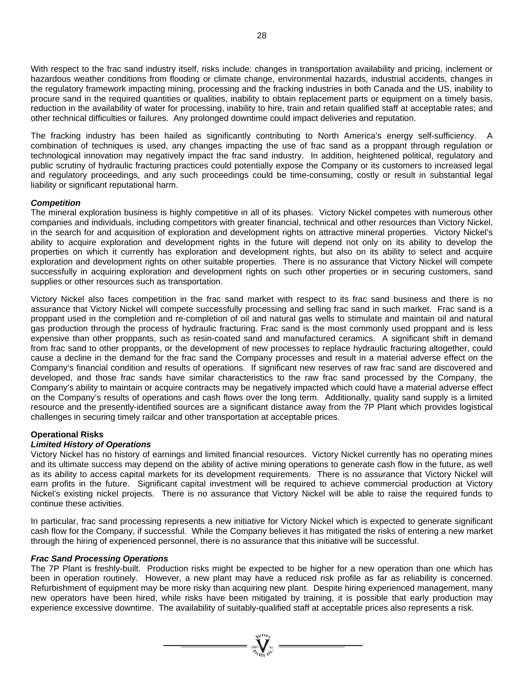With respect to the frac sand industry itself, risks include: changes in transportation availability and pricing, inclement or hazardous weather conditions from flooding or climate change, environmental hazards, industrial accidents, changes in the regulatory framework impacting mining, processing and the fracking industries in both Canada and the US, inability to procure sand in the required quantities or qualities, inability to obtain replacement parts or equipment on a timely basis, reduction in the availability of water for processing, inability to hire, train and retain qualified staff at acceptable rates; and other technical difficulties or failures. Any prolonged downtime could impact deliveries and reputation.

The fracking industry has been hailed as significantly contributing to North America's energy self-sufficiency. A combination of techniques is used, any changes impacting the use of frac sand as a proppant through regulation or technological innovation may negatively impact the frac sand industry. In addition, heightened political, regulatory and public scrutiny of hydraulic fracturing practices could potentially expose the Company or its customers to increased legal and regulatory proceedings, and any such proceedings could be time-consuming, costly or result in substantial legal liability or significant reputational harm.

## *Competition*

The mineral exploration business is highly competitive in all of its phases. Victory Nickel competes with numerous other companies and individuals, including competitors with greater financial, technical and other resources than Victory Nickel, in the search for and acquisition of exploration and development rights on attractive mineral properties. Victory Nickel's ability to acquire exploration and development rights in the future will depend not only on its ability to develop the properties on which it currently has exploration and development rights, but also on its ability to select and acquire exploration and development rights on other suitable properties. There is no assurance that Victory Nickel will compete successfully in acquiring exploration and development rights on such other properties or in securing customers, sand supplies or other resources such as transportation.

Victory Nickel also faces competition in the frac sand market with respect to its frac sand business and there is no assurance that Victory Nickel will compete successfully processing and selling frac sand in such market. Frac sand is a proppant used in the completion and re-completion of oil and natural gas wells to stimulate and maintain oil and natural gas production through the process of hydraulic fracturing. Frac sand is the most commonly used proppant and is less expensive than other proppants, such as resin-coated sand and manufactured ceramics. A significant shift in demand from frac sand to other proppants, or the development of new processes to replace hydraulic fracturing altogether, could cause a decline in the demand for the frac sand the Company processes and result in a material adverse effect on the Company's financial condition and results of operations. If significant new reserves of raw frac sand are discovered and developed, and those frac sands have similar characteristics to the raw frac sand processed by the Company, the Company's ability to maintain or acquire contracts may be negatively impacted which could have a material adverse effect on the Company's results of operations and cash flows over the long term. Additionally, quality sand supply is a limited resource and the presently-identified sources are a significant distance away from the 7P Plant which provides logistical challenges in securing timely railcar and other transportation at acceptable prices.

## **Operational Risks**

## *Limited History of Operations*

Victory Nickel has no history of earnings and limited financial resources. Victory Nickel currently has no operating mines and its ultimate success may depend on the ability of active mining operations to generate cash flow in the future, as well as its ability to access capital markets for its development requirements. There is no assurance that Victory Nickel will earn profits in the future. Significant capital investment will be required to achieve commercial production at Victory Nickel's existing nickel projects. There is no assurance that Victory Nickel will be able to raise the required funds to continue these activities.

In particular, frac sand processing represents a new initiative for Victory Nickel which is expected to generate significant cash flow for the Company, if successful. While the Company believes it has mitigated the risks of entering a new market through the hiring of experienced personnel, there is no assurance that this initiative will be successful.

## *Frac Sand Processing Operations*

The 7P Plant is freshly-built. Production risks might be expected to be higher for a new operation than one which has been in operation routinely. However, a new plant may have a reduced risk profile as far as reliability is concerned. Refurbishment of equipment may be more risky than acquiring new plant. Despite hiring experienced management, many new operators have been hired, while risks have been mitigated by training, it is possible that early production may experience excessive downtime. The availability of suitably-qualified staff at acceptable prices also represents a risk.

 $\sum_{\substack{n=1\\ \text{odd }n}}^{\infty}$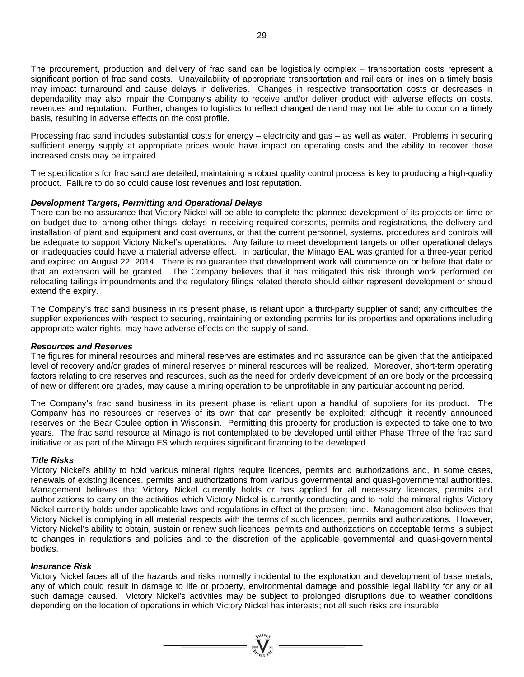The procurement, production and delivery of frac sand can be logistically complex – transportation costs represent a significant portion of frac sand costs. Unavailability of appropriate transportation and rail cars or lines on a timely basis may impact turnaround and cause delays in deliveries. Changes in respective transportation costs or decreases in dependability may also impair the Company's ability to receive and/or deliver product with adverse effects on costs, revenues and reputation. Further, changes to logistics to reflect changed demand may not be able to occur on a timely basis, resulting in adverse effects on the cost profile.

Processing frac sand includes substantial costs for energy – electricity and gas – as well as water. Problems in securing sufficient energy supply at appropriate prices would have impact on operating costs and the ability to recover those increased costs may be impaired.

The specifications for frac sand are detailed; maintaining a robust quality control process is key to producing a high-quality product. Failure to do so could cause lost revenues and lost reputation.

## *Development Targets, Permitting and Operational Delays*

There can be no assurance that Victory Nickel will be able to complete the planned development of its projects on time or on budget due to, among other things, delays in receiving required consents, permits and registrations, the delivery and installation of plant and equipment and cost overruns, or that the current personnel, systems, procedures and controls will be adequate to support Victory Nickel's operations. Any failure to meet development targets or other operational delays or inadequacies could have a material adverse effect. In particular, the Minago EAL was granted for a three-year period and expired on August 22, 2014. There is no guarantee that development work will commence on or before that date or that an extension will be granted. The Company believes that it has mitigated this risk through work performed on relocating tailings impoundments and the regulatory filings related thereto should either represent development or should extend the expiry.

The Company's frac sand business in its present phase, is reliant upon a third-party supplier of sand; any difficulties the supplier experiences with respect to securing, maintaining or extending permits for its properties and operations including appropriate water rights, may have adverse effects on the supply of sand.

## *Resources and Reserves*

The figures for mineral resources and mineral reserves are estimates and no assurance can be given that the anticipated level of recovery and/or grades of mineral reserves or mineral resources will be realized. Moreover, short-term operating factors relating to ore reserves and resources, such as the need for orderly development of an ore body or the processing of new or different ore grades, may cause a mining operation to be unprofitable in any particular accounting period.

The Company's frac sand business in its present phase is reliant upon a handful of suppliers for its product. The Company has no resources or reserves of its own that can presently be exploited; although it recently announced reserves on the Bear Coulee option in Wisconsin. Permitting this property for production is expected to take one to two years. The frac sand resource at Minago is not contemplated to be developed until either Phase Three of the frac sand initiative or as part of the Minago FS which requires significant financing to be developed.

## *Title Risks*

Victory Nickel's ability to hold various mineral rights require licences, permits and authorizations and, in some cases, renewals of existing licences, permits and authorizations from various governmental and quasi-governmental authorities. Management believes that Victory Nickel currently holds or has applied for all necessary licences, permits and authorizations to carry on the activities which Victory Nickel is currently conducting and to hold the mineral rights Victory Nickel currently holds under applicable laws and regulations in effect at the present time. Management also believes that Victory Nickel is complying in all material respects with the terms of such licences, permits and authorizations. However, Victory Nickel's ability to obtain, sustain or renew such licences, permits and authorizations on acceptable terms is subject to changes in regulations and policies and to the discretion of the applicable governmental and quasi-governmental bodies.

#### *Insurance Risk*

Victory Nickel faces all of the hazards and risks normally incidental to the exploration and development of base metals, any of which could result in damage to life or property, environmental damage and possible legal liability for any or all such damage caused. Victory Nickel's activities may be subject to prolonged disruptions due to weather conditions depending on the location of operations in which Victory Nickel has interests; not all such risks are insurable.

 $\sum_{\alpha}$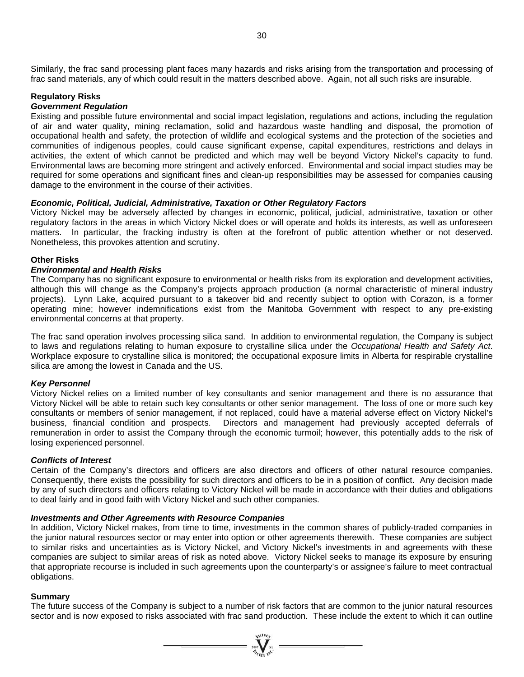Similarly, the frac sand processing plant faces many hazards and risks arising from the transportation and processing of frac sand materials, any of which could result in the matters described above. Again, not all such risks are insurable.

## **Regulatory Risks**

## *Government Regulation*

Existing and possible future environmental and social impact legislation, regulations and actions, including the regulation of air and water quality, mining reclamation, solid and hazardous waste handling and disposal, the promotion of occupational health and safety, the protection of wildlife and ecological systems and the protection of the societies and communities of indigenous peoples, could cause significant expense, capital expenditures, restrictions and delays in activities, the extent of which cannot be predicted and which may well be beyond Victory Nickel's capacity to fund. Environmental laws are becoming more stringent and actively enforced. Environmental and social impact studies may be required for some operations and significant fines and clean-up responsibilities may be assessed for companies causing damage to the environment in the course of their activities.

## *Economic, Political, Judicial, Administrative, Taxation or Other Regulatory Factors*

Victory Nickel may be adversely affected by changes in economic, political, judicial, administrative, taxation or other regulatory factors in the areas in which Victory Nickel does or will operate and holds its interests, as well as unforeseen matters. In particular, the fracking industry is often at the forefront of public attention whether or not deserved. Nonetheless, this provokes attention and scrutiny.

### **Other Risks**

### *Environmental and Health Risks*

The Company has no significant exposure to environmental or health risks from its exploration and development activities, although this will change as the Company's projects approach production (a normal characteristic of mineral industry projects). Lynn Lake, acquired pursuant to a takeover bid and recently subject to option with Corazon, is a former operating mine; however indemnifications exist from the Manitoba Government with respect to any pre-existing environmental concerns at that property.

The frac sand operation involves processing silica sand. In addition to environmental regulation, the Company is subject to laws and regulations relating to human exposure to crystalline silica under the *Occupational Health and Safety Act*. Workplace exposure to crystalline silica is monitored; the occupational exposure limits in Alberta for respirable crystalline silica are among the lowest in Canada and the US.

#### *Key Personnel*

Victory Nickel relies on a limited number of key consultants and senior management and there is no assurance that Victory Nickel will be able to retain such key consultants or other senior management. The loss of one or more such key consultants or members of senior management, if not replaced, could have a material adverse effect on Victory Nickel's business, financial condition and prospects. Directors and management had previously accepted deferrals of remuneration in order to assist the Company through the economic turmoil; however, this potentially adds to the risk of losing experienced personnel.

#### *Conflicts of Interest*

Certain of the Company's directors and officers are also directors and officers of other natural resource companies. Consequently, there exists the possibility for such directors and officers to be in a position of conflict. Any decision made by any of such directors and officers relating to Victory Nickel will be made in accordance with their duties and obligations to deal fairly and in good faith with Victory Nickel and such other companies.

#### *Investments and Other Agreements with Resource Companies*

In addition, Victory Nickel makes, from time to time, investments in the common shares of publicly-traded companies in the junior natural resources sector or may enter into option or other agreements therewith. These companies are subject to similar risks and uncertainties as is Victory Nickel, and Victory Nickel's investments in and agreements with these companies are subject to similar areas of risk as noted above. Victory Nickel seeks to manage its exposure by ensuring that appropriate recourse is included in such agreements upon the counterparty's or assignee's failure to meet contractual obligations.

### **Summary**

The future success of the Company is subject to a number of risk factors that are common to the junior natural resources sector and is now exposed to risks associated with frac sand production. These include the extent to which it can outline

 $= \sum_{\substack{m=1\\ \text{odd }n}}^{\infty} \sum_{\substack{m=1\\ \text{odd }n}}^{\infty}$